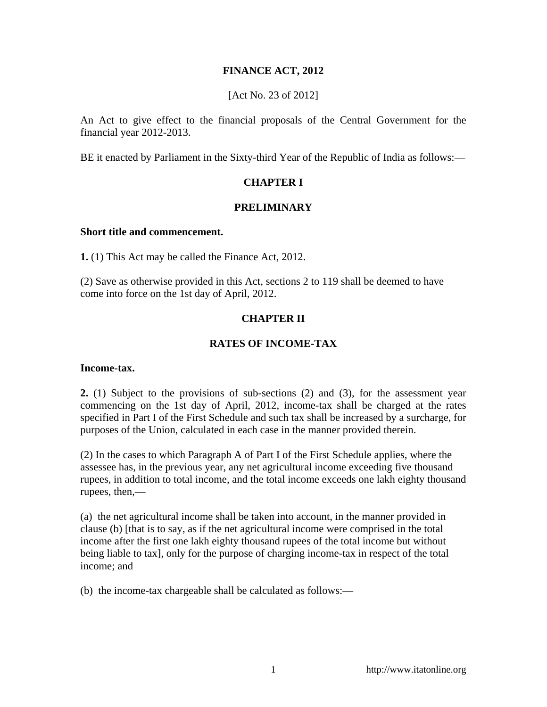## **FINANCE ACT, 2012**

[Act No. 23 of 2012]

An Act to give effect to the financial proposals of the Central Government for the financial year 2012-2013.

BE it enacted by Parliament in the Sixty-third Year of the Republic of India as follows:—

## **CHAPTER I**

### **PRELIMINARY**

#### **Short title and commencement.**

**1.** (1) This Act may be called the Finance Act, 2012.

(2) Save as otherwise provided in this Act, sections 2 to 119 shall be deemed to have come into force on the 1st day of April, 2012.

## **CHAPTER II**

## **RATES OF INCOME-TAX**

#### **Income-tax.**

**2.** (1) Subject to the provisions of sub-sections (2) and (3), for the assessment year commencing on the 1st day of April, 2012, income-tax shall be charged at the rates specified in Part I of the First Schedule and such tax shall be increased by a surcharge, for purposes of the Union, calculated in each case in the manner provided therein.

(2) In the cases to which Paragraph A of Part I of the First Schedule applies, where the assessee has, in the previous year, any net agricultural income exceeding five thousand rupees, in addition to total income, and the total income exceeds one lakh eighty thousand rupees, then,—

(a) the net agricultural income shall be taken into account, in the manner provided in clause (b) [that is to say, as if the net agricultural income were comprised in the total income after the first one lakh eighty thousand rupees of the total income but without being liable to tax], only for the purpose of charging income-tax in respect of the total income; and

(b) the income-tax chargeable shall be calculated as follows:—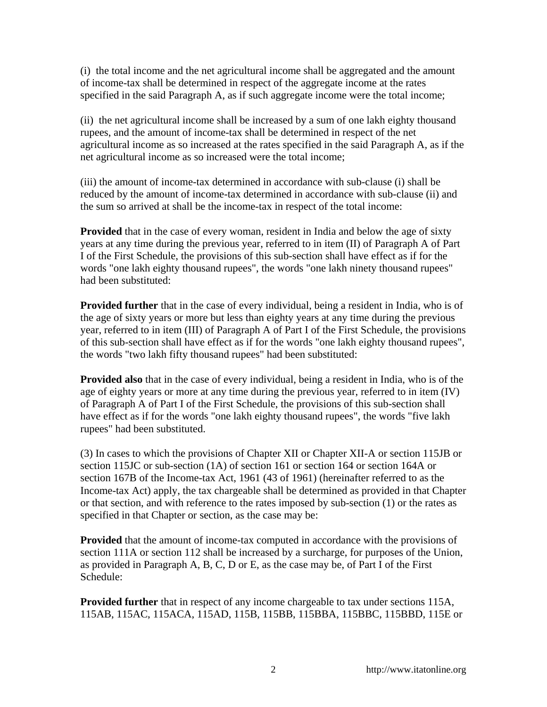(i) the total income and the net agricultural income shall be aggregated and the amount of income-tax shall be determined in respect of the aggregate income at the rates specified in the said Paragraph A, as if such aggregate income were the total income;

(ii) the net agricultural income shall be increased by a sum of one lakh eighty thousand rupees, and the amount of income-tax shall be determined in respect of the net agricultural income as so increased at the rates specified in the said Paragraph A, as if the net agricultural income as so increased were the total income;

(iii) the amount of income-tax determined in accordance with sub-clause (i) shall be reduced by the amount of income-tax determined in accordance with sub-clause (ii) and the sum so arrived at shall be the income-tax in respect of the total income:

**Provided** that in the case of every woman, resident in India and below the age of sixty years at any time during the previous year, referred to in item (II) of Paragraph A of Part I of the First Schedule, the provisions of this sub-section shall have effect as if for the words "one lakh eighty thousand rupees", the words "one lakh ninety thousand rupees" had been substituted:

**Provided further** that in the case of every individual, being a resident in India, who is of the age of sixty years or more but less than eighty years at any time during the previous year, referred to in item (III) of Paragraph A of Part I of the First Schedule, the provisions of this sub-section shall have effect as if for the words "one lakh eighty thousand rupees", the words "two lakh fifty thousand rupees" had been substituted:

**Provided also** that in the case of every individual, being a resident in India, who is of the age of eighty years or more at any time during the previous year, referred to in item (IV) of Paragraph A of Part I of the First Schedule, the provisions of this sub-section shall have effect as if for the words "one lakh eighty thousand rupees", the words "five lakh rupees" had been substituted.

(3) In cases to which the provisions of Chapter XII or Chapter XII-A or section 115JB or section 115JC or sub-section (1A) of section 161 or section 164 or section 164A or section 167B of the Income-tax Act, 1961 (43 of 1961) (hereinafter referred to as the Income-tax Act) apply, the tax chargeable shall be determined as provided in that Chapter or that section, and with reference to the rates imposed by sub-section (1) or the rates as specified in that Chapter or section, as the case may be:

**Provided** that the amount of income-tax computed in accordance with the provisions of section 111A or section 112 shall be increased by a surcharge, for purposes of the Union, as provided in Paragraph A, B, C, D or E, as the case may be, of Part I of the First Schedule:

**Provided further** that in respect of any income chargeable to tax under sections 115A, 115AB, 115AC, 115ACA, 115AD, 115B, 115BB, 115BBA, 115BBC, 115BBD, 115E or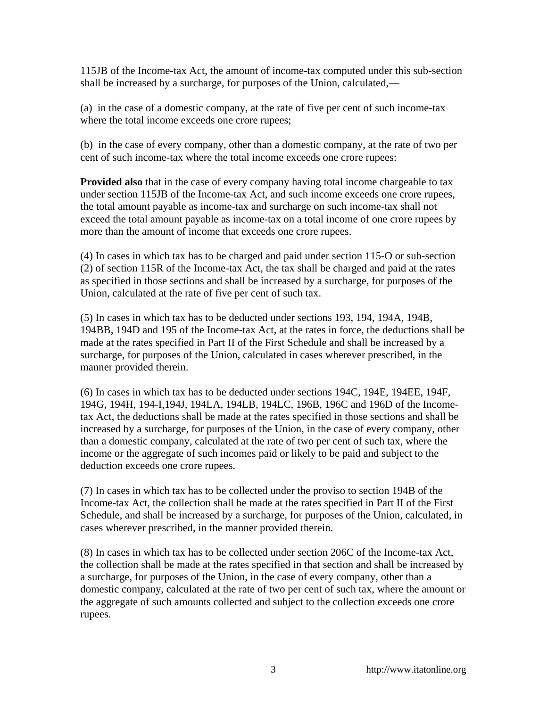115JB of the Income-tax Act, the amount of income-tax computed under this sub-section shall be increased by a surcharge, for purposes of the Union, calculated,—

(a) in the case of a domestic company, at the rate of five per cent of such income-tax where the total income exceeds one crore rupees;

(b) in the case of every company, other than a domestic company, at the rate of two per cent of such income-tax where the total income exceeds one crore rupees:

**Provided also** that in the case of every company having total income chargeable to tax under section 115JB of the Income-tax Act, and such income exceeds one crore rupees, the total amount payable as income-tax and surcharge on such income-tax shall not exceed the total amount payable as income-tax on a total income of one crore rupees by more than the amount of income that exceeds one crore rupees.

(4) In cases in which tax has to be charged and paid under section 115-O or sub-section (2) of section 115R of the Income-tax Act, the tax shall be charged and paid at the rates as specified in those sections and shall be increased by a surcharge, for purposes of the Union, calculated at the rate of five per cent of such tax.

(5) In cases in which tax has to be deducted under sections 193, 194, 194A, 194B, 194BB, 194D and 195 of the Income-tax Act, at the rates in force, the deductions shall be made at the rates specified in Part II of the First Schedule and shall be increased by a surcharge, for purposes of the Union, calculated in cases wherever prescribed, in the manner provided therein.

(6) In cases in which tax has to be deducted under sections 194C, 194E, 194EE, 194F, 194G, 194H, 194-I,194J, 194LA, 194LB, 194LC, 196B, 196C and 196D of the Incometax Act, the deductions shall be made at the rates specified in those sections and shall be increased by a surcharge, for purposes of the Union, in the case of every company, other than a domestic company, calculated at the rate of two per cent of such tax, where the income or the aggregate of such incomes paid or likely to be paid and subject to the deduction exceeds one crore rupees.

(7) In cases in which tax has to be collected under the proviso to section 194B of the Income-tax Act, the collection shall be made at the rates specified in Part II of the First Schedule, and shall be increased by a surcharge, for purposes of the Union, calculated, in cases wherever prescribed, in the manner provided therein.

(8) In cases in which tax has to be collected under section 206C of the Income-tax Act, the collection shall be made at the rates specified in that section and shall be increased by a surcharge, for purposes of the Union, in the case of every company, other than a domestic company, calculated at the rate of two per cent of such tax, where the amount or the aggregate of such amounts collected and subject to the collection exceeds one crore rupees.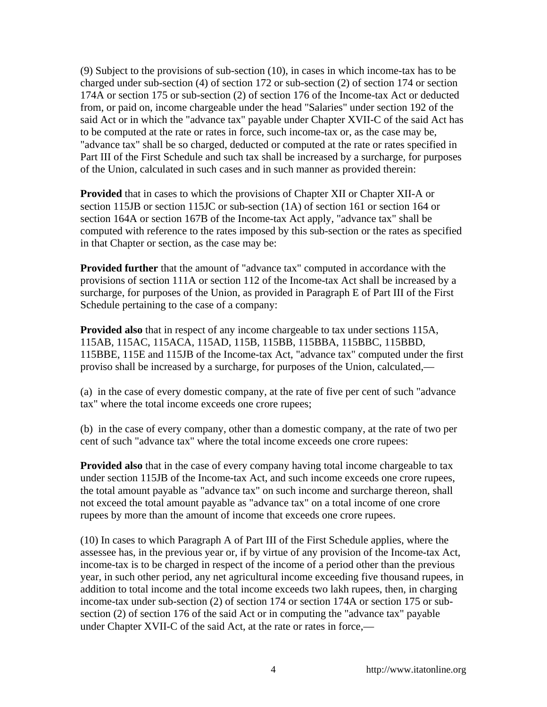(9) Subject to the provisions of sub-section (10), in cases in which income-tax has to be charged under sub-section (4) of section 172 or sub-section (2) of section 174 or section 174A or section 175 or sub-section (2) of section 176 of the Income-tax Act or deducted from, or paid on, income chargeable under the head "Salaries" under section 192 of the said Act or in which the "advance tax" payable under Chapter XVII-C of the said Act has to be computed at the rate or rates in force, such income-tax or, as the case may be, "advance tax" shall be so charged, deducted or computed at the rate or rates specified in Part III of the First Schedule and such tax shall be increased by a surcharge, for purposes of the Union, calculated in such cases and in such manner as provided therein:

**Provided** that in cases to which the provisions of Chapter XII or Chapter XII-A or section 115JB or section 115JC or sub-section (1A) of section 161 or section 164 or section 164A or section 167B of the Income-tax Act apply, "advance tax" shall be computed with reference to the rates imposed by this sub-section or the rates as specified in that Chapter or section, as the case may be:

**Provided further** that the amount of "advance tax" computed in accordance with the provisions of section 111A or section 112 of the Income-tax Act shall be increased by a surcharge, for purposes of the Union, as provided in Paragraph E of Part III of the First Schedule pertaining to the case of a company:

**Provided also** that in respect of any income chargeable to tax under sections 115A, 115AB, 115AC, 115ACA, 115AD, 115B, 115BB, 115BBA, 115BBC, 115BBD, 115BBE, 115E and 115JB of the Income-tax Act, "advance tax" computed under the first proviso shall be increased by a surcharge, for purposes of the Union, calculated,—

(a) in the case of every domestic company, at the rate of five per cent of such "advance tax" where the total income exceeds one crore rupees;

(b) in the case of every company, other than a domestic company, at the rate of two per cent of such "advance tax" where the total income exceeds one crore rupees:

**Provided also** that in the case of every company having total income chargeable to tax under section 115JB of the Income-tax Act, and such income exceeds one crore rupees, the total amount payable as "advance tax" on such income and surcharge thereon, shall not exceed the total amount payable as "advance tax" on a total income of one crore rupees by more than the amount of income that exceeds one crore rupees.

(10) In cases to which Paragraph A of Part III of the First Schedule applies, where the assessee has, in the previous year or, if by virtue of any provision of the Income-tax Act, income-tax is to be charged in respect of the income of a period other than the previous year, in such other period, any net agricultural income exceeding five thousand rupees, in addition to total income and the total income exceeds two lakh rupees, then, in charging income-tax under sub-section (2) of section 174 or section 174A or section 175 or subsection (2) of section 176 of the said Act or in computing the "advance tax" payable under Chapter XVII-C of the said Act, at the rate or rates in force,—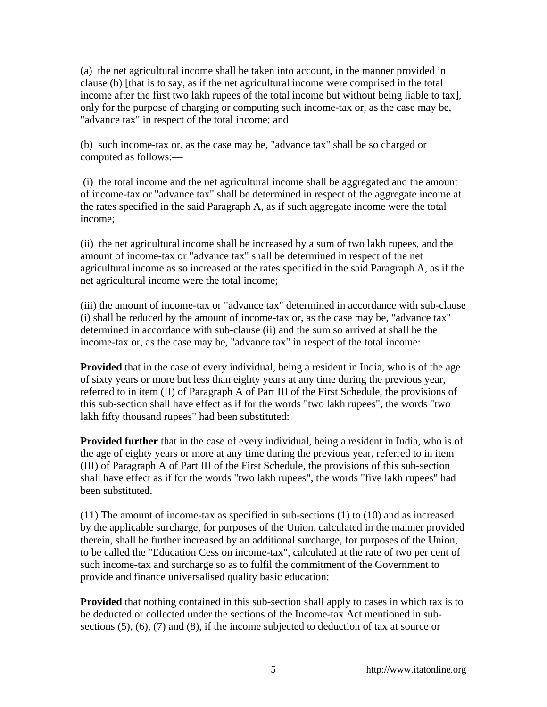(a) the net agricultural income shall be taken into account, in the manner provided in clause (b) [that is to say, as if the net agricultural income were comprised in the total income after the first two lakh rupees of the total income but without being liable to tax], only for the purpose of charging or computing such income-tax or, as the case may be, "advance tax" in respect of the total income; and

(b) such income-tax or, as the case may be, "advance tax" shall be so charged or computed as follows:—

 (i) the total income and the net agricultural income shall be aggregated and the amount of income-tax or "advance tax" shall be determined in respect of the aggregate income at the rates specified in the said Paragraph A, as if such aggregate income were the total income;

(ii) the net agricultural income shall be increased by a sum of two lakh rupees, and the amount of income-tax or "advance tax" shall be determined in respect of the net agricultural income as so increased at the rates specified in the said Paragraph A, as if the net agricultural income were the total income;

(iii) the amount of income-tax or "advance tax" determined in accordance with sub-clause (i) shall be reduced by the amount of income-tax or, as the case may be, "advance tax" determined in accordance with sub-clause (ii) and the sum so arrived at shall be the income-tax or, as the case may be, "advance tax" in respect of the total income:

**Provided** that in the case of every individual, being a resident in India, who is of the age of sixty years or more but less than eighty years at any time during the previous year, referred to in item (II) of Paragraph A of Part III of the First Schedule, the provisions of this sub-section shall have effect as if for the words "two lakh rupees", the words "two lakh fifty thousand rupees" had been substituted:

**Provided further** that in the case of every individual, being a resident in India, who is of the age of eighty years or more at any time during the previous year, referred to in item (III) of Paragraph A of Part III of the First Schedule, the provisions of this sub-section shall have effect as if for the words "two lakh rupees", the words "five lakh rupees" had been substituted.

(11) The amount of income-tax as specified in sub-sections (1) to (10) and as increased by the applicable surcharge, for purposes of the Union, calculated in the manner provided therein, shall be further increased by an additional surcharge, for purposes of the Union, to be called the "Education Cess on income-tax", calculated at the rate of two per cent of such income-tax and surcharge so as to fulfil the commitment of the Government to provide and finance universalised quality basic education:

**Provided** that nothing contained in this sub-section shall apply to cases in which tax is to be deducted or collected under the sections of the Income-tax Act mentioned in subsections (5), (6), (7) and (8), if the income subjected to deduction of tax at source or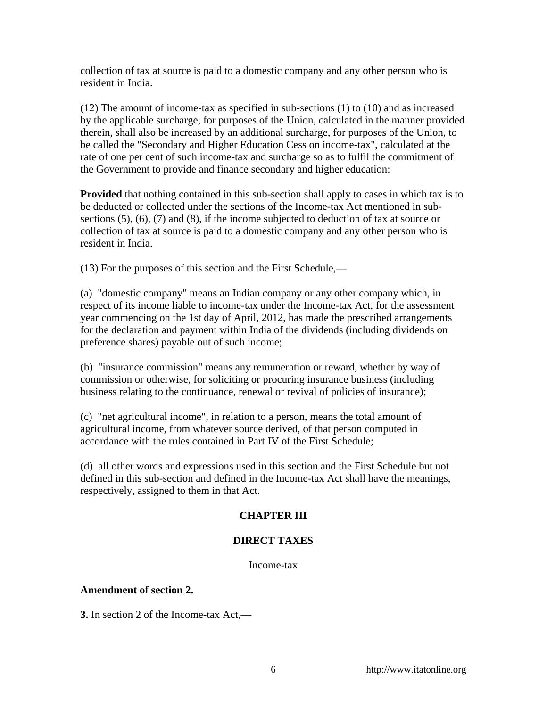collection of tax at source is paid to a domestic company and any other person who is resident in India.

(12) The amount of income-tax as specified in sub-sections (1) to (10) and as increased by the applicable surcharge, for purposes of the Union, calculated in the manner provided therein, shall also be increased by an additional surcharge, for purposes of the Union, to be called the "Secondary and Higher Education Cess on income-tax", calculated at the rate of one per cent of such income-tax and surcharge so as to fulfil the commitment of the Government to provide and finance secondary and higher education:

**Provided** that nothing contained in this sub-section shall apply to cases in which tax is to be deducted or collected under the sections of the Income-tax Act mentioned in subsections (5), (6), (7) and (8), if the income subjected to deduction of tax at source or collection of tax at source is paid to a domestic company and any other person who is resident in India.

(13) For the purposes of this section and the First Schedule,—

(a) "domestic company" means an Indian company or any other company which, in respect of its income liable to income-tax under the Income-tax Act, for the assessment year commencing on the 1st day of April, 2012, has made the prescribed arrangements for the declaration and payment within India of the dividends (including dividends on preference shares) payable out of such income;

(b) "insurance commission" means any remuneration or reward, whether by way of commission or otherwise, for soliciting or procuring insurance business (including business relating to the continuance, renewal or revival of policies of insurance);

(c) "net agricultural income", in relation to a person, means the total amount of agricultural income, from whatever source derived, of that person computed in accordance with the rules contained in Part IV of the First Schedule;

(d) all other words and expressions used in this section and the First Schedule but not defined in this sub-section and defined in the Income-tax Act shall have the meanings, respectively, assigned to them in that Act.

# **CHAPTER III**

# **DIRECT TAXES**

Income-tax

### **Amendment of section 2.**

**3.** In section 2 of the Income-tax Act,—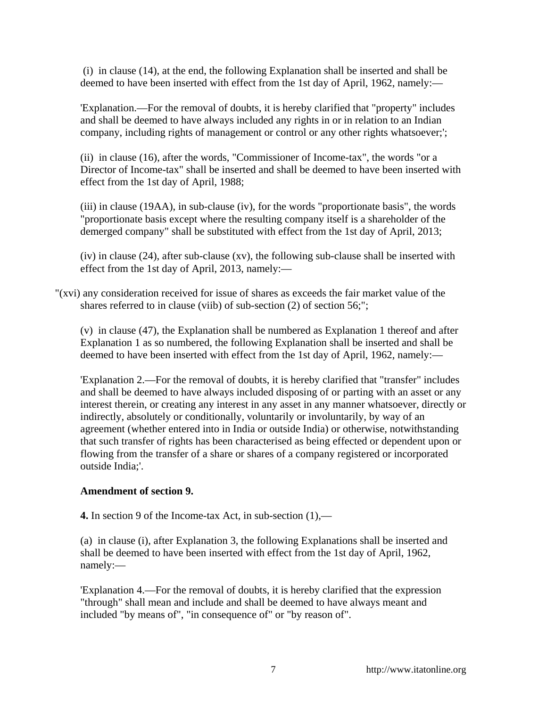(i) in clause (14), at the end, the following Explanation shall be inserted and shall be deemed to have been inserted with effect from the 1st day of April, 1962, namely:—

'Explanation.—For the removal of doubts, it is hereby clarified that "property" includes and shall be deemed to have always included any rights in or in relation to an Indian company, including rights of management or control or any other rights whatsoever;';

(ii) in clause (16), after the words, "Commissioner of Income-tax", the words "or a Director of Income-tax" shall be inserted and shall be deemed to have been inserted with effect from the 1st day of April, 1988;

(iii) in clause (19AA), in sub-clause (iv), for the words "proportionate basis", the words "proportionate basis except where the resulting company itself is a shareholder of the demerged company" shall be substituted with effect from the 1st day of April, 2013;

(iv) in clause (24), after sub-clause (xv), the following sub-clause shall be inserted with effect from the 1st day of April, 2013, namely:—

"(xvi) any consideration received for issue of shares as exceeds the fair market value of the shares referred to in clause (viib) of sub-section (2) of section 56;";

(v) in clause (47), the Explanation shall be numbered as Explanation 1 thereof and after Explanation 1 as so numbered, the following Explanation shall be inserted and shall be deemed to have been inserted with effect from the 1st day of April, 1962, namely:—

'Explanation 2.—For the removal of doubts, it is hereby clarified that "transfer" includes and shall be deemed to have always included disposing of or parting with an asset or any interest therein, or creating any interest in any asset in any manner whatsoever, directly or indirectly, absolutely or conditionally, voluntarily or involuntarily, by way of an agreement (whether entered into in India or outside India) or otherwise, notwithstanding that such transfer of rights has been characterised as being effected or dependent upon or flowing from the transfer of a share or shares of a company registered or incorporated outside India;'.

### **Amendment of section 9.**

**4.** In section 9 of the Income-tax Act, in sub-section (1),—

(a) in clause (i), after Explanation 3, the following Explanations shall be inserted and shall be deemed to have been inserted with effect from the 1st day of April, 1962, namely:—

'Explanation 4.—For the removal of doubts, it is hereby clarified that the expression "through" shall mean and include and shall be deemed to have always meant and included "by means of", "in consequence of" or "by reason of".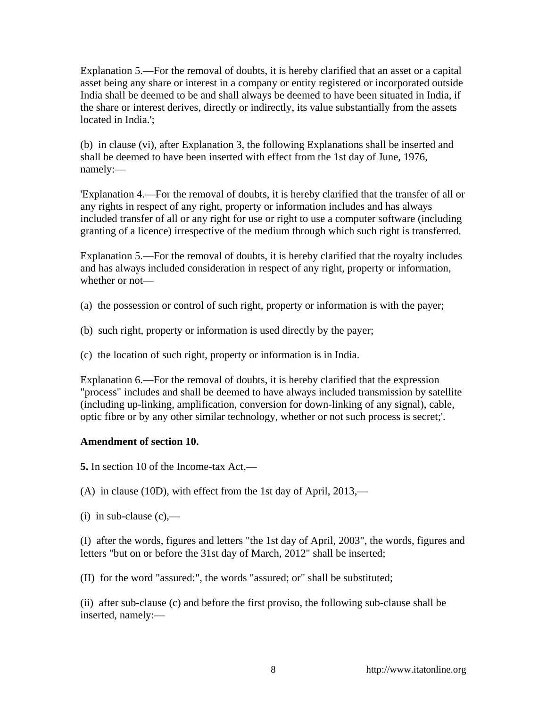Explanation 5.—For the removal of doubts, it is hereby clarified that an asset or a capital asset being any share or interest in a company or entity registered or incorporated outside India shall be deemed to be and shall always be deemed to have been situated in India, if the share or interest derives, directly or indirectly, its value substantially from the assets located in India.';

(b) in clause (vi), after Explanation 3, the following Explanations shall be inserted and shall be deemed to have been inserted with effect from the 1st day of June, 1976, namely:—

'Explanation 4.—For the removal of doubts, it is hereby clarified that the transfer of all or any rights in respect of any right, property or information includes and has always included transfer of all or any right for use or right to use a computer software (including granting of a licence) irrespective of the medium through which such right is transferred.

Explanation 5.—For the removal of doubts, it is hereby clarified that the royalty includes and has always included consideration in respect of any right, property or information, whether or not—

- (a) the possession or control of such right, property or information is with the payer;
- (b) such right, property or information is used directly by the payer;
- (c) the location of such right, property or information is in India.

Explanation 6.—For the removal of doubts, it is hereby clarified that the expression "process" includes and shall be deemed to have always included transmission by satellite (including up-linking, amplification, conversion for down-linking of any signal), cable, optic fibre or by any other similar technology, whether or not such process is secret;'.

### **Amendment of section 10.**

**5.** In section 10 of the Income-tax Act,—

(A) in clause (10D), with effect from the 1st day of April, 2013,—

(i) in sub-clause  $(c)$ ,—

(I) after the words, figures and letters "the 1st day of April, 2003", the words, figures and letters "but on or before the 31st day of March, 2012" shall be inserted;

(II) for the word "assured:", the words "assured; or" shall be substituted;

(ii) after sub-clause (c) and before the first proviso, the following sub-clause shall be inserted, namely:—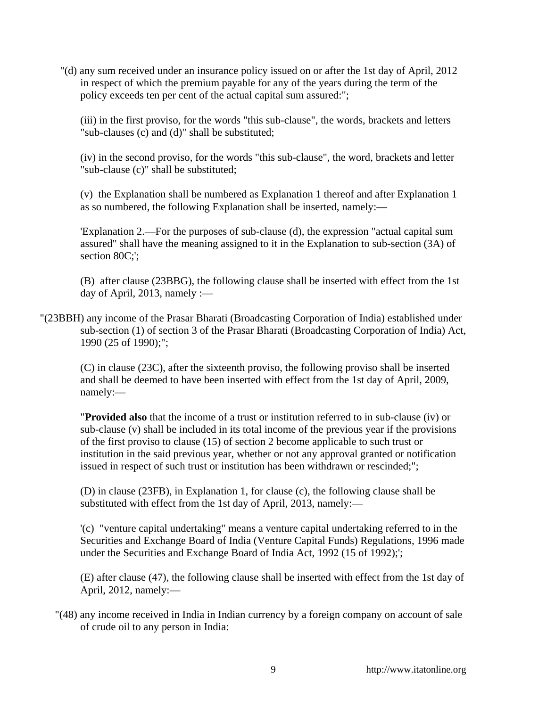"(d) any sum received under an insurance policy issued on or after the 1st day of April, 2012 in respect of which the premium payable for any of the years during the term of the policy exceeds ten per cent of the actual capital sum assured:";

(iii) in the first proviso, for the words "this sub-clause", the words, brackets and letters "sub-clauses (c) and (d)" shall be substituted;

(iv) in the second proviso, for the words "this sub-clause", the word, brackets and letter "sub-clause (c)" shall be substituted;

(v) the Explanation shall be numbered as Explanation 1 thereof and after Explanation 1 as so numbered, the following Explanation shall be inserted, namely:—

'Explanation 2.—For the purposes of sub-clause (d), the expression "actual capital sum assured" shall have the meaning assigned to it in the Explanation to sub-section (3A) of section 80C:':

(B) after clause (23BBG), the following clause shall be inserted with effect from the 1st day of April, 2013, namely : $\_\$ 

"(23BBH) any income of the Prasar Bharati (Broadcasting Corporation of India) established under sub-section (1) of section 3 of the Prasar Bharati (Broadcasting Corporation of India) Act, 1990 (25 of 1990);";

(C) in clause (23C), after the sixteenth proviso, the following proviso shall be inserted and shall be deemed to have been inserted with effect from the 1st day of April, 2009, namely:—

"**Provided also** that the income of a trust or institution referred to in sub-clause (iv) or sub-clause (v) shall be included in its total income of the previous year if the provisions of the first proviso to clause (15) of section 2 become applicable to such trust or institution in the said previous year, whether or not any approval granted or notification issued in respect of such trust or institution has been withdrawn or rescinded;";

(D) in clause (23FB), in Explanation 1, for clause (c), the following clause shall be substituted with effect from the 1st day of April, 2013, namely:—

'(c) "venture capital undertaking" means a venture capital undertaking referred to in the Securities and Exchange Board of India (Venture Capital Funds) Regulations, 1996 made under the Securities and Exchange Board of India Act, 1992 (15 of 1992);';

(E) after clause (47), the following clause shall be inserted with effect from the 1st day of April, 2012, namely:—

"(48) any income received in India in Indian currency by a foreign company on account of sale of crude oil to any person in India: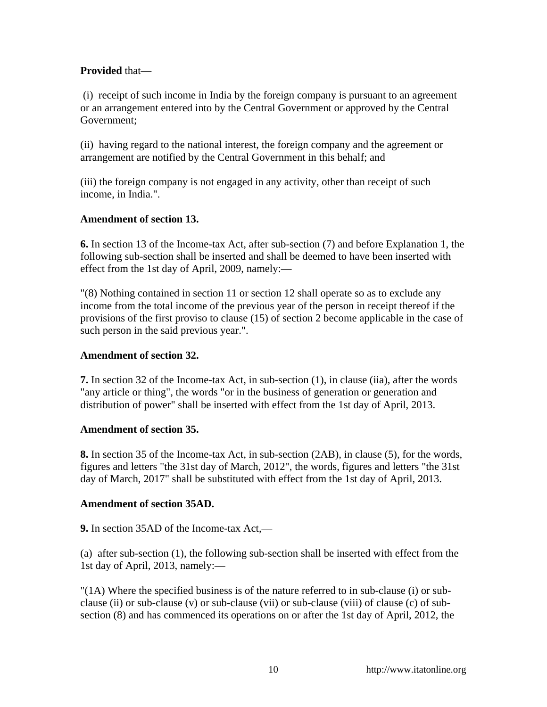## **Provided** that—

 (i) receipt of such income in India by the foreign company is pursuant to an agreement or an arrangement entered into by the Central Government or approved by the Central Government;

(ii) having regard to the national interest, the foreign company and the agreement or arrangement are notified by the Central Government in this behalf; and

(iii) the foreign company is not engaged in any activity, other than receipt of such income, in India.".

## **Amendment of section 13.**

**6.** In section 13 of the Income-tax Act, after sub-section (7) and before Explanation 1, the following sub-section shall be inserted and shall be deemed to have been inserted with effect from the 1st day of April, 2009, namely:—

"(8) Nothing contained in section 11 or section 12 shall operate so as to exclude any income from the total income of the previous year of the person in receipt thereof if the provisions of the first proviso to clause (15) of section 2 become applicable in the case of such person in the said previous year.".

### **Amendment of section 32.**

**7.** In section 32 of the Income-tax Act, in sub-section (1), in clause (iia), after the words "any article or thing", the words "or in the business of generation or generation and distribution of power" shall be inserted with effect from the 1st day of April, 2013.

### **Amendment of section 35.**

**8.** In section 35 of the Income-tax Act, in sub-section (2AB), in clause (5), for the words, figures and letters "the 31st day of March, 2012", the words, figures and letters "the 31st day of March, 2017" shall be substituted with effect from the 1st day of April, 2013.

### **Amendment of section 35AD.**

**9.** In section 35AD of the Income-tax Act,—

(a) after sub-section (1), the following sub-section shall be inserted with effect from the 1st day of April, 2013, namely:—

"(1A) Where the specified business is of the nature referred to in sub-clause (i) or subclause (ii) or sub-clause (v) or sub-clause (vii) or sub-clause (viii) of clause (c) of subsection (8) and has commenced its operations on or after the 1st day of April, 2012, the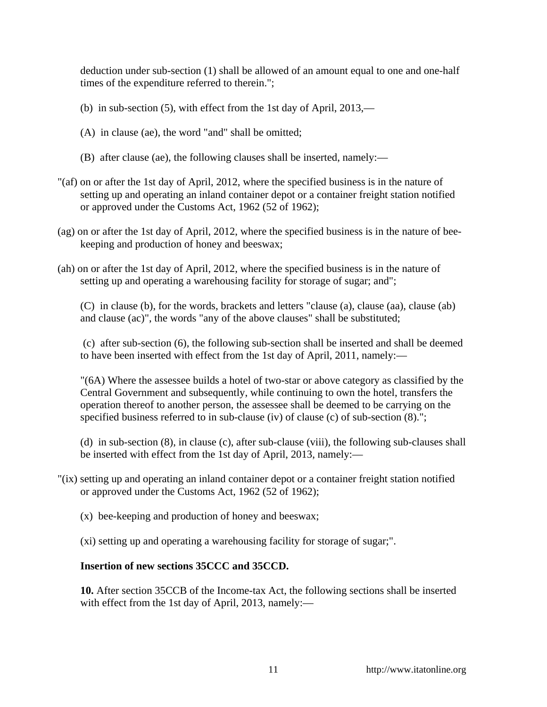deduction under sub-section (1) shall be allowed of an amount equal to one and one-half times of the expenditure referred to therein.";

- (b) in sub-section (5), with effect from the 1st day of April, 2013,—
- (A) in clause (ae), the word "and" shall be omitted;
- (B) after clause (ae), the following clauses shall be inserted, namely:—
- "(af) on or after the 1st day of April, 2012, where the specified business is in the nature of setting up and operating an inland container depot or a container freight station notified or approved under the Customs Act, 1962 (52 of 1962);
- (ag) on or after the 1st day of April, 2012, where the specified business is in the nature of beekeeping and production of honey and beeswax;
- (ah) on or after the 1st day of April, 2012, where the specified business is in the nature of setting up and operating a warehousing facility for storage of sugar; and";

(C) in clause (b), for the words, brackets and letters "clause (a), clause (aa), clause (ab) and clause (ac)", the words "any of the above clauses" shall be substituted;

 (c) after sub-section (6), the following sub-section shall be inserted and shall be deemed to have been inserted with effect from the 1st day of April, 2011, namely:—

"(6A) Where the assessee builds a hotel of two-star or above category as classified by the Central Government and subsequently, while continuing to own the hotel, transfers the operation thereof to another person, the assessee shall be deemed to be carrying on the specified business referred to in sub-clause (iv) of clause (c) of sub-section  $(8)$ .";

(d) in sub-section (8), in clause (c), after sub-clause (viii), the following sub-clauses shall be inserted with effect from the 1st day of April, 2013, namely:—

- "(ix) setting up and operating an inland container depot or a container freight station notified or approved under the Customs Act, 1962 (52 of 1962);
	- (x) bee-keeping and production of honey and beeswax;
	- (xi) setting up and operating a warehousing facility for storage of sugar;".

## **Insertion of new sections 35CCC and 35CCD.**

**10.** After section 35CCB of the Income-tax Act, the following sections shall be inserted with effect from the 1st day of April, 2013, namely:-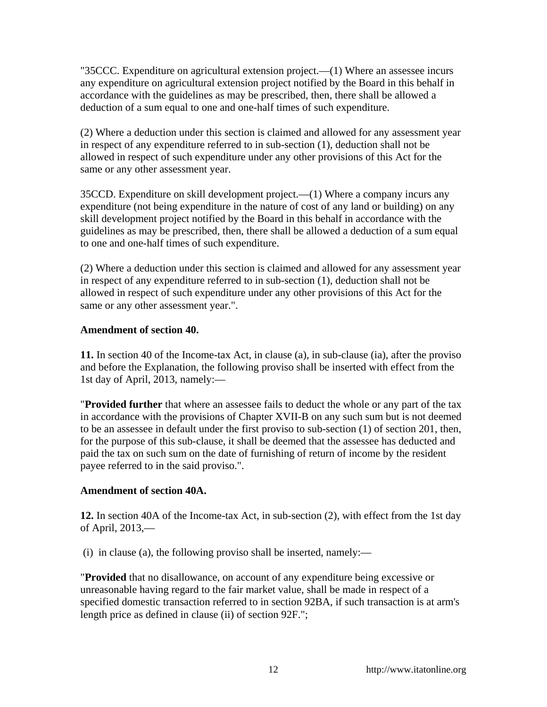"35CCC. Expenditure on agricultural extension project.—(1) Where an assessee incurs any expenditure on agricultural extension project notified by the Board in this behalf in accordance with the guidelines as may be prescribed, then, there shall be allowed a deduction of a sum equal to one and one-half times of such expenditure.

(2) Where a deduction under this section is claimed and allowed for any assessment year in respect of any expenditure referred to in sub-section (1), deduction shall not be allowed in respect of such expenditure under any other provisions of this Act for the same or any other assessment year.

35CCD. Expenditure on skill development project.—(1) Where a company incurs any expenditure (not being expenditure in the nature of cost of any land or building) on any skill development project notified by the Board in this behalf in accordance with the guidelines as may be prescribed, then, there shall be allowed a deduction of a sum equal to one and one-half times of such expenditure.

(2) Where a deduction under this section is claimed and allowed for any assessment year in respect of any expenditure referred to in sub-section (1), deduction shall not be allowed in respect of such expenditure under any other provisions of this Act for the same or any other assessment year.".

## **Amendment of section 40.**

**11.** In section 40 of the Income-tax Act, in clause (a), in sub-clause (ia), after the proviso and before the Explanation, the following proviso shall be inserted with effect from the 1st day of April, 2013, namely:—

"**Provided further** that where an assessee fails to deduct the whole or any part of the tax in accordance with the provisions of Chapter XVII-B on any such sum but is not deemed to be an assessee in default under the first proviso to sub-section (1) of section 201, then, for the purpose of this sub-clause, it shall be deemed that the assessee has deducted and paid the tax on such sum on the date of furnishing of return of income by the resident payee referred to in the said proviso.".

# **Amendment of section 40A.**

**12.** In section 40A of the Income-tax Act, in sub-section (2), with effect from the 1st day of April, 2013,—

(i) in clause (a), the following proviso shall be inserted, namely:—

"**Provided** that no disallowance, on account of any expenditure being excessive or unreasonable having regard to the fair market value, shall be made in respect of a specified domestic transaction referred to in section 92BA, if such transaction is at arm's length price as defined in clause (ii) of section 92F.";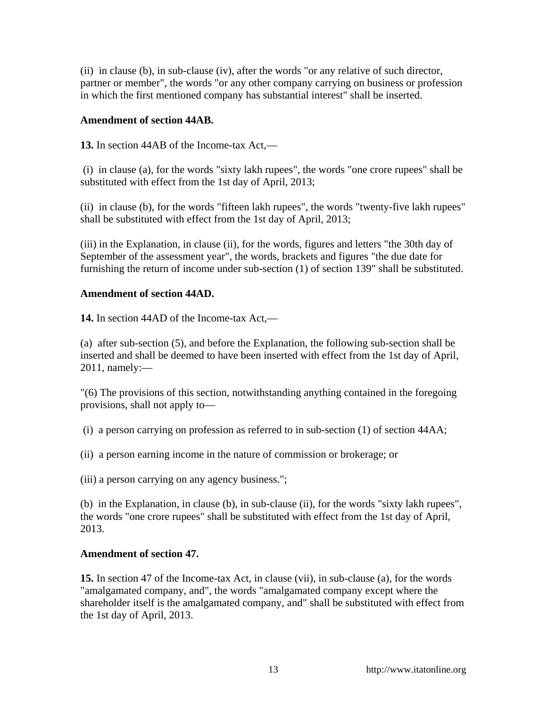(ii) in clause (b), in sub-clause (iv), after the words "or any relative of such director, partner or member", the words "or any other company carrying on business or profession in which the first mentioned company has substantial interest" shall be inserted.

### **Amendment of section 44AB.**

**13.** In section 44AB of the Income-tax Act,—

 (i) in clause (a), for the words "sixty lakh rupees", the words "one crore rupees" shall be substituted with effect from the 1st day of April, 2013;

(ii) in clause (b), for the words "fifteen lakh rupees", the words "twenty-five lakh rupees" shall be substituted with effect from the 1st day of April, 2013;

(iii) in the Explanation, in clause (ii), for the words, figures and letters "the 30th day of September of the assessment year", the words, brackets and figures "the due date for furnishing the return of income under sub-section (1) of section 139" shall be substituted.

## **Amendment of section 44AD.**

**14.** In section 44AD of the Income-tax Act,—

(a) after sub-section (5), and before the Explanation, the following sub-section shall be inserted and shall be deemed to have been inserted with effect from the 1st day of April, 2011, namely:—

"(6) The provisions of this section, notwithstanding anything contained in the foregoing provisions, shall not apply to—

(i) a person carrying on profession as referred to in sub-section (1) of section 44AA;

(ii) a person earning income in the nature of commission or brokerage; or

(iii) a person carrying on any agency business.";

(b) in the Explanation, in clause (b), in sub-clause (ii), for the words "sixty lakh rupees", the words "one crore rupees" shall be substituted with effect from the 1st day of April, 2013.

# **Amendment of section 47.**

**15.** In section 47 of the Income-tax Act, in clause (vii), in sub-clause (a), for the words "amalgamated company, and", the words "amalgamated company except where the shareholder itself is the amalgamated company, and" shall be substituted with effect from the 1st day of April, 2013.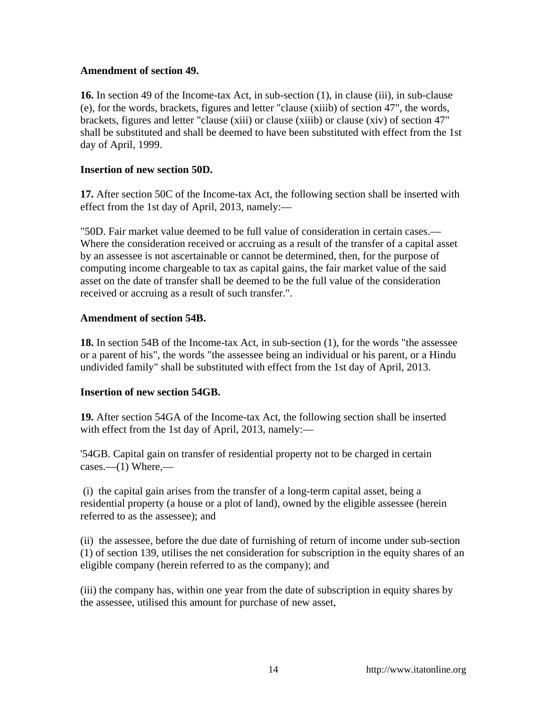### **Amendment of section 49.**

**16.** In section 49 of the Income-tax Act, in sub-section (1), in clause (iii), in sub-clause (e), for the words, brackets, figures and letter "clause (xiiib) of section 47", the words, brackets, figures and letter "clause (xiii) or clause (xiiib) or clause (xiv) of section 47" shall be substituted and shall be deemed to have been substituted with effect from the 1st day of April, 1999.

### **Insertion of new section 50D.**

**17.** After section 50C of the Income-tax Act, the following section shall be inserted with effect from the 1st day of April, 2013, namely:—

"50D. Fair market value deemed to be full value of consideration in certain cases.— Where the consideration received or accruing as a result of the transfer of a capital asset by an assessee is not ascertainable or cannot be determined, then, for the purpose of computing income chargeable to tax as capital gains, the fair market value of the said asset on the date of transfer shall be deemed to be the full value of the consideration received or accruing as a result of such transfer.".

#### **Amendment of section 54B.**

**18.** In section 54B of the Income-tax Act, in sub-section (1), for the words "the assessee or a parent of his", the words "the assessee being an individual or his parent, or a Hindu undivided family" shall be substituted with effect from the 1st day of April, 2013.

### **Insertion of new section 54GB.**

**19.** After section 54GA of the Income-tax Act, the following section shall be inserted with effect from the 1st day of April, 2013, namely:—

'54GB. Capital gain on transfer of residential property not to be charged in certain  $cases. -(1)$  Where, —

 (i) the capital gain arises from the transfer of a long-term capital asset, being a residential property (a house or a plot of land), owned by the eligible assessee (herein referred to as the assessee); and

(ii) the assessee, before the due date of furnishing of return of income under sub-section (1) of section 139, utilises the net consideration for subscription in the equity shares of an eligible company (herein referred to as the company); and

(iii) the company has, within one year from the date of subscription in equity shares by the assessee, utilised this amount for purchase of new asset,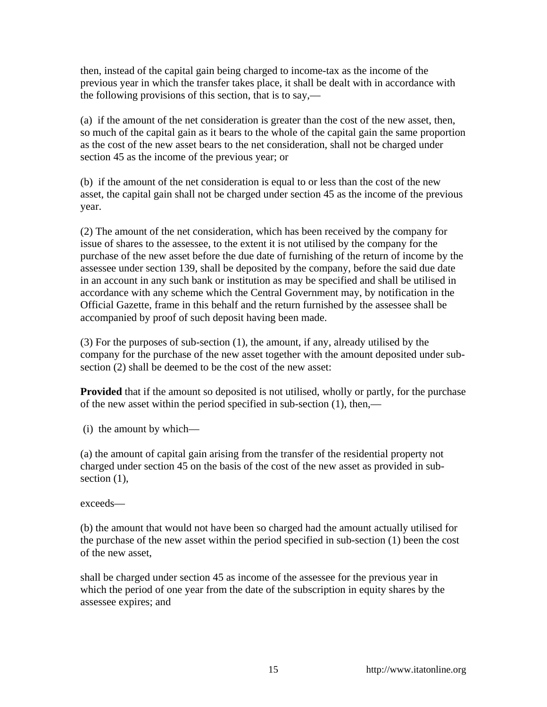then, instead of the capital gain being charged to income-tax as the income of the previous year in which the transfer takes place, it shall be dealt with in accordance with the following provisions of this section, that is to say,—

(a) if the amount of the net consideration is greater than the cost of the new asset, then, so much of the capital gain as it bears to the whole of the capital gain the same proportion as the cost of the new asset bears to the net consideration, shall not be charged under section 45 as the income of the previous year; or

(b) if the amount of the net consideration is equal to or less than the cost of the new asset, the capital gain shall not be charged under section 45 as the income of the previous year.

(2) The amount of the net consideration, which has been received by the company for issue of shares to the assessee, to the extent it is not utilised by the company for the purchase of the new asset before the due date of furnishing of the return of income by the assessee under section 139, shall be deposited by the company, before the said due date in an account in any such bank or institution as may be specified and shall be utilised in accordance with any scheme which the Central Government may, by notification in the Official Gazette, frame in this behalf and the return furnished by the assessee shall be accompanied by proof of such deposit having been made.

(3) For the purposes of sub-section (1), the amount, if any, already utilised by the company for the purchase of the new asset together with the amount deposited under subsection (2) shall be deemed to be the cost of the new asset:

**Provided** that if the amount so deposited is not utilised, wholly or partly, for the purchase of the new asset within the period specified in sub-section (1), then,—

(i) the amount by which—

(a) the amount of capital gain arising from the transfer of the residential property not charged under section 45 on the basis of the cost of the new asset as provided in subsection  $(1)$ ,

exceeds—

(b) the amount that would not have been so charged had the amount actually utilised for the purchase of the new asset within the period specified in sub-section (1) been the cost of the new asset,

shall be charged under section 45 as income of the assessee for the previous year in which the period of one year from the date of the subscription in equity shares by the assessee expires; and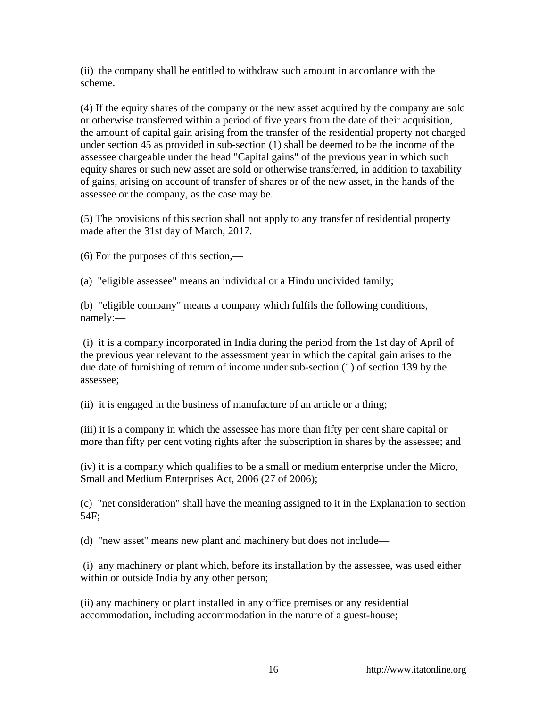(ii) the company shall be entitled to withdraw such amount in accordance with the scheme.

(4) If the equity shares of the company or the new asset acquired by the company are sold or otherwise transferred within a period of five years from the date of their acquisition, the amount of capital gain arising from the transfer of the residential property not charged under section 45 as provided in sub-section (1) shall be deemed to be the income of the assessee chargeable under the head "Capital gains" of the previous year in which such equity shares or such new asset are sold or otherwise transferred, in addition to taxability of gains, arising on account of transfer of shares or of the new asset, in the hands of the assessee or the company, as the case may be.

(5) The provisions of this section shall not apply to any transfer of residential property made after the 31st day of March, 2017.

(6) For the purposes of this section,—

(a) "eligible assessee" means an individual or a Hindu undivided family;

(b) "eligible company" means a company which fulfils the following conditions, namely:—

 (i) it is a company incorporated in India during the period from the 1st day of April of the previous year relevant to the assessment year in which the capital gain arises to the due date of furnishing of return of income under sub-section (1) of section 139 by the assessee;

(ii) it is engaged in the business of manufacture of an article or a thing;

(iii) it is a company in which the assessee has more than fifty per cent share capital or more than fifty per cent voting rights after the subscription in shares by the assessee; and

(iv) it is a company which qualifies to be a small or medium enterprise under the Micro, Small and Medium Enterprises Act, 2006 (27 of 2006);

(c) "net consideration" shall have the meaning assigned to it in the Explanation to section 54F;

(d) "new asset" means new plant and machinery but does not include—

 (i) any machinery or plant which, before its installation by the assessee, was used either within or outside India by any other person;

(ii) any machinery or plant installed in any office premises or any residential accommodation, including accommodation in the nature of a guest-house;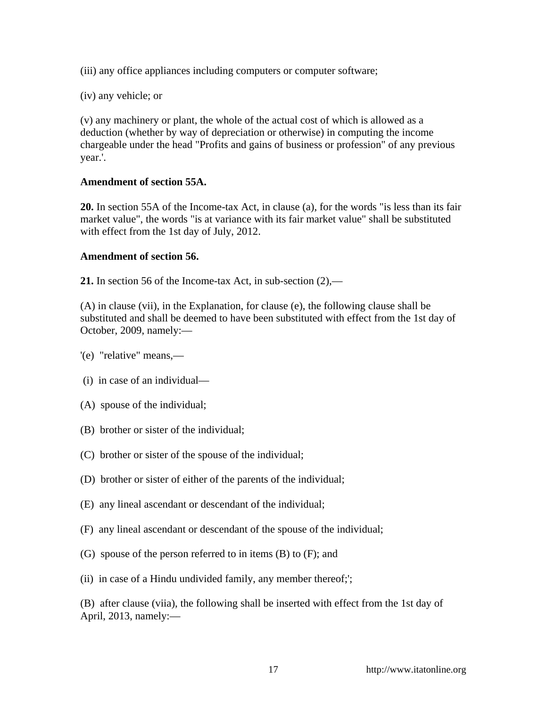(iii) any office appliances including computers or computer software;

(iv) any vehicle; or

(v) any machinery or plant, the whole of the actual cost of which is allowed as a deduction (whether by way of depreciation or otherwise) in computing the income chargeable under the head "Profits and gains of business or profession" of any previous year.'.

## **Amendment of section 55A.**

**20.** In section 55A of the Income-tax Act, in clause (a), for the words "is less than its fair market value", the words "is at variance with its fair market value" shall be substituted with effect from the 1st day of July, 2012.

## **Amendment of section 56.**

**21.** In section 56 of the Income-tax Act, in sub-section (2),—

(A) in clause (vii), in the Explanation, for clause (e), the following clause shall be substituted and shall be deemed to have been substituted with effect from the 1st day of October, 2009, namely:—

- '(e) "relative" means,—
- (i) in case of an individual—
- (A) spouse of the individual;
- (B) brother or sister of the individual;
- (C) brother or sister of the spouse of the individual;
- (D) brother or sister of either of the parents of the individual;
- (E) any lineal ascendant or descendant of the individual;
- (F) any lineal ascendant or descendant of the spouse of the individual;
- (G) spouse of the person referred to in items (B) to (F); and
- (ii) in case of a Hindu undivided family, any member thereof;';

(B) after clause (viia), the following shall be inserted with effect from the 1st day of April, 2013, namely:—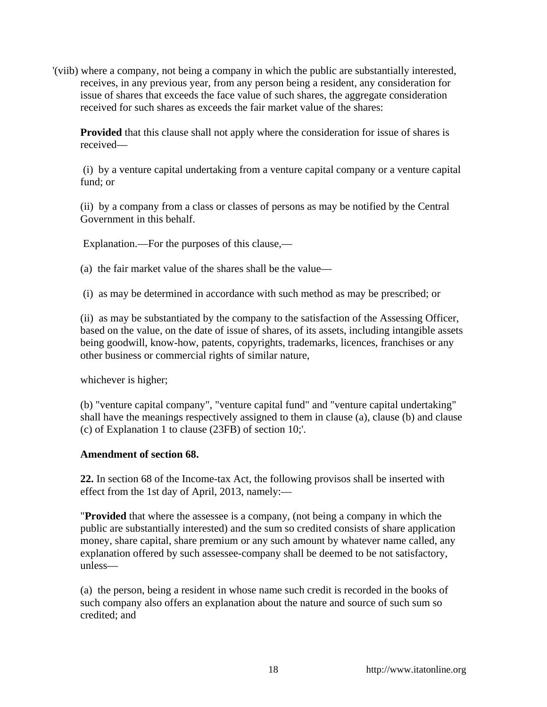'(viib) where a company, not being a company in which the public are substantially interested, receives, in any previous year, from any person being a resident, any consideration for issue of shares that exceeds the face value of such shares, the aggregate consideration received for such shares as exceeds the fair market value of the shares:

**Provided** that this clause shall not apply where the consideration for issue of shares is received—

 (i) by a venture capital undertaking from a venture capital company or a venture capital fund; or

(ii) by a company from a class or classes of persons as may be notified by the Central Government in this behalf.

Explanation.—For the purposes of this clause,—

(a) the fair market value of the shares shall be the value—

(i) as may be determined in accordance with such method as may be prescribed; or

(ii) as may be substantiated by the company to the satisfaction of the Assessing Officer, based on the value, on the date of issue of shares, of its assets, including intangible assets being goodwill, know-how, patents, copyrights, trademarks, licences, franchises or any other business or commercial rights of similar nature,

whichever is higher;

(b) "venture capital company", "venture capital fund" and "venture capital undertaking" shall have the meanings respectively assigned to them in clause (a), clause (b) and clause (c) of Explanation 1 to clause (23FB) of section 10;'.

# **Amendment of section 68.**

**22.** In section 68 of the Income-tax Act, the following provisos shall be inserted with effect from the 1st day of April, 2013, namely:—

"**Provided** that where the assessee is a company, (not being a company in which the public are substantially interested) and the sum so credited consists of share application money, share capital, share premium or any such amount by whatever name called, any explanation offered by such assessee-company shall be deemed to be not satisfactory, unless—

(a) the person, being a resident in whose name such credit is recorded in the books of such company also offers an explanation about the nature and source of such sum so credited; and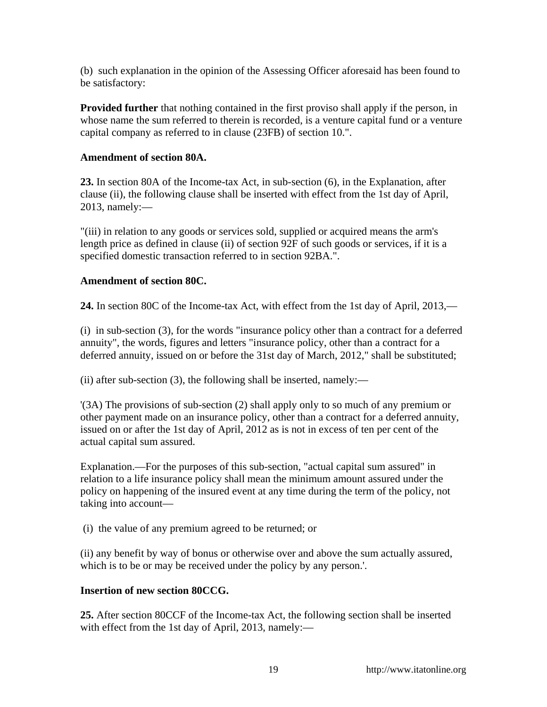(b) such explanation in the opinion of the Assessing Officer aforesaid has been found to be satisfactory:

**Provided further** that nothing contained in the first proviso shall apply if the person, in whose name the sum referred to therein is recorded, is a venture capital fund or a venture capital company as referred to in clause (23FB) of section 10.".

## **Amendment of section 80A.**

**23.** In section 80A of the Income-tax Act, in sub-section (6), in the Explanation, after clause (ii), the following clause shall be inserted with effect from the 1st day of April, 2013, namely:—

"(iii) in relation to any goods or services sold, supplied or acquired means the arm's length price as defined in clause (ii) of section 92F of such goods or services, if it is a specified domestic transaction referred to in section 92BA.".

## **Amendment of section 80C.**

**24.** In section 80C of the Income-tax Act, with effect from the 1st day of April, 2013,—

(i) in sub-section (3), for the words "insurance policy other than a contract for a deferred annuity", the words, figures and letters "insurance policy, other than a contract for a deferred annuity, issued on or before the 31st day of March, 2012," shall be substituted;

(ii) after sub-section  $(3)$ , the following shall be inserted, namely:—

'(3A) The provisions of sub-section (2) shall apply only to so much of any premium or other payment made on an insurance policy, other than a contract for a deferred annuity, issued on or after the 1st day of April, 2012 as is not in excess of ten per cent of the actual capital sum assured.

Explanation.—For the purposes of this sub-section, "actual capital sum assured" in relation to a life insurance policy shall mean the minimum amount assured under the policy on happening of the insured event at any time during the term of the policy, not taking into account—

(i) the value of any premium agreed to be returned; or

(ii) any benefit by way of bonus or otherwise over and above the sum actually assured, which is to be or may be received under the policy by any person.'.

# **Insertion of new section 80CCG.**

**25.** After section 80CCF of the Income-tax Act, the following section shall be inserted with effect from the 1st day of April, 2013, namely:—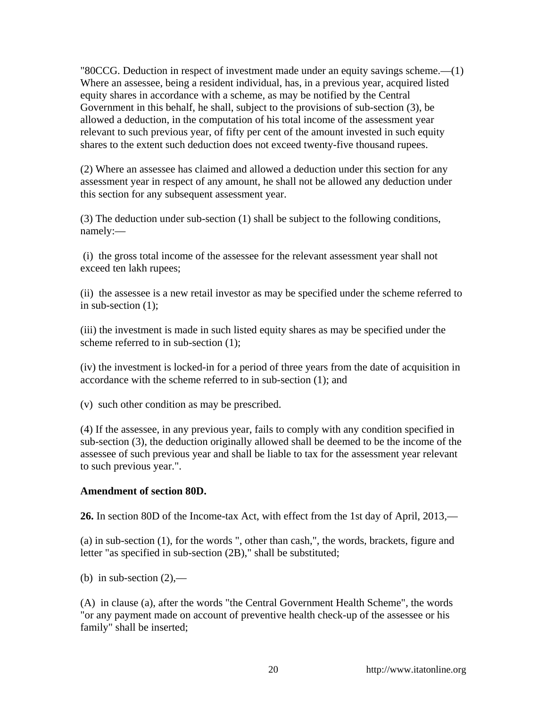"80CCG. Deduction in respect of investment made under an equity savings scheme.—(1) Where an assessee, being a resident individual, has, in a previous year, acquired listed equity shares in accordance with a scheme, as may be notified by the Central Government in this behalf, he shall, subject to the provisions of sub-section (3), be allowed a deduction, in the computation of his total income of the assessment year relevant to such previous year, of fifty per cent of the amount invested in such equity shares to the extent such deduction does not exceed twenty-five thousand rupees.

(2) Where an assessee has claimed and allowed a deduction under this section for any assessment year in respect of any amount, he shall not be allowed any deduction under this section for any subsequent assessment year.

(3) The deduction under sub-section (1) shall be subject to the following conditions, namely:—

 (i) the gross total income of the assessee for the relevant assessment year shall not exceed ten lakh rupees;

(ii) the assessee is a new retail investor as may be specified under the scheme referred to in sub-section (1);

(iii) the investment is made in such listed equity shares as may be specified under the scheme referred to in sub-section (1);

(iv) the investment is locked-in for a period of three years from the date of acquisition in accordance with the scheme referred to in sub-section (1); and

(v) such other condition as may be prescribed.

(4) If the assessee, in any previous year, fails to comply with any condition specified in sub-section (3), the deduction originally allowed shall be deemed to be the income of the assessee of such previous year and shall be liable to tax for the assessment year relevant to such previous year.".

#### **Amendment of section 80D.**

**26.** In section 80D of the Income-tax Act, with effect from the 1st day of April, 2013,—

(a) in sub-section (1), for the words ", other than cash,", the words, brackets, figure and letter "as specified in sub-section (2B)," shall be substituted;

(b) in sub-section  $(2)$ ,—

(A) in clause (a), after the words "the Central Government Health Scheme", the words "or any payment made on account of preventive health check-up of the assessee or his family" shall be inserted;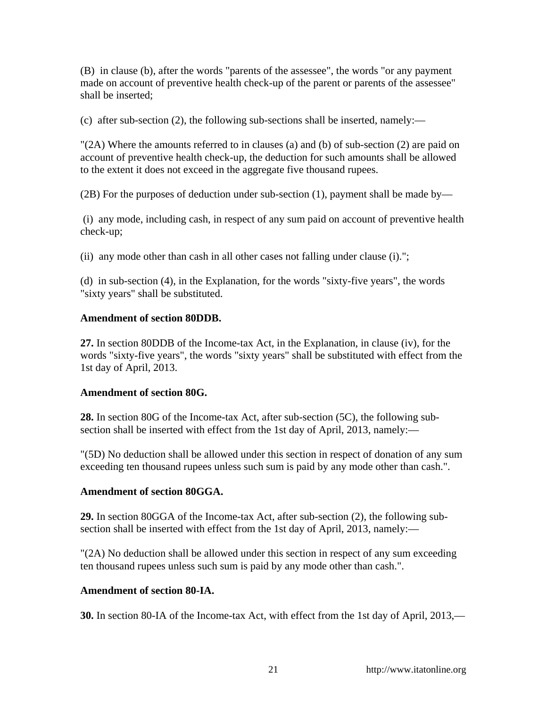(B) in clause (b), after the words "parents of the assessee", the words "or any payment made on account of preventive health check-up of the parent or parents of the assessee" shall be inserted;

(c) after sub-section (2), the following sub-sections shall be inserted, namely:—

 $\Gamma(2A)$  Where the amounts referred to in clauses (a) and (b) of sub-section (2) are paid on account of preventive health check-up, the deduction for such amounts shall be allowed to the extent it does not exceed in the aggregate five thousand rupees.

(2B) For the purposes of deduction under sub-section (1), payment shall be made by—

 (i) any mode, including cash, in respect of any sum paid on account of preventive health check-up;

(ii) any mode other than cash in all other cases not falling under clause (i).";

(d) in sub-section (4), in the Explanation, for the words "sixty-five years", the words "sixty years" shall be substituted.

### **Amendment of section 80DDB.**

**27.** In section 80DDB of the Income-tax Act, in the Explanation, in clause (iv), for the words "sixty-five years", the words "sixty years" shall be substituted with effect from the 1st day of April, 2013.

### **Amendment of section 80G.**

**28.** In section 80G of the Income-tax Act, after sub-section (5C), the following subsection shall be inserted with effect from the 1st day of April, 2013, namely:—

"(5D) No deduction shall be allowed under this section in respect of donation of any sum exceeding ten thousand rupees unless such sum is paid by any mode other than cash.".

### **Amendment of section 80GGA.**

**29.** In section 80GGA of the Income-tax Act, after sub-section (2), the following subsection shall be inserted with effect from the 1st day of April, 2013, namely:—

"(2A) No deduction shall be allowed under this section in respect of any sum exceeding ten thousand rupees unless such sum is paid by any mode other than cash.".

#### **Amendment of section 80-IA.**

**30.** In section 80-IA of the Income-tax Act, with effect from the 1st day of April, 2013,—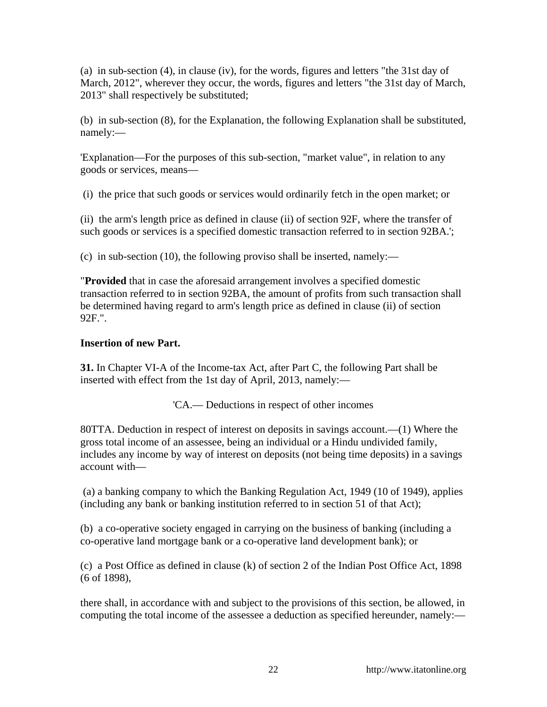(a) in sub-section (4), in clause (iv), for the words, figures and letters "the 31st day of March, 2012", wherever they occur, the words, figures and letters "the 31st day of March, 2013" shall respectively be substituted;

(b) in sub-section (8), for the Explanation, the following Explanation shall be substituted, namely:—

'Explanation—For the purposes of this sub-section, "market value", in relation to any goods or services, means—

(i) the price that such goods or services would ordinarily fetch in the open market; or

(ii) the arm's length price as defined in clause (ii) of section 92F, where the transfer of such goods or services is a specified domestic transaction referred to in section 92BA.';

(c) in sub-section (10), the following proviso shall be inserted, namely:—

"**Provided** that in case the aforesaid arrangement involves a specified domestic transaction referred to in section 92BA, the amount of profits from such transaction shall be determined having regard to arm's length price as defined in clause (ii) of section 92F.".

## **Insertion of new Part.**

**31.** In Chapter VI-A of the Income-tax Act, after Part C, the following Part shall be inserted with effect from the 1st day of April, 2013, namely:—

'CA.— Deductions in respect of other incomes

80TTA. Deduction in respect of interest on deposits in savings account.—(1) Where the gross total income of an assessee, being an individual or a Hindu undivided family, includes any income by way of interest on deposits (not being time deposits) in a savings account with—

 (a) a banking company to which the Banking Regulation Act, 1949 (10 of 1949), applies (including any bank or banking institution referred to in section 51 of that Act);

(b) a co-operative society engaged in carrying on the business of banking (including a co-operative land mortgage bank or a co-operative land development bank); or

(c) a Post Office as defined in clause (k) of section 2 of the Indian Post Office Act, 1898 (6 of 1898),

there shall, in accordance with and subject to the provisions of this section, be allowed, in computing the total income of the assessee a deduction as specified hereunder, namely:—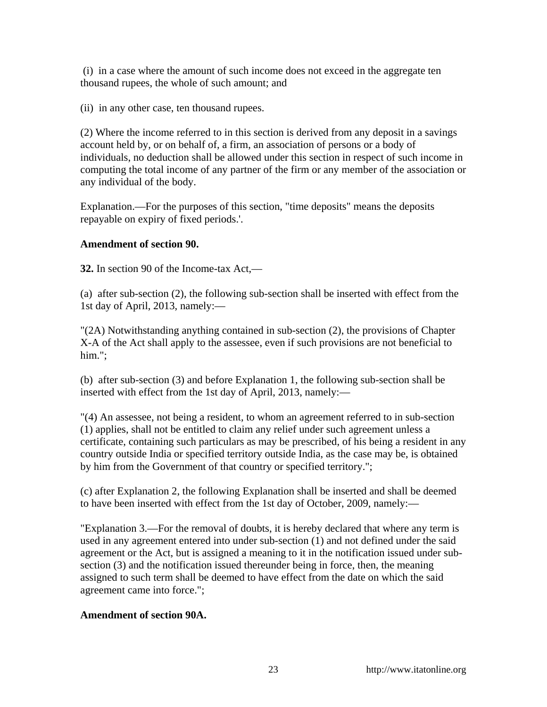(i) in a case where the amount of such income does not exceed in the aggregate ten thousand rupees, the whole of such amount; and

(ii) in any other case, ten thousand rupees.

(2) Where the income referred to in this section is derived from any deposit in a savings account held by, or on behalf of, a firm, an association of persons or a body of individuals, no deduction shall be allowed under this section in respect of such income in computing the total income of any partner of the firm or any member of the association or any individual of the body.

Explanation.—For the purposes of this section, "time deposits" means the deposits repayable on expiry of fixed periods.'.

## **Amendment of section 90.**

**32.** In section 90 of the Income-tax Act,—

(a) after sub-section (2), the following sub-section shall be inserted with effect from the 1st day of April, 2013, namely:—

"(2A) Notwithstanding anything contained in sub-section (2), the provisions of Chapter X-A of the Act shall apply to the assessee, even if such provisions are not beneficial to him.":

(b) after sub-section (3) and before Explanation 1, the following sub-section shall be inserted with effect from the 1st day of April, 2013, namely:—

"(4) An assessee, not being a resident, to whom an agreement referred to in sub-section (1) applies, shall not be entitled to claim any relief under such agreement unless a certificate, containing such particulars as may be prescribed, of his being a resident in any country outside India or specified territory outside India, as the case may be, is obtained by him from the Government of that country or specified territory.";

(c) after Explanation 2, the following Explanation shall be inserted and shall be deemed to have been inserted with effect from the 1st day of October, 2009, namely:—

"Explanation 3.—For the removal of doubts, it is hereby declared that where any term is used in any agreement entered into under sub-section (1) and not defined under the said agreement or the Act, but is assigned a meaning to it in the notification issued under subsection (3) and the notification issued thereunder being in force, then, the meaning assigned to such term shall be deemed to have effect from the date on which the said agreement came into force.";

# **Amendment of section 90A.**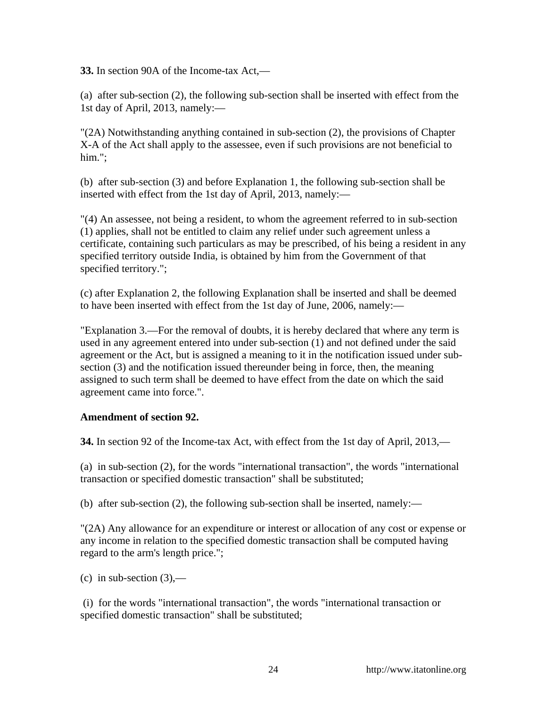**33.** In section 90A of the Income-tax Act,—

(a) after sub-section (2), the following sub-section shall be inserted with effect from the 1st day of April, 2013, namely:—

"(2A) Notwithstanding anything contained in sub-section (2), the provisions of Chapter X-A of the Act shall apply to the assessee, even if such provisions are not beneficial to him.";

(b) after sub-section (3) and before Explanation 1, the following sub-section shall be inserted with effect from the 1st day of April, 2013, namely:—

"(4) An assessee, not being a resident, to whom the agreement referred to in sub-section (1) applies, shall not be entitled to claim any relief under such agreement unless a certificate, containing such particulars as may be prescribed, of his being a resident in any specified territory outside India, is obtained by him from the Government of that specified territory.";

(c) after Explanation 2, the following Explanation shall be inserted and shall be deemed to have been inserted with effect from the 1st day of June, 2006, namely:—

"Explanation 3.—For the removal of doubts, it is hereby declared that where any term is used in any agreement entered into under sub-section (1) and not defined under the said agreement or the Act, but is assigned a meaning to it in the notification issued under subsection (3) and the notification issued thereunder being in force, then, the meaning assigned to such term shall be deemed to have effect from the date on which the said agreement came into force.".

# **Amendment of section 92.**

**34.** In section 92 of the Income-tax Act, with effect from the 1st day of April, 2013,—

(a) in sub-section (2), for the words "international transaction", the words "international transaction or specified domestic transaction" shall be substituted;

(b) after sub-section (2), the following sub-section shall be inserted, namely:—

"(2A) Any allowance for an expenditure or interest or allocation of any cost or expense or any income in relation to the specified domestic transaction shall be computed having regard to the arm's length price.";

(c) in sub-section  $(3)$ ,—

 (i) for the words "international transaction", the words "international transaction or specified domestic transaction" shall be substituted;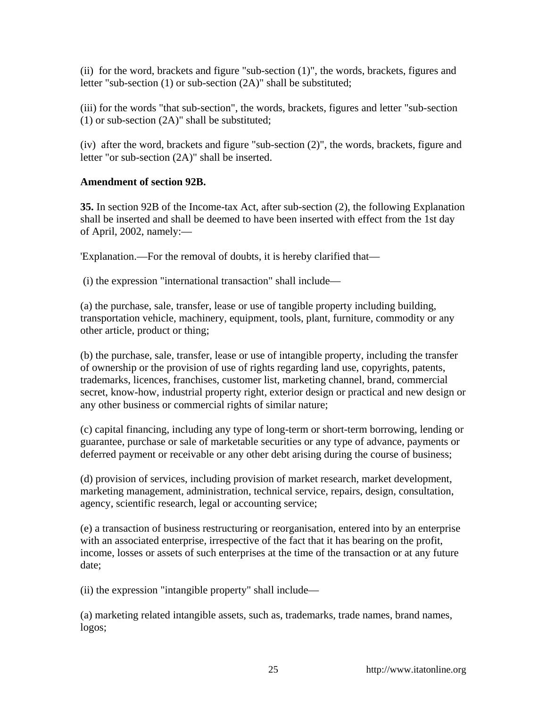(ii) for the word, brackets and figure "sub-section (1)", the words, brackets, figures and letter "sub-section (1) or sub-section (2A)" shall be substituted;

(iii) for the words "that sub-section", the words, brackets, figures and letter "sub-section (1) or sub-section (2A)" shall be substituted;

(iv) after the word, brackets and figure "sub-section (2)", the words, brackets, figure and letter "or sub-section (2A)" shall be inserted.

# **Amendment of section 92B.**

**35.** In section 92B of the Income-tax Act, after sub-section (2), the following Explanation shall be inserted and shall be deemed to have been inserted with effect from the 1st day of April, 2002, namely:—

'Explanation.—For the removal of doubts, it is hereby clarified that—

(i) the expression "international transaction" shall include—

(a) the purchase, sale, transfer, lease or use of tangible property including building, transportation vehicle, machinery, equipment, tools, plant, furniture, commodity or any other article, product or thing;

(b) the purchase, sale, transfer, lease or use of intangible property, including the transfer of ownership or the provision of use of rights regarding land use, copyrights, patents, trademarks, licences, franchises, customer list, marketing channel, brand, commercial secret, know-how, industrial property right, exterior design or practical and new design or any other business or commercial rights of similar nature;

(c) capital financing, including any type of long-term or short-term borrowing, lending or guarantee, purchase or sale of marketable securities or any type of advance, payments or deferred payment or receivable or any other debt arising during the course of business;

(d) provision of services, including provision of market research, market development, marketing management, administration, technical service, repairs, design, consultation, agency, scientific research, legal or accounting service;

(e) a transaction of business restructuring or reorganisation, entered into by an enterprise with an associated enterprise, irrespective of the fact that it has bearing on the profit, income, losses or assets of such enterprises at the time of the transaction or at any future date;

(ii) the expression "intangible property" shall include—

(a) marketing related intangible assets, such as, trademarks, trade names, brand names, logos;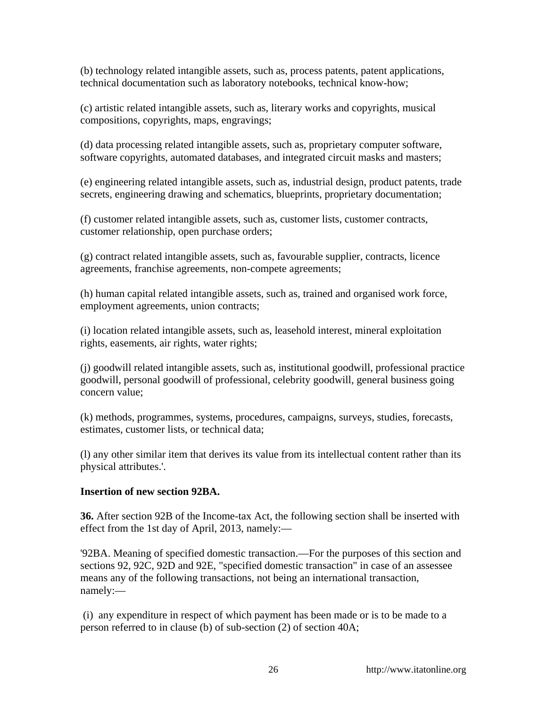(b) technology related intangible assets, such as, process patents, patent applications, technical documentation such as laboratory notebooks, technical know-how;

(c) artistic related intangible assets, such as, literary works and copyrights, musical compositions, copyrights, maps, engravings;

(d) data processing related intangible assets, such as, proprietary computer software, software copyrights, automated databases, and integrated circuit masks and masters;

(e) engineering related intangible assets, such as, industrial design, product patents, trade secrets, engineering drawing and schematics, blueprints, proprietary documentation;

(f) customer related intangible assets, such as, customer lists, customer contracts, customer relationship, open purchase orders;

(g) contract related intangible assets, such as, favourable supplier, contracts, licence agreements, franchise agreements, non-compete agreements;

(h) human capital related intangible assets, such as, trained and organised work force, employment agreements, union contracts;

(i) location related intangible assets, such as, leasehold interest, mineral exploitation rights, easements, air rights, water rights;

(j) goodwill related intangible assets, such as, institutional goodwill, professional practice goodwill, personal goodwill of professional, celebrity goodwill, general business going concern value;

(k) methods, programmes, systems, procedures, campaigns, surveys, studies, forecasts, estimates, customer lists, or technical data;

(l) any other similar item that derives its value from its intellectual content rather than its physical attributes.'.

### **Insertion of new section 92BA.**

**36.** After section 92B of the Income-tax Act, the following section shall be inserted with effect from the 1st day of April, 2013, namely:—

'92BA. Meaning of specified domestic transaction.—For the purposes of this section and sections 92, 92C, 92D and 92E, "specified domestic transaction" in case of an assessee means any of the following transactions, not being an international transaction, namely:—

 (i) any expenditure in respect of which payment has been made or is to be made to a person referred to in clause (b) of sub-section (2) of section 40A;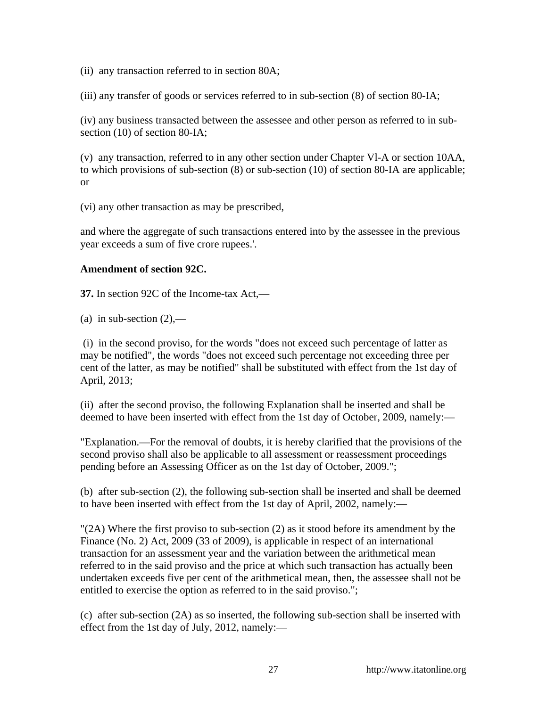(ii) any transaction referred to in section 80A;

(iii) any transfer of goods or services referred to in sub-section (8) of section 80-IA;

(iv) any business transacted between the assessee and other person as referred to in subsection (10) of section 80-IA;

(v) any transaction, referred to in any other section under Chapter Vl-A or section 10AA, to which provisions of sub-section (8) or sub-section (10) of section 80-IA are applicable; or

(vi) any other transaction as may be prescribed,

and where the aggregate of such transactions entered into by the assessee in the previous year exceeds a sum of five crore rupees.'.

## **Amendment of section 92C.**

**37.** In section 92C of the Income-tax Act,—

(a) in sub-section  $(2)$ ,—

 (i) in the second proviso, for the words "does not exceed such percentage of latter as may be notified", the words "does not exceed such percentage not exceeding three per cent of the latter, as may be notified" shall be substituted with effect from the 1st day of April, 2013;

(ii) after the second proviso, the following Explanation shall be inserted and shall be deemed to have been inserted with effect from the 1st day of October, 2009, namely:—

"Explanation.—For the removal of doubts, it is hereby clarified that the provisions of the second proviso shall also be applicable to all assessment or reassessment proceedings pending before an Assessing Officer as on the 1st day of October, 2009.";

(b) after sub-section (2), the following sub-section shall be inserted and shall be deemed to have been inserted with effect from the 1st day of April, 2002, namely:—

"(2A) Where the first proviso to sub-section (2) as it stood before its amendment by the Finance (No. 2) Act, 2009 (33 of 2009), is applicable in respect of an international transaction for an assessment year and the variation between the arithmetical mean referred to in the said proviso and the price at which such transaction has actually been undertaken exceeds five per cent of the arithmetical mean, then, the assessee shall not be entitled to exercise the option as referred to in the said proviso.";

(c) after sub-section (2A) as so inserted, the following sub-section shall be inserted with effect from the 1st day of July, 2012, namely:—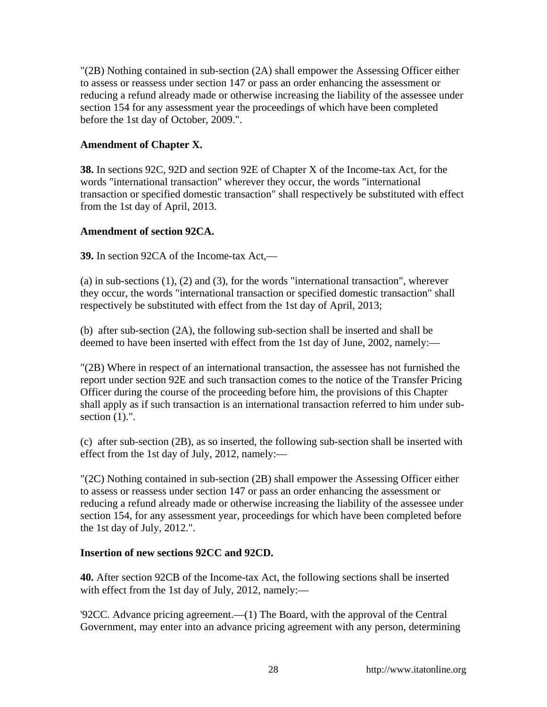"(2B) Nothing contained in sub-section (2A) shall empower the Assessing Officer either to assess or reassess under section 147 or pass an order enhancing the assessment or reducing a refund already made or otherwise increasing the liability of the assessee under section 154 for any assessment year the proceedings of which have been completed before the 1st day of October, 2009.".

## **Amendment of Chapter X.**

**38.** In sections 92C, 92D and section 92E of Chapter X of the Income-tax Act, for the words "international transaction" wherever they occur, the words "international transaction or specified domestic transaction" shall respectively be substituted with effect from the 1st day of April, 2013.

## **Amendment of section 92CA.**

**39.** In section 92CA of the Income-tax Act,—

(a) in sub-sections (1), (2) and (3), for the words "international transaction", wherever they occur, the words "international transaction or specified domestic transaction" shall respectively be substituted with effect from the 1st day of April, 2013;

(b) after sub-section (2A), the following sub-section shall be inserted and shall be deemed to have been inserted with effect from the 1st day of June, 2002, namely:—

"(2B) Where in respect of an international transaction, the assessee has not furnished the report under section 92E and such transaction comes to the notice of the Transfer Pricing Officer during the course of the proceeding before him, the provisions of this Chapter shall apply as if such transaction is an international transaction referred to him under subsection  $(1)$ .".

(c) after sub-section (2B), as so inserted, the following sub-section shall be inserted with effect from the 1st day of July, 2012, namely:—

"(2C) Nothing contained in sub-section (2B) shall empower the Assessing Officer either to assess or reassess under section 147 or pass an order enhancing the assessment or reducing a refund already made or otherwise increasing the liability of the assessee under section 154, for any assessment year, proceedings for which have been completed before the 1st day of July, 2012.".

### **Insertion of new sections 92CC and 92CD.**

**40.** After section 92CB of the Income-tax Act, the following sections shall be inserted with effect from the 1st day of July, 2012, namely:—

'92CC. Advance pricing agreement.—(1) The Board, with the approval of the Central Government, may enter into an advance pricing agreement with any person, determining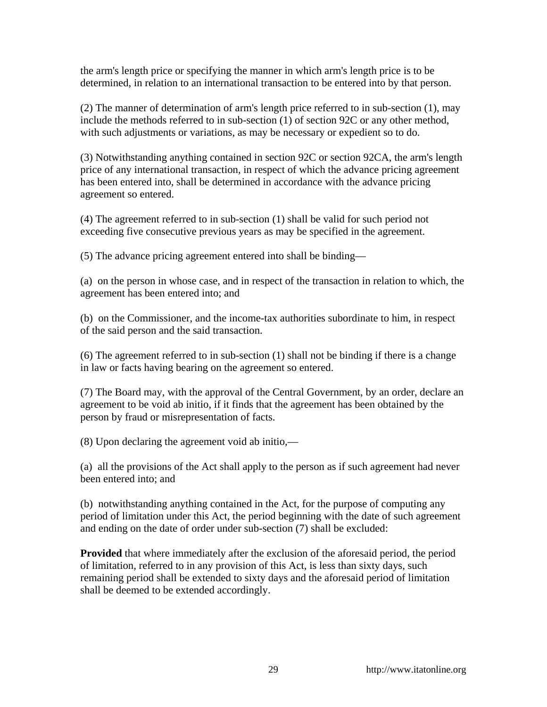the arm's length price or specifying the manner in which arm's length price is to be determined, in relation to an international transaction to be entered into by that person.

(2) The manner of determination of arm's length price referred to in sub-section (1), may include the methods referred to in sub-section (1) of section 92C or any other method, with such adjustments or variations, as may be necessary or expedient so to do.

(3) Notwithstanding anything contained in section 92C or section 92CA, the arm's length price of any international transaction, in respect of which the advance pricing agreement has been entered into, shall be determined in accordance with the advance pricing agreement so entered.

(4) The agreement referred to in sub-section (1) shall be valid for such period not exceeding five consecutive previous years as may be specified in the agreement.

(5) The advance pricing agreement entered into shall be binding—

(a) on the person in whose case, and in respect of the transaction in relation to which, the agreement has been entered into; and

(b) on the Commissioner, and the income-tax authorities subordinate to him, in respect of the said person and the said transaction.

(6) The agreement referred to in sub-section (1) shall not be binding if there is a change in law or facts having bearing on the agreement so entered.

(7) The Board may, with the approval of the Central Government, by an order, declare an agreement to be void ab initio, if it finds that the agreement has been obtained by the person by fraud or misrepresentation of facts.

(8) Upon declaring the agreement void ab initio,—

(a) all the provisions of the Act shall apply to the person as if such agreement had never been entered into; and

(b) notwithstanding anything contained in the Act, for the purpose of computing any period of limitation under this Act, the period beginning with the date of such agreement and ending on the date of order under sub-section (7) shall be excluded:

**Provided** that where immediately after the exclusion of the aforesaid period, the period of limitation, referred to in any provision of this Act, is less than sixty days, such remaining period shall be extended to sixty days and the aforesaid period of limitation shall be deemed to be extended accordingly.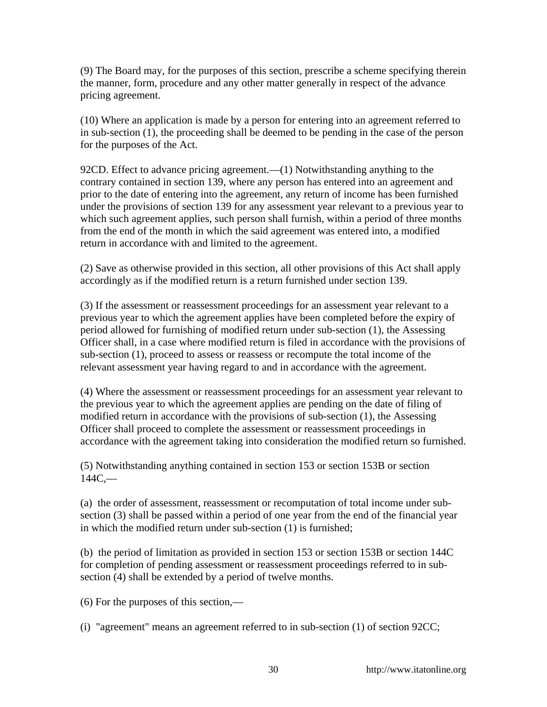(9) The Board may, for the purposes of this section, prescribe a scheme specifying therein the manner, form, procedure and any other matter generally in respect of the advance pricing agreement.

(10) Where an application is made by a person for entering into an agreement referred to in sub-section (1), the proceeding shall be deemed to be pending in the case of the person for the purposes of the Act.

92CD. Effect to advance pricing agreement.—(1) Notwithstanding anything to the contrary contained in section 139, where any person has entered into an agreement and prior to the date of entering into the agreement, any return of income has been furnished under the provisions of section 139 for any assessment year relevant to a previous year to which such agreement applies, such person shall furnish, within a period of three months from the end of the month in which the said agreement was entered into, a modified return in accordance with and limited to the agreement.

(2) Save as otherwise provided in this section, all other provisions of this Act shall apply accordingly as if the modified return is a return furnished under section 139.

(3) If the assessment or reassessment proceedings for an assessment year relevant to a previous year to which the agreement applies have been completed before the expiry of period allowed for furnishing of modified return under sub-section (1), the Assessing Officer shall, in a case where modified return is filed in accordance with the provisions of sub-section (1), proceed to assess or reassess or recompute the total income of the relevant assessment year having regard to and in accordance with the agreement.

(4) Where the assessment or reassessment proceedings for an assessment year relevant to the previous year to which the agreement applies are pending on the date of filing of modified return in accordance with the provisions of sub-section (1), the Assessing Officer shall proceed to complete the assessment or reassessment proceedings in accordance with the agreement taking into consideration the modified return so furnished.

(5) Notwithstanding anything contained in section 153 or section 153B or section  $144C$ ,—

(a) the order of assessment, reassessment or recomputation of total income under subsection (3) shall be passed within a period of one year from the end of the financial year in which the modified return under sub-section (1) is furnished;

(b) the period of limitation as provided in section 153 or section 153B or section 144C for completion of pending assessment or reassessment proceedings referred to in subsection (4) shall be extended by a period of twelve months.

(6) For the purposes of this section,—

(i) "agreement" means an agreement referred to in sub-section (1) of section 92CC;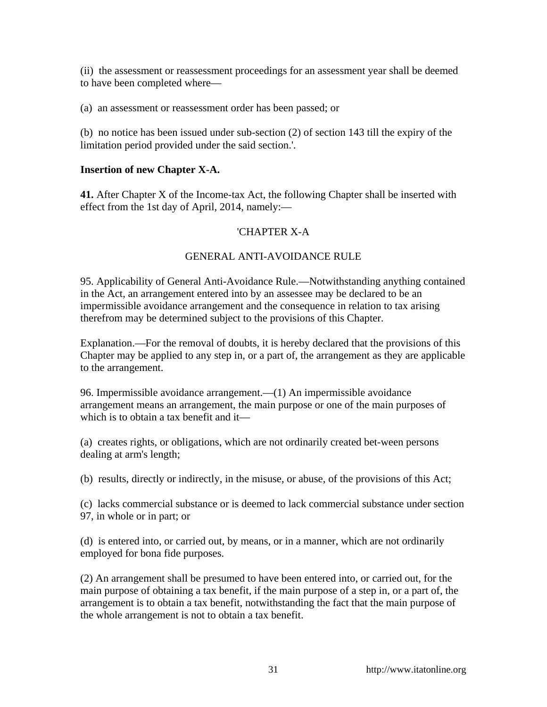(ii) the assessment or reassessment proceedings for an assessment year shall be deemed to have been completed where—

(a) an assessment or reassessment order has been passed; or

(b) no notice has been issued under sub-section (2) of section 143 till the expiry of the limitation period provided under the said section.'.

## **Insertion of new Chapter X-A.**

**41.** After Chapter X of the Income-tax Act, the following Chapter shall be inserted with effect from the 1st day of April, 2014, namely:—

# 'CHAPTER X-A

# GENERAL ANTI-AVOIDANCE RULE

95. Applicability of General Anti-Avoidance Rule.—Notwithstanding anything contained in the Act, an arrangement entered into by an assessee may be declared to be an impermissible avoidance arrangement and the consequence in relation to tax arising therefrom may be determined subject to the provisions of this Chapter.

Explanation.—For the removal of doubts, it is hereby declared that the provisions of this Chapter may be applied to any step in, or a part of, the arrangement as they are applicable to the arrangement.

96. Impermissible avoidance arrangement.—(1) An impermissible avoidance arrangement means an arrangement, the main purpose or one of the main purposes of which is to obtain a tax benefit and it—

(a) creates rights, or obligations, which are not ordinarily created bet-ween persons dealing at arm's length;

(b) results, directly or indirectly, in the misuse, or abuse, of the provisions of this Act;

(c) lacks commercial substance or is deemed to lack commercial substance under section 97, in whole or in part; or

(d) is entered into, or carried out, by means, or in a manner, which are not ordinarily employed for bona fide purposes.

(2) An arrangement shall be presumed to have been entered into, or carried out, for the main purpose of obtaining a tax benefit, if the main purpose of a step in, or a part of, the arrangement is to obtain a tax benefit, notwithstanding the fact that the main purpose of the whole arrangement is not to obtain a tax benefit.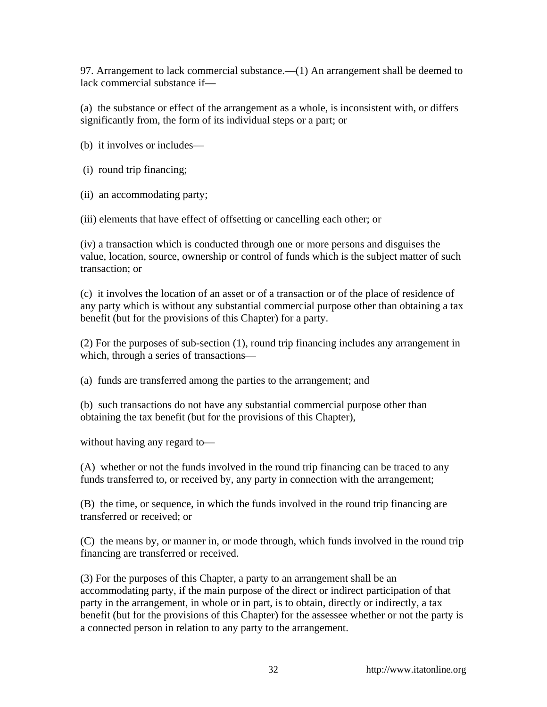97. Arrangement to lack commercial substance.—(1) An arrangement shall be deemed to lack commercial substance if—

(a) the substance or effect of the arrangement as a whole, is inconsistent with, or differs significantly from, the form of its individual steps or a part; or

(b) it involves or includes—

- (i) round trip financing;
- (ii) an accommodating party;

(iii) elements that have effect of offsetting or cancelling each other; or

(iv) a transaction which is conducted through one or more persons and disguises the value, location, source, ownership or control of funds which is the subject matter of such transaction; or

(c) it involves the location of an asset or of a transaction or of the place of residence of any party which is without any substantial commercial purpose other than obtaining a tax benefit (but for the provisions of this Chapter) for a party.

(2) For the purposes of sub-section (1), round trip financing includes any arrangement in which, through a series of transactions—

(a) funds are transferred among the parties to the arrangement; and

(b) such transactions do not have any substantial commercial purpose other than obtaining the tax benefit (but for the provisions of this Chapter),

without having any regard to—

(A) whether or not the funds involved in the round trip financing can be traced to any funds transferred to, or received by, any party in connection with the arrangement;

(B) the time, or sequence, in which the funds involved in the round trip financing are transferred or received; or

(C) the means by, or manner in, or mode through, which funds involved in the round trip financing are transferred or received.

(3) For the purposes of this Chapter, a party to an arrangement shall be an accommodating party, if the main purpose of the direct or indirect participation of that party in the arrangement, in whole or in part, is to obtain, directly or indirectly, a tax benefit (but for the provisions of this Chapter) for the assessee whether or not the party is a connected person in relation to any party to the arrangement.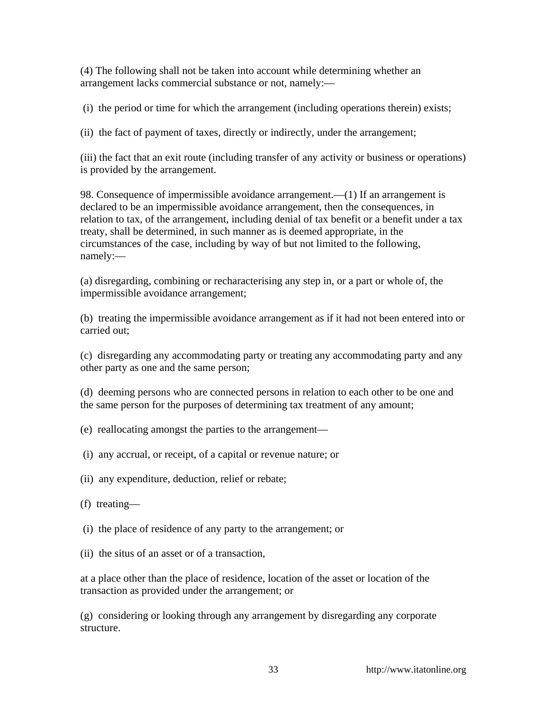(4) The following shall not be taken into account while determining whether an arrangement lacks commercial substance or not, namely:—

(i) the period or time for which the arrangement (including operations therein) exists;

(ii) the fact of payment of taxes, directly or indirectly, under the arrangement;

(iii) the fact that an exit route (including transfer of any activity or business or operations) is provided by the arrangement.

98. Consequence of impermissible avoidance arrangement.—(1) If an arrangement is declared to be an impermissible avoidance arrangement, then the consequences, in relation to tax, of the arrangement, including denial of tax benefit or a benefit under a tax treaty, shall be determined, in such manner as is deemed appropriate, in the circumstances of the case, including by way of but not limited to the following, namely:—

(a) disregarding, combining or recharacterising any step in, or a part or whole of, the impermissible avoidance arrangement;

(b) treating the impermissible avoidance arrangement as if it had not been entered into or carried out;

(c) disregarding any accommodating party or treating any accommodating party and any other party as one and the same person;

(d) deeming persons who are connected persons in relation to each other to be one and the same person for the purposes of determining tax treatment of any amount;

(e) reallocating amongst the parties to the arrangement—

(i) any accrual, or receipt, of a capital or revenue nature; or

(ii) any expenditure, deduction, relief or rebate;

(f) treating—

(i) the place of residence of any party to the arrangement; or

(ii) the situs of an asset or of a transaction,

at a place other than the place of residence, location of the asset or location of the transaction as provided under the arrangement; or

(g) considering or looking through any arrangement by disregarding any corporate structure.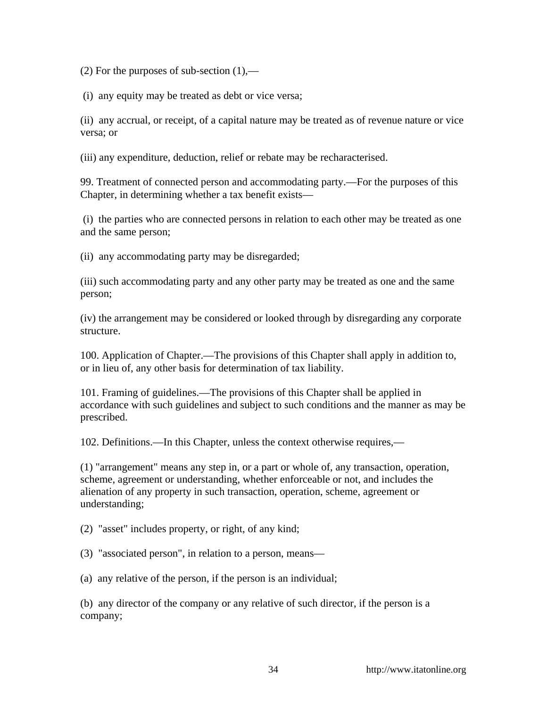(2) For the purposes of sub-section  $(1)$ ,—

(i) any equity may be treated as debt or vice versa;

(ii) any accrual, or receipt, of a capital nature may be treated as of revenue nature or vice versa; or

(iii) any expenditure, deduction, relief or rebate may be recharacterised.

99. Treatment of connected person and accommodating party.—For the purposes of this Chapter, in determining whether a tax benefit exists—

 (i) the parties who are connected persons in relation to each other may be treated as one and the same person;

(ii) any accommodating party may be disregarded;

(iii) such accommodating party and any other party may be treated as one and the same person;

(iv) the arrangement may be considered or looked through by disregarding any corporate structure.

100. Application of Chapter.—The provisions of this Chapter shall apply in addition to, or in lieu of, any other basis for determination of tax liability.

101. Framing of guidelines.—The provisions of this Chapter shall be applied in accordance with such guidelines and subject to such conditions and the manner as may be prescribed.

102. Definitions.—In this Chapter, unless the context otherwise requires,—

(1) "arrangement" means any step in, or a part or whole of, any transaction, operation, scheme, agreement or understanding, whether enforceable or not, and includes the alienation of any property in such transaction, operation, scheme, agreement or understanding;

(2) "asset" includes property, or right, of any kind;

(3) "associated person", in relation to a person, means—

(a) any relative of the person, if the person is an individual;

(b) any director of the company or any relative of such director, if the person is a company;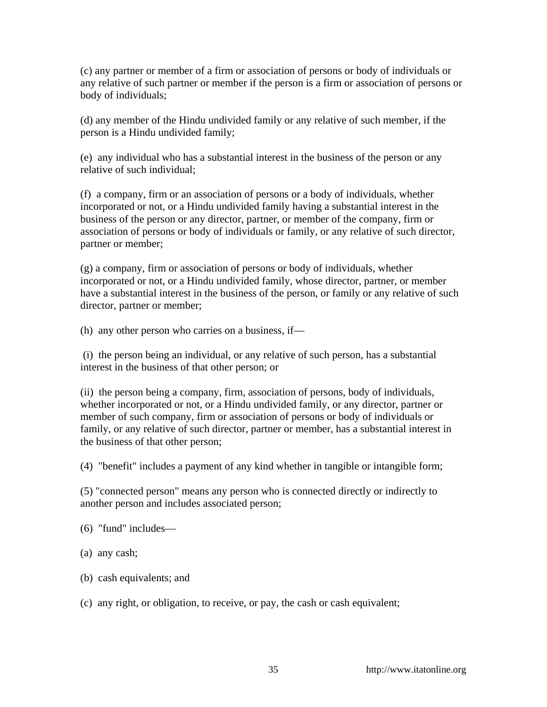(c) any partner or member of a firm or association of persons or body of individuals or any relative of such partner or member if the person is a firm or association of persons or body of individuals;

(d) any member of the Hindu undivided family or any relative of such member, if the person is a Hindu undivided family;

(e) any individual who has a substantial interest in the business of the person or any relative of such individual;

(f) a company, firm or an association of persons or a body of individuals, whether incorporated or not, or a Hindu undivided family having a substantial interest in the business of the person or any director, partner, or member of the company, firm or association of persons or body of individuals or family, or any relative of such director, partner or member;

(g) a company, firm or association of persons or body of individuals, whether incorporated or not, or a Hindu undivided family, whose director, partner, or member have a substantial interest in the business of the person, or family or any relative of such director, partner or member;

(h) any other person who carries on a business, if—

 (i) the person being an individual, or any relative of such person, has a substantial interest in the business of that other person; or

(ii) the person being a company, firm, association of persons, body of individuals, whether incorporated or not, or a Hindu undivided family, or any director, partner or member of such company, firm or association of persons or body of individuals or family, or any relative of such director, partner or member, has a substantial interest in the business of that other person;

(4) "benefit" includes a payment of any kind whether in tangible or intangible form;

(5) "connected person" means any person who is connected directly or indirectly to another person and includes associated person;

- (6) "fund" includes—
- (a) any cash;
- (b) cash equivalents; and
- (c) any right, or obligation, to receive, or pay, the cash or cash equivalent;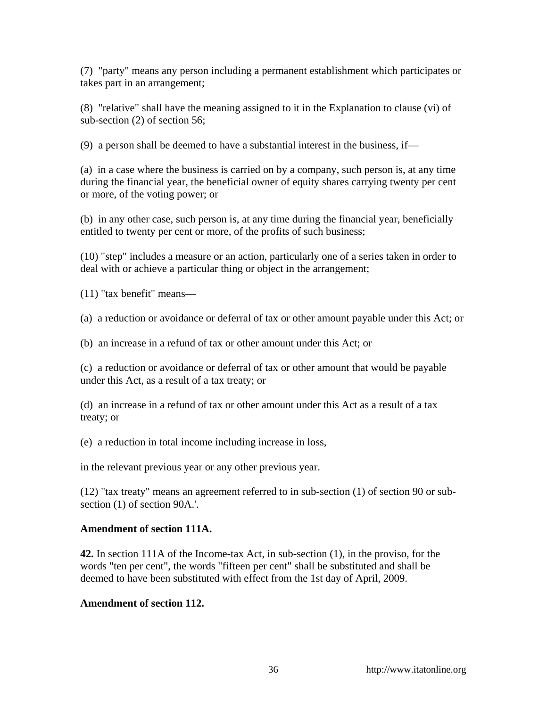(7) "party" means any person including a permanent establishment which participates or takes part in an arrangement;

(8) "relative" shall have the meaning assigned to it in the Explanation to clause (vi) of sub-section (2) of section 56;

(9) a person shall be deemed to have a substantial interest in the business, if—

(a) in a case where the business is carried on by a company, such person is, at any time during the financial year, the beneficial owner of equity shares carrying twenty per cent or more, of the voting power; or

(b) in any other case, such person is, at any time during the financial year, beneficially entitled to twenty per cent or more, of the profits of such business;

(10) "step" includes a measure or an action, particularly one of a series taken in order to deal with or achieve a particular thing or object in the arrangement;

(11) "tax benefit" means—

(a) a reduction or avoidance or deferral of tax or other amount payable under this Act; or

(b) an increase in a refund of tax or other amount under this Act; or

(c) a reduction or avoidance or deferral of tax or other amount that would be payable under this Act, as a result of a tax treaty; or

(d) an increase in a refund of tax or other amount under this Act as a result of a tax treaty; or

(e) a reduction in total income including increase in loss,

in the relevant previous year or any other previous year.

(12) "tax treaty" means an agreement referred to in sub-section (1) of section 90 or subsection (1) of section 90A.'.

# **Amendment of section 111A.**

**42.** In section 111A of the Income-tax Act, in sub-section (1), in the proviso, for the words "ten per cent", the words "fifteen per cent" shall be substituted and shall be deemed to have been substituted with effect from the 1st day of April, 2009.

# **Amendment of section 112.**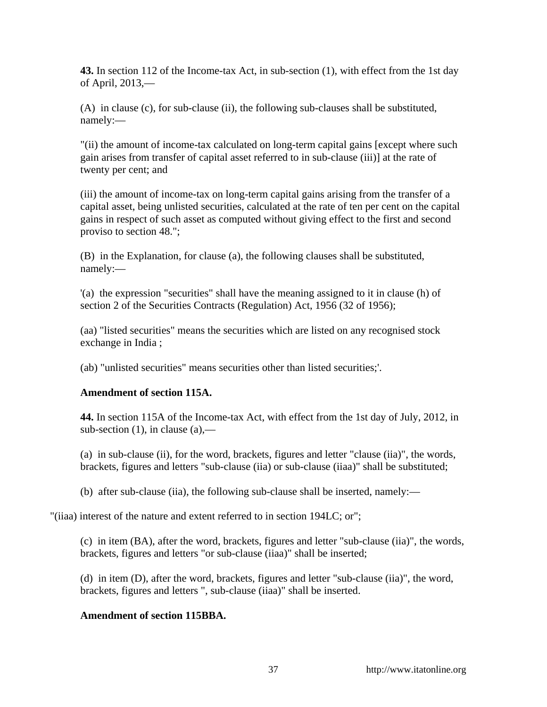**43.** In section 112 of the Income-tax Act, in sub-section (1), with effect from the 1st day of April, 2013,—

(A) in clause (c), for sub-clause (ii), the following sub-clauses shall be substituted, namely:—

"(ii) the amount of income-tax calculated on long-term capital gains [except where such gain arises from transfer of capital asset referred to in sub-clause (iii)] at the rate of twenty per cent; and

(iii) the amount of income-tax on long-term capital gains arising from the transfer of a capital asset, being unlisted securities, calculated at the rate of ten per cent on the capital gains in respect of such asset as computed without giving effect to the first and second proviso to section 48.";

(B) in the Explanation, for clause (a), the following clauses shall be substituted, namely:—

'(a) the expression "securities" shall have the meaning assigned to it in clause (h) of section 2 of the Securities Contracts (Regulation) Act, 1956 (32 of 1956);

(aa) "listed securities" means the securities which are listed on any recognised stock exchange in India ;

(ab) "unlisted securities" means securities other than listed securities;'.

# **Amendment of section 115A.**

**44.** In section 115A of the Income-tax Act, with effect from the 1st day of July, 2012, in sub-section  $(1)$ , in clause  $(a)$ ,—

(a) in sub-clause (ii), for the word, brackets, figures and letter "clause (iia)", the words, brackets, figures and letters "sub-clause (iia) or sub-clause (iiaa)" shall be substituted;

(b) after sub-clause (iia), the following sub-clause shall be inserted, namely:—

"(iiaa) interest of the nature and extent referred to in section 194LC; or";

(c) in item (BA), after the word, brackets, figures and letter "sub-clause (iia)", the words, brackets, figures and letters "or sub-clause (iiaa)" shall be inserted;

(d) in item (D), after the word, brackets, figures and letter "sub-clause (iia)", the word, brackets, figures and letters ", sub-clause (iiaa)" shall be inserted.

# **Amendment of section 115BBA.**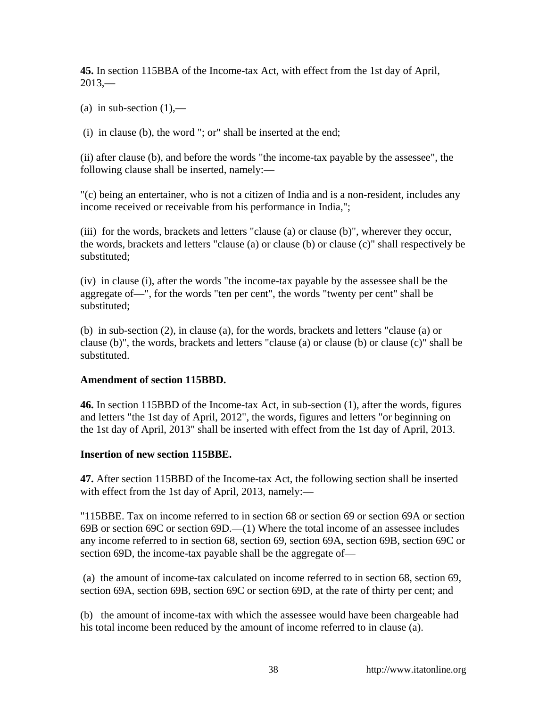**45.** In section 115BBA of the Income-tax Act, with effect from the 1st day of April,  $2013$ —

(a) in sub-section  $(1)$ ,—

(i) in clause (b), the word "; or" shall be inserted at the end;

(ii) after clause (b), and before the words "the income-tax payable by the assessee", the following clause shall be inserted, namely:—

"(c) being an entertainer, who is not a citizen of India and is a non-resident, includes any income received or receivable from his performance in India,";

(iii) for the words, brackets and letters "clause (a) or clause (b)", wherever they occur, the words, brackets and letters "clause (a) or clause (b) or clause (c)" shall respectively be substituted;

(iv) in clause (i), after the words "the income-tax payable by the assessee shall be the aggregate of—", for the words "ten per cent", the words "twenty per cent" shall be substituted;

(b) in sub-section (2), in clause (a), for the words, brackets and letters "clause (a) or clause (b)", the words, brackets and letters "clause (a) or clause (b) or clause (c)" shall be substituted.

### **Amendment of section 115BBD.**

**46.** In section 115BBD of the Income-tax Act, in sub-section (1), after the words, figures and letters "the 1st day of April, 2012", the words, figures and letters "or beginning on the 1st day of April, 2013" shall be inserted with effect from the 1st day of April, 2013.

### **Insertion of new section 115BBE.**

**47.** After section 115BBD of the Income-tax Act, the following section shall be inserted with effect from the 1st day of April, 2013, namely:—

"115BBE. Tax on income referred to in section 68 or section 69 or section 69A or section 69B or section 69C or section 69D.—(1) Where the total income of an assessee includes any income referred to in section 68, section 69, section 69A, section 69B, section 69C or section 69D, the income-tax payable shall be the aggregate of—

 (a) the amount of income-tax calculated on income referred to in section 68, section 69, section 69A, section 69B, section 69C or section 69D, at the rate of thirty per cent; and

(b) the amount of income-tax with which the assessee would have been chargeable had his total income been reduced by the amount of income referred to in clause (a).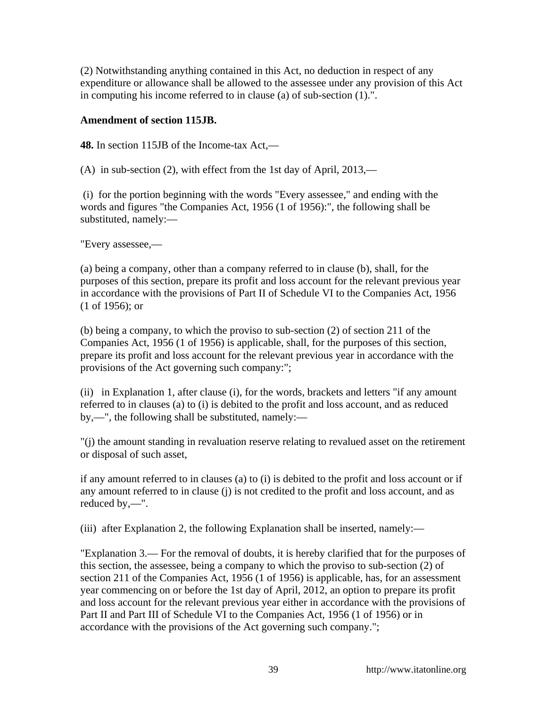(2) Notwithstanding anything contained in this Act, no deduction in respect of any expenditure or allowance shall be allowed to the assessee under any provision of this Act in computing his income referred to in clause (a) of sub-section (1).".

### **Amendment of section 115JB.**

**48.** In section 115JB of the Income-tax Act,—

(A) in sub-section (2), with effect from the 1st day of April, 2013,—

 (i) for the portion beginning with the words "Every assessee," and ending with the words and figures "the Companies Act, 1956 (1 of 1956):", the following shall be substituted, namely:—

"Every assessee,—

(a) being a company, other than a company referred to in clause (b), shall, for the purposes of this section, prepare its profit and loss account for the relevant previous year in accordance with the provisions of Part II of Schedule VI to the Companies Act, 1956 (1 of 1956); or

(b) being a company, to which the proviso to sub-section (2) of section 211 of the Companies Act, 1956 (1 of 1956) is applicable, shall, for the purposes of this section, prepare its profit and loss account for the relevant previous year in accordance with the provisions of the Act governing such company:";

(ii) in Explanation 1, after clause (i), for the words, brackets and letters "if any amount referred to in clauses (a) to (i) is debited to the profit and loss account, and as reduced by,—", the following shall be substituted, namely:—

"(j) the amount standing in revaluation reserve relating to revalued asset on the retirement or disposal of such asset,

if any amount referred to in clauses (a) to (i) is debited to the profit and loss account or if any amount referred to in clause (j) is not credited to the profit and loss account, and as reduced by,—".

(iii) after Explanation 2, the following Explanation shall be inserted, namely:—

"Explanation 3.— For the removal of doubts, it is hereby clarified that for the purposes of this section, the assessee, being a company to which the proviso to sub-section (2) of section 211 of the Companies Act, 1956 (1 of 1956) is applicable, has, for an assessment year commencing on or before the 1st day of April, 2012, an option to prepare its profit and loss account for the relevant previous year either in accordance with the provisions of Part II and Part III of Schedule VI to the Companies Act, 1956 (1 of 1956) or in accordance with the provisions of the Act governing such company.";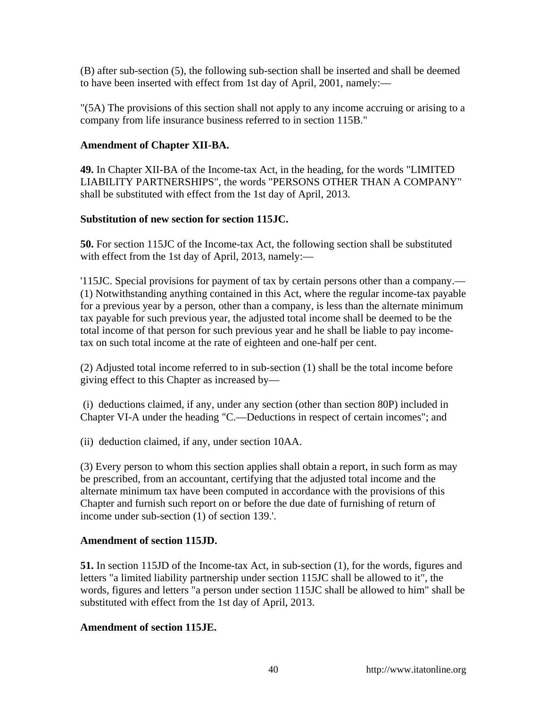(B) after sub-section (5), the following sub-section shall be inserted and shall be deemed to have been inserted with effect from 1st day of April, 2001, namely:—

"(5A) The provisions of this section shall not apply to any income accruing or arising to a company from life insurance business referred to in section 115B."

### **Amendment of Chapter XII-BA.**

**49.** In Chapter XII-BA of the Income-tax Act, in the heading, for the words "LIMITED LIABILITY PARTNERSHIPS", the words "PERSONS OTHER THAN A COMPANY" shall be substituted with effect from the 1st day of April, 2013.

### **Substitution of new section for section 115JC.**

**50.** For section 115JC of the Income-tax Act, the following section shall be substituted with effect from the 1st day of April, 2013, namely:—

'115JC. Special provisions for payment of tax by certain persons other than a company.— (1) Notwithstanding anything contained in this Act, where the regular income-tax payable for a previous year by a person, other than a company, is less than the alternate minimum tax payable for such previous year, the adjusted total income shall be deemed to be the total income of that person for such previous year and he shall be liable to pay incometax on such total income at the rate of eighteen and one-half per cent.

(2) Adjusted total income referred to in sub-section (1) shall be the total income before giving effect to this Chapter as increased by—

 (i) deductions claimed, if any, under any section (other than section 80P) included in Chapter VI-A under the heading "C.—Deductions in respect of certain incomes"; and

(ii) deduction claimed, if any, under section 10AA.

(3) Every person to whom this section applies shall obtain a report, in such form as may be prescribed, from an accountant, certifying that the adjusted total income and the alternate minimum tax have been computed in accordance with the provisions of this Chapter and furnish such report on or before the due date of furnishing of return of income under sub-section (1) of section 139.'.

### **Amendment of section 115JD.**

**51.** In section 115JD of the Income-tax Act, in sub-section (1), for the words, figures and letters "a limited liability partnership under section 115JC shall be allowed to it", the words, figures and letters "a person under section 115JC shall be allowed to him" shall be substituted with effect from the 1st day of April, 2013.

### **Amendment of section 115JE.**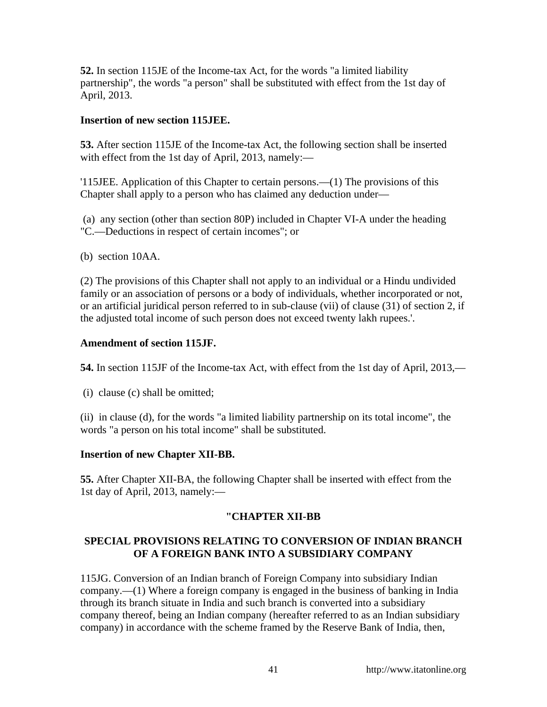**52.** In section 115JE of the Income-tax Act, for the words "a limited liability partnership", the words "a person" shall be substituted with effect from the 1st day of April, 2013.

### **Insertion of new section 115JEE.**

**53.** After section 115JE of the Income-tax Act, the following section shall be inserted with effect from the 1st day of April, 2013, namely:—

'115JEE. Application of this Chapter to certain persons.—(1) The provisions of this Chapter shall apply to a person who has claimed any deduction under—

 (a) any section (other than section 80P) included in Chapter VI-A under the heading "C.—Deductions in respect of certain incomes"; or

(b) section 10AA.

(2) The provisions of this Chapter shall not apply to an individual or a Hindu undivided family or an association of persons or a body of individuals, whether incorporated or not, or an artificial juridical person referred to in sub-clause (vii) of clause (31) of section 2, if the adjusted total income of such person does not exceed twenty lakh rupees.'.

### **Amendment of section 115JF.**

**54.** In section 115JF of the Income-tax Act, with effect from the 1st day of April, 2013,—

(i) clause (c) shall be omitted;

(ii) in clause (d), for the words "a limited liability partnership on its total income", the words "a person on his total income" shall be substituted.

# **Insertion of new Chapter XII-BB.**

**55.** After Chapter XII-BA, the following Chapter shall be inserted with effect from the 1st day of April, 2013, namely:—

# **"CHAPTER XII-BB**

# **SPECIAL PROVISIONS RELATING TO CONVERSION OF INDIAN BRANCH OF A FOREIGN BANK INTO A SUBSIDIARY COMPANY**

115JG. Conversion of an Indian branch of Foreign Company into subsidiary Indian company.—(1) Where a foreign company is engaged in the business of banking in India through its branch situate in India and such branch is converted into a subsidiary company thereof, being an Indian company (hereafter referred to as an Indian subsidiary company) in accordance with the scheme framed by the Reserve Bank of India, then,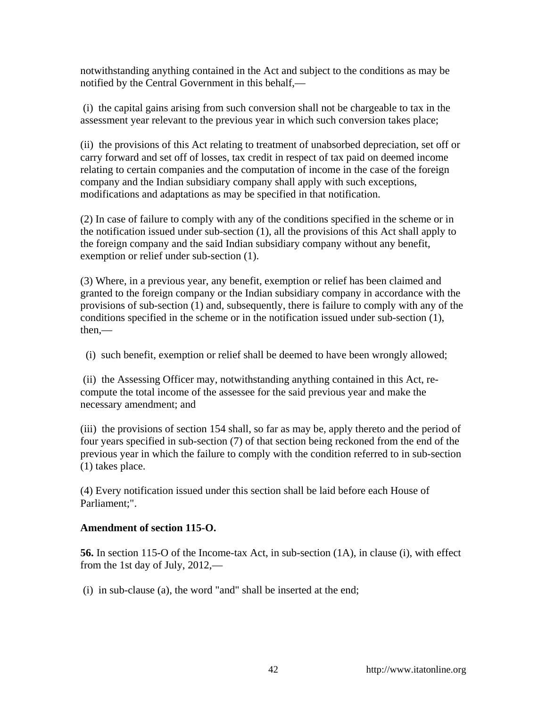notwithstanding anything contained in the Act and subject to the conditions as may be notified by the Central Government in this behalf,—

 (i) the capital gains arising from such conversion shall not be chargeable to tax in the assessment year relevant to the previous year in which such conversion takes place;

(ii) the provisions of this Act relating to treatment of unabsorbed depreciation, set off or carry forward and set off of losses, tax credit in respect of tax paid on deemed income relating to certain companies and the computation of income in the case of the foreign company and the Indian subsidiary company shall apply with such exceptions, modifications and adaptations as may be specified in that notification.

(2) In case of failure to comply with any of the conditions specified in the scheme or in the notification issued under sub-section (1), all the provisions of this Act shall apply to the foreign company and the said Indian subsidiary company without any benefit, exemption or relief under sub-section (1).

(3) Where, in a previous year, any benefit, exemption or relief has been claimed and granted to the foreign company or the Indian subsidiary company in accordance with the provisions of sub-section (1) and, subsequently, there is failure to comply with any of the conditions specified in the scheme or in the notification issued under sub-section (1), then,—

(i) such benefit, exemption or relief shall be deemed to have been wrongly allowed;

 (ii) the Assessing Officer may, notwithstanding anything contained in this Act, recompute the total income of the assessee for the said previous year and make the necessary amendment; and

(iii) the provisions of section 154 shall, so far as may be, apply thereto and the period of four years specified in sub-section (7) of that section being reckoned from the end of the previous year in which the failure to comply with the condition referred to in sub-section (1) takes place.

(4) Every notification issued under this section shall be laid before each House of Parliament;".

# **Amendment of section 115-O.**

**56.** In section 115-O of the Income-tax Act, in sub-section (1A), in clause (i), with effect from the 1st day of July, 2012,—

(i) in sub-clause (a), the word "and" shall be inserted at the end;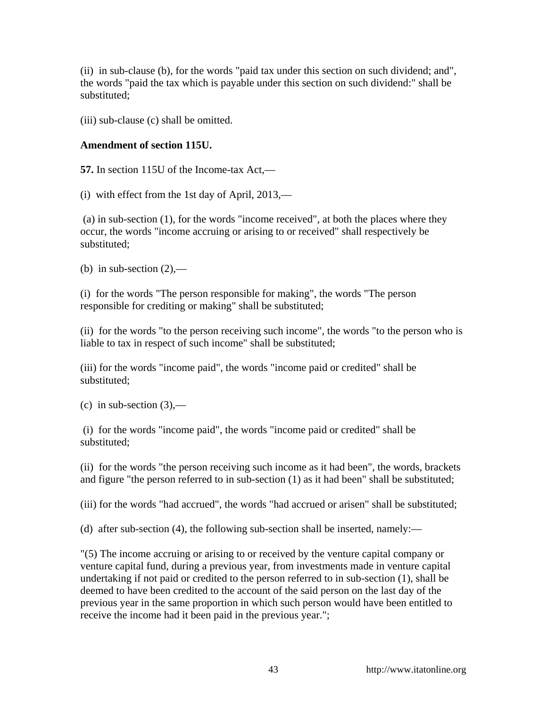(ii) in sub-clause (b), for the words "paid tax under this section on such dividend; and", the words "paid the tax which is payable under this section on such dividend:" shall be substituted;

(iii) sub-clause (c) shall be omitted.

# **Amendment of section 115U.**

**57.** In section 115U of the Income-tax Act,—

(i) with effect from the 1st day of April, 2013,—

 (a) in sub-section (1), for the words "income received", at both the places where they occur, the words "income accruing or arising to or received" shall respectively be substituted;

(b) in sub-section  $(2)$ ,—

(i) for the words "The person responsible for making", the words "The person responsible for crediting or making" shall be substituted;

(ii) for the words "to the person receiving such income", the words "to the person who is liable to tax in respect of such income" shall be substituted;

(iii) for the words "income paid", the words "income paid or credited" shall be substituted;

(c) in sub-section  $(3)$ ,—

 (i) for the words "income paid", the words "income paid or credited" shall be substituted;

(ii) for the words "the person receiving such income as it had been", the words, brackets and figure "the person referred to in sub-section (1) as it had been" shall be substituted;

(iii) for the words "had accrued", the words "had accrued or arisen" shall be substituted;

(d) after sub-section (4), the following sub-section shall be inserted, namely:—

"(5) The income accruing or arising to or received by the venture capital company or venture capital fund, during a previous year, from investments made in venture capital undertaking if not paid or credited to the person referred to in sub-section (1), shall be deemed to have been credited to the account of the said person on the last day of the previous year in the same proportion in which such person would have been entitled to receive the income had it been paid in the previous year.";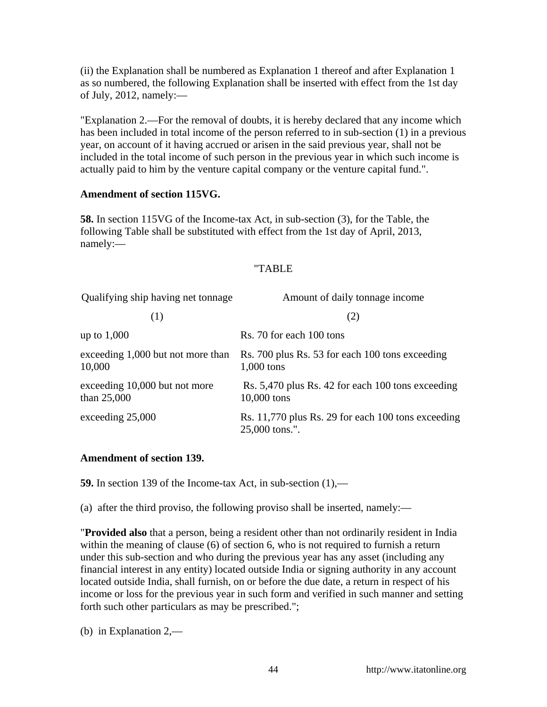(ii) the Explanation shall be numbered as Explanation 1 thereof and after Explanation 1 as so numbered, the following Explanation shall be inserted with effect from the 1st day of July, 2012, namely: $-$ 

"Explanation 2.—For the removal of doubts, it is hereby declared that any income which has been included in total income of the person referred to in sub-section (1) in a previous year, on account of it having accrued or arisen in the said previous year, shall not be included in the total income of such person in the previous year in which such income is actually paid to him by the venture capital company or the venture capital fund.".

### **Amendment of section 115VG.**

**58.** In section 115VG of the Income-tax Act, in sub-section (3), for the Table, the following Table shall be substituted with effect from the 1st day of April, 2013, namely:—

### "TABLE

| Qualifying ship having net tonnage           | Amount of daily tonnage income                                       |
|----------------------------------------------|----------------------------------------------------------------------|
| (1)                                          | (2)                                                                  |
| up to $1,000$                                | Rs. 70 for each 100 tons                                             |
| exceeding 1,000 but not more than<br>10,000  | Rs. 700 plus Rs. 53 for each 100 tons exceeding<br>$1,000$ tons      |
| exceeding 10,000 but not more<br>than 25,000 | Rs. 5,470 plus Rs. 42 for each 100 tons exceeding<br>10,000 tons     |
| exceeding 25,000                             | Rs. 11,770 plus Rs. 29 for each 100 tons exceeding<br>25,000 tons.". |

### **Amendment of section 139.**

**59.** In section 139 of the Income-tax Act, in sub-section (1),—

(a) after the third proviso, the following proviso shall be inserted, namely:—

"**Provided also** that a person, being a resident other than not ordinarily resident in India within the meaning of clause (6) of section 6, who is not required to furnish a return under this sub-section and who during the previous year has any asset (including any financial interest in any entity) located outside India or signing authority in any account located outside India, shall furnish, on or before the due date, a return in respect of his income or loss for the previous year in such form and verified in such manner and setting forth such other particulars as may be prescribed.";

(b) in Explanation 2,—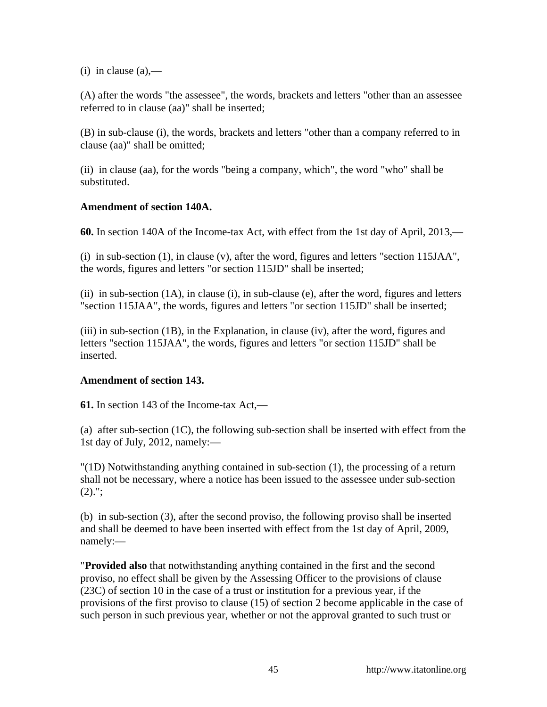(i) in clause  $(a)$ ,—

(A) after the words "the assessee", the words, brackets and letters "other than an assessee referred to in clause (aa)" shall be inserted;

(B) in sub-clause (i), the words, brackets and letters "other than a company referred to in clause (aa)" shall be omitted;

(ii) in clause (aa), for the words "being a company, which", the word "who" shall be substituted.

### **Amendment of section 140A.**

**60.** In section 140A of the Income-tax Act, with effect from the 1st day of April, 2013,—

(i) in sub-section (1), in clause (v), after the word, figures and letters "section 115JAA", the words, figures and letters "or section 115JD" shall be inserted;

(ii) in sub-section  $(1A)$ , in clause  $(i)$ , in sub-clause  $(e)$ , after the word, figures and letters "section 115JAA", the words, figures and letters "or section 115JD" shall be inserted;

(iii) in sub-section (1B), in the Explanation, in clause (iv), after the word, figures and letters "section 115JAA", the words, figures and letters "or section 115JD" shall be inserted.

# **Amendment of section 143.**

**61.** In section 143 of the Income-tax Act,—

(a) after sub-section (1C), the following sub-section shall be inserted with effect from the 1st day of July, 2012, namely:—

"(1D) Notwithstanding anything contained in sub-section (1), the processing of a return shall not be necessary, where a notice has been issued to the assessee under sub-section  $(2).$ ";

(b) in sub-section (3), after the second proviso, the following proviso shall be inserted and shall be deemed to have been inserted with effect from the 1st day of April, 2009, namely:—

"**Provided also** that notwithstanding anything contained in the first and the second proviso, no effect shall be given by the Assessing Officer to the provisions of clause (23C) of section 10 in the case of a trust or institution for a previous year, if the provisions of the first proviso to clause (15) of section 2 become applicable in the case of such person in such previous year, whether or not the approval granted to such trust or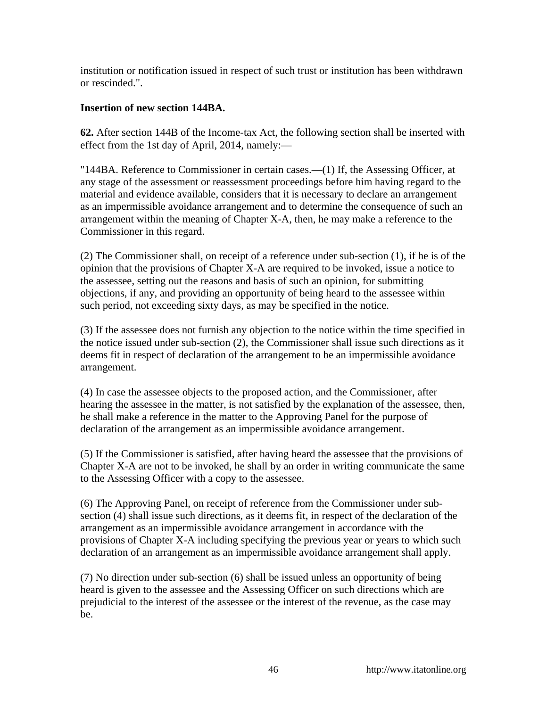institution or notification issued in respect of such trust or institution has been withdrawn or rescinded.".

# **Insertion of new section 144BA.**

**62.** After section 144B of the Income-tax Act, the following section shall be inserted with effect from the 1st day of April, 2014, namely:—

"144BA. Reference to Commissioner in certain cases.—(1) If, the Assessing Officer, at any stage of the assessment or reassessment proceedings before him having regard to the material and evidence available, considers that it is necessary to declare an arrangement as an impermissible avoidance arrangement and to determine the consequence of such an arrangement within the meaning of Chapter X-A, then, he may make a reference to the Commissioner in this regard.

(2) The Commissioner shall, on receipt of a reference under sub-section (1), if he is of the opinion that the provisions of Chapter X-A are required to be invoked, issue a notice to the assessee, setting out the reasons and basis of such an opinion, for submitting objections, if any, and providing an opportunity of being heard to the assessee within such period, not exceeding sixty days, as may be specified in the notice.

(3) If the assessee does not furnish any objection to the notice within the time specified in the notice issued under sub-section (2), the Commissioner shall issue such directions as it deems fit in respect of declaration of the arrangement to be an impermissible avoidance arrangement.

(4) In case the assessee objects to the proposed action, and the Commissioner, after hearing the assessee in the matter, is not satisfied by the explanation of the assessee, then, he shall make a reference in the matter to the Approving Panel for the purpose of declaration of the arrangement as an impermissible avoidance arrangement.

(5) If the Commissioner is satisfied, after having heard the assessee that the provisions of Chapter X-A are not to be invoked, he shall by an order in writing communicate the same to the Assessing Officer with a copy to the assessee.

(6) The Approving Panel, on receipt of reference from the Commissioner under subsection (4) shall issue such directions, as it deems fit, in respect of the declaration of the arrangement as an impermissible avoidance arrangement in accordance with the provisions of Chapter X-A including specifying the previous year or years to which such declaration of an arrangement as an impermissible avoidance arrangement shall apply.

(7) No direction under sub-section (6) shall be issued unless an opportunity of being heard is given to the assessee and the Assessing Officer on such directions which are prejudicial to the interest of the assessee or the interest of the revenue, as the case may be.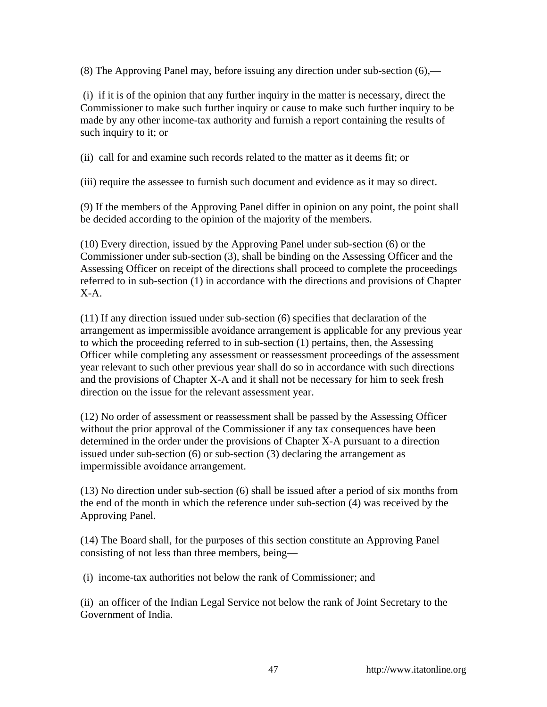(8) The Approving Panel may, before issuing any direction under sub-section (6),—

 (i) if it is of the opinion that any further inquiry in the matter is necessary, direct the Commissioner to make such further inquiry or cause to make such further inquiry to be made by any other income-tax authority and furnish a report containing the results of such inquiry to it; or

(ii) call for and examine such records related to the matter as it deems fit; or

(iii) require the assessee to furnish such document and evidence as it may so direct.

(9) If the members of the Approving Panel differ in opinion on any point, the point shall be decided according to the opinion of the majority of the members.

(10) Every direction, issued by the Approving Panel under sub-section (6) or the Commissioner under sub-section (3), shall be binding on the Assessing Officer and the Assessing Officer on receipt of the directions shall proceed to complete the proceedings referred to in sub-section (1) in accordance with the directions and provisions of Chapter X-A.

(11) If any direction issued under sub-section (6) specifies that declaration of the arrangement as impermissible avoidance arrangement is applicable for any previous year to which the proceeding referred to in sub-section (1) pertains, then, the Assessing Officer while completing any assessment or reassessment proceedings of the assessment year relevant to such other previous year shall do so in accordance with such directions and the provisions of Chapter X-A and it shall not be necessary for him to seek fresh direction on the issue for the relevant assessment year.

(12) No order of assessment or reassessment shall be passed by the Assessing Officer without the prior approval of the Commissioner if any tax consequences have been determined in the order under the provisions of Chapter X-A pursuant to a direction issued under sub-section (6) or sub-section (3) declaring the arrangement as impermissible avoidance arrangement.

(13) No direction under sub-section (6) shall be issued after a period of six months from the end of the month in which the reference under sub-section (4) was received by the Approving Panel.

(14) The Board shall, for the purposes of this section constitute an Approving Panel consisting of not less than three members, being—

(i) income-tax authorities not below the rank of Commissioner; and

(ii) an officer of the Indian Legal Service not below the rank of Joint Secretary to the Government of India.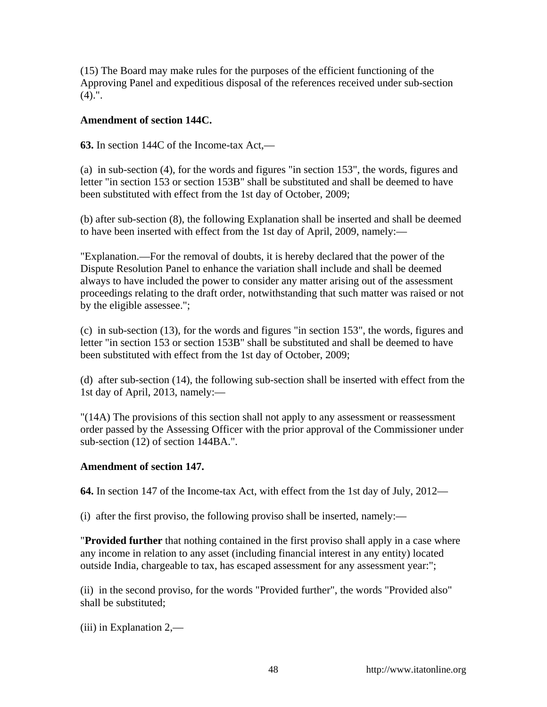(15) The Board may make rules for the purposes of the efficient functioning of the Approving Panel and expeditious disposal of the references received under sub-section  $(4).$ ".

### **Amendment of section 144C.**

**63.** In section 144C of the Income-tax Act,—

(a) in sub-section (4), for the words and figures "in section 153", the words, figures and letter "in section 153 or section 153B" shall be substituted and shall be deemed to have been substituted with effect from the 1st day of October, 2009;

(b) after sub-section (8), the following Explanation shall be inserted and shall be deemed to have been inserted with effect from the 1st day of April, 2009, namely:—

"Explanation.—For the removal of doubts, it is hereby declared that the power of the Dispute Resolution Panel to enhance the variation shall include and shall be deemed always to have included the power to consider any matter arising out of the assessment proceedings relating to the draft order, notwithstanding that such matter was raised or not by the eligible assessee.";

(c) in sub-section (13), for the words and figures "in section 153", the words, figures and letter "in section 153 or section 153B" shall be substituted and shall be deemed to have been substituted with effect from the 1st day of October, 2009;

(d) after sub-section (14), the following sub-section shall be inserted with effect from the 1st day of April, 2013, namely:—

"(14A) The provisions of this section shall not apply to any assessment or reassessment order passed by the Assessing Officer with the prior approval of the Commissioner under sub-section (12) of section 144BA.".

### **Amendment of section 147.**

**64.** In section 147 of the Income-tax Act, with effect from the 1st day of July, 2012—

(i) after the first proviso, the following proviso shall be inserted, namely:—

"**Provided further** that nothing contained in the first proviso shall apply in a case where any income in relation to any asset (including financial interest in any entity) located outside India, chargeable to tax, has escaped assessment for any assessment year:";

(ii) in the second proviso, for the words "Provided further", the words "Provided also" shall be substituted;

(iii) in Explanation 2,—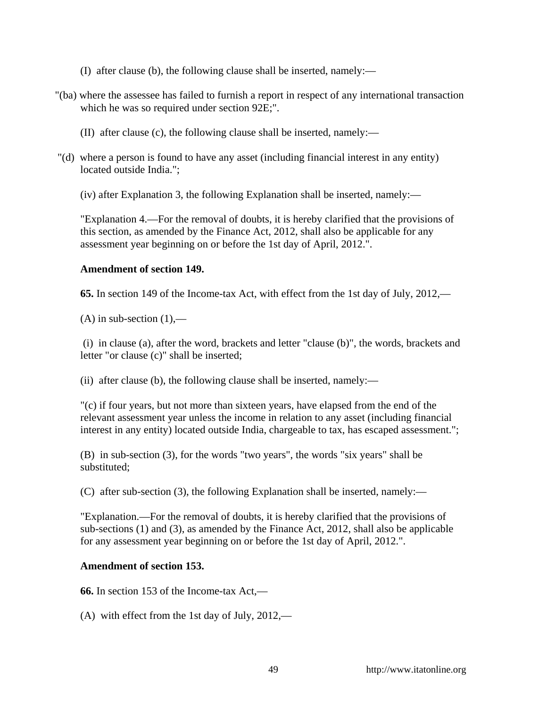- (I) after clause (b), the following clause shall be inserted, namely:—
- "(ba) where the assessee has failed to furnish a report in respect of any international transaction which he was so required under section 92E;".
	- (II) after clause (c), the following clause shall be inserted, namely:—
- "(d) where a person is found to have any asset (including financial interest in any entity) located outside India.";

(iv) after Explanation 3, the following Explanation shall be inserted, namely:—

"Explanation 4.—For the removal of doubts, it is hereby clarified that the provisions of this section, as amended by the Finance Act, 2012, shall also be applicable for any assessment year beginning on or before the 1st day of April, 2012.".

### **Amendment of section 149.**

**65.** In section 149 of the Income-tax Act, with effect from the 1st day of July, 2012,—

 $(A)$  in sub-section  $(1)$ ,—

 (i) in clause (a), after the word, brackets and letter "clause (b)", the words, brackets and letter "or clause (c)" shall be inserted;

(ii) after clause (b), the following clause shall be inserted, namely:—

"(c) if four years, but not more than sixteen years, have elapsed from the end of the relevant assessment year unless the income in relation to any asset (including financial interest in any entity) located outside India, chargeable to tax, has escaped assessment.";

(B) in sub-section (3), for the words "two years", the words "six years" shall be substituted;

(C) after sub-section (3), the following Explanation shall be inserted, namely:—

"Explanation.—For the removal of doubts, it is hereby clarified that the provisions of sub-sections (1) and (3), as amended by the Finance Act, 2012, shall also be applicable for any assessment year beginning on or before the 1st day of April, 2012.".

# **Amendment of section 153.**

**66.** In section 153 of the Income-tax Act,—

(A) with effect from the 1st day of July, 2012,—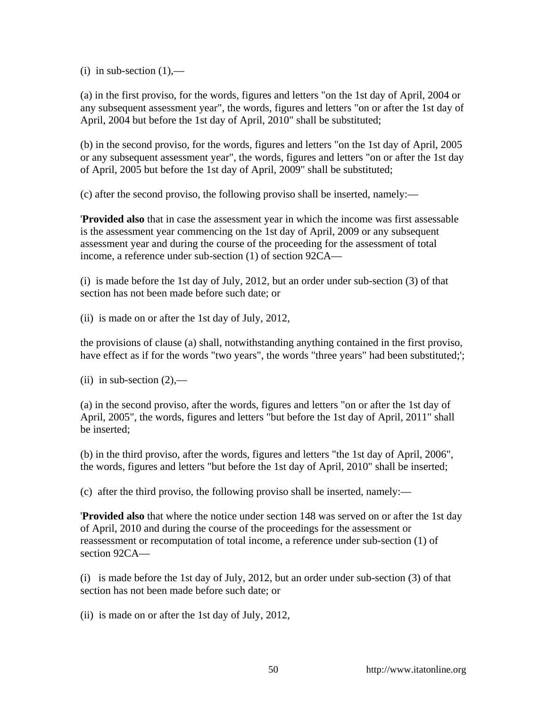(i) in sub-section  $(1)$ ,—

(a) in the first proviso, for the words, figures and letters "on the 1st day of April, 2004 or any subsequent assessment year", the words, figures and letters "on or after the 1st day of April, 2004 but before the 1st day of April, 2010" shall be substituted;

(b) in the second proviso, for the words, figures and letters "on the 1st day of April, 2005 or any subsequent assessment year", the words, figures and letters "on or after the 1st day of April, 2005 but before the 1st day of April, 2009" shall be substituted;

(c) after the second proviso, the following proviso shall be inserted, namely:—

'**Provided also** that in case the assessment year in which the income was first assessable is the assessment year commencing on the 1st day of April, 2009 or any subsequent assessment year and during the course of the proceeding for the assessment of total income, a reference under sub-section (1) of section 92CA—

(i) is made before the 1st day of July, 2012, but an order under sub-section (3) of that section has not been made before such date; or

(ii) is made on or after the 1st day of July, 2012,

the provisions of clause (a) shall, notwithstanding anything contained in the first proviso, have effect as if for the words "two years", the words "three years" had been substituted;';

(ii) in sub-section  $(2)$ ,—

(a) in the second proviso, after the words, figures and letters "on or after the 1st day of April, 2005", the words, figures and letters "but before the 1st day of April, 2011" shall be inserted;

(b) in the third proviso, after the words, figures and letters "the 1st day of April, 2006", the words, figures and letters "but before the 1st day of April, 2010" shall be inserted;

(c) after the third proviso, the following proviso shall be inserted, namely:—

'**Provided also** that where the notice under section 148 was served on or after the 1st day of April, 2010 and during the course of the proceedings for the assessment or reassessment or recomputation of total income, a reference under sub-section (1) of section 92CA—

(i) is made before the 1st day of July, 2012, but an order under sub-section (3) of that section has not been made before such date; or

(ii) is made on or after the 1st day of July, 2012,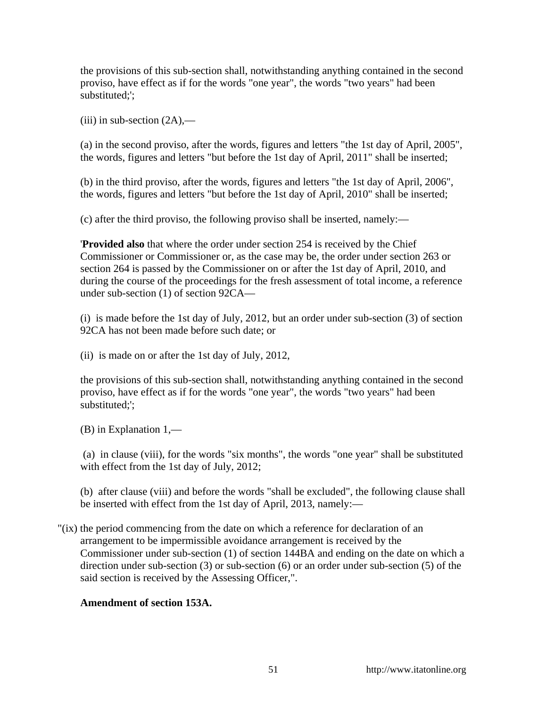the provisions of this sub-section shall, notwithstanding anything contained in the second proviso, have effect as if for the words "one year", the words "two years" had been substituted;';

 $(iii)$  in sub-section  $(2A)$ ,—

(a) in the second proviso, after the words, figures and letters "the 1st day of April, 2005", the words, figures and letters "but before the 1st day of April, 2011" shall be inserted;

(b) in the third proviso, after the words, figures and letters "the 1st day of April, 2006", the words, figures and letters "but before the 1st day of April, 2010" shall be inserted;

(c) after the third proviso, the following proviso shall be inserted, namely:—

'**Provided also** that where the order under section 254 is received by the Chief Commissioner or Commissioner or, as the case may be, the order under section 263 or section 264 is passed by the Commissioner on or after the 1st day of April, 2010, and during the course of the proceedings for the fresh assessment of total income, a reference under sub-section (1) of section 92CA—

(i) is made before the 1st day of July, 2012, but an order under sub-section (3) of section 92CA has not been made before such date; or

(ii) is made on or after the 1st day of July, 2012,

the provisions of this sub-section shall, notwithstanding anything contained in the second proviso, have effect as if for the words "one year", the words "two years" had been substituted;';

(B) in Explanation 1,—

 (a) in clause (viii), for the words "six months", the words "one year" shall be substituted with effect from the 1st day of July, 2012;

(b) after clause (viii) and before the words "shall be excluded", the following clause shall be inserted with effect from the 1st day of April, 2013, namely:—

"(ix) the period commencing from the date on which a reference for declaration of an arrangement to be impermissible avoidance arrangement is received by the Commissioner under sub-section (1) of section 144BA and ending on the date on which a direction under sub-section (3) or sub-section (6) or an order under sub-section (5) of the said section is received by the Assessing Officer,".

# **Amendment of section 153A.**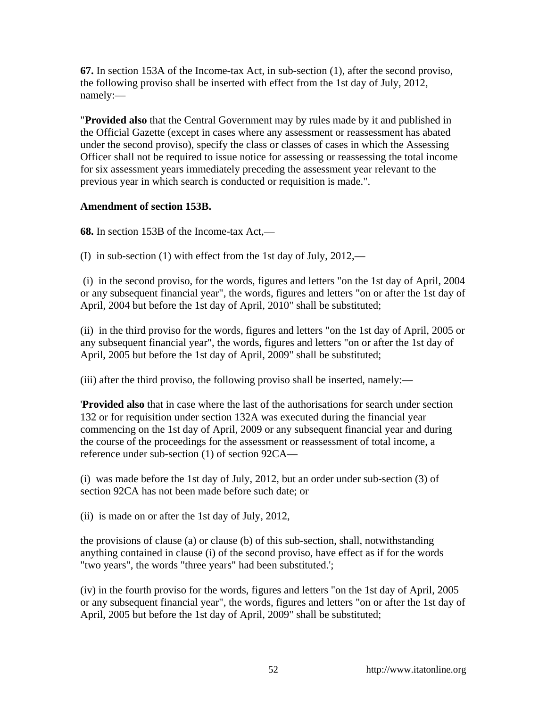**67.** In section 153A of the Income-tax Act, in sub-section (1), after the second proviso, the following proviso shall be inserted with effect from the 1st day of July, 2012, namely:—

"**Provided also** that the Central Government may by rules made by it and published in the Official Gazette (except in cases where any assessment or reassessment has abated under the second proviso), specify the class or classes of cases in which the Assessing Officer shall not be required to issue notice for assessing or reassessing the total income for six assessment years immediately preceding the assessment year relevant to the previous year in which search is conducted or requisition is made.".

### **Amendment of section 153B.**

**68.** In section 153B of the Income-tax Act,—

(I) in sub-section (1) with effect from the 1st day of July, 2012,—

 (i) in the second proviso, for the words, figures and letters "on the 1st day of April, 2004 or any subsequent financial year", the words, figures and letters "on or after the 1st day of April, 2004 but before the 1st day of April, 2010" shall be substituted;

(ii) in the third proviso for the words, figures and letters "on the 1st day of April, 2005 or any subsequent financial year", the words, figures and letters "on or after the 1st day of April, 2005 but before the 1st day of April, 2009" shall be substituted;

(iii) after the third proviso, the following proviso shall be inserted, namely:—

'**Provided also** that in case where the last of the authorisations for search under section 132 or for requisition under section 132A was executed during the financial year commencing on the 1st day of April, 2009 or any subsequent financial year and during the course of the proceedings for the assessment or reassessment of total income, a reference under sub-section (1) of section 92CA—

(i) was made before the 1st day of July, 2012, but an order under sub-section (3) of section 92CA has not been made before such date; or

(ii) is made on or after the 1st day of July, 2012,

the provisions of clause (a) or clause (b) of this sub-section, shall, notwithstanding anything contained in clause (i) of the second proviso, have effect as if for the words "two years", the words "three years" had been substituted.';

(iv) in the fourth proviso for the words, figures and letters "on the 1st day of April, 2005 or any subsequent financial year", the words, figures and letters "on or after the 1st day of April, 2005 but before the 1st day of April, 2009" shall be substituted;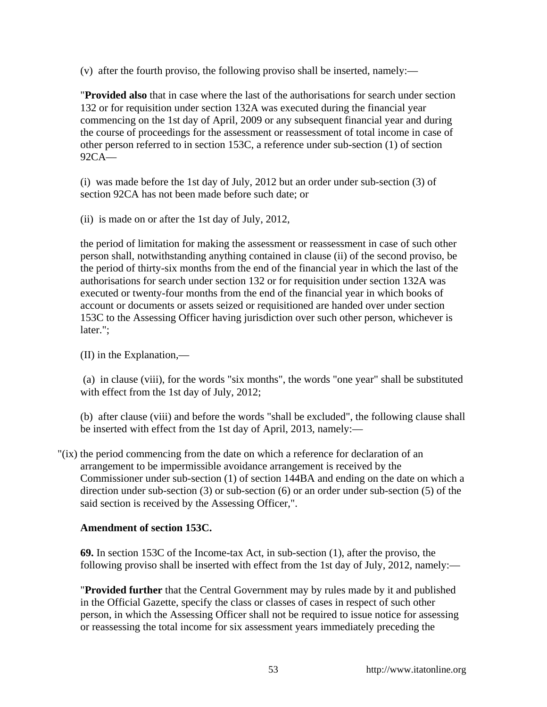(v) after the fourth proviso, the following proviso shall be inserted, namely:—

"**Provided also** that in case where the last of the authorisations for search under section 132 or for requisition under section 132A was executed during the financial year commencing on the 1st day of April, 2009 or any subsequent financial year and during the course of proceedings for the assessment or reassessment of total income in case of other person referred to in section 153C, a reference under sub-section (1) of section 92CA—

(i) was made before the 1st day of July, 2012 but an order under sub-section (3) of section 92CA has not been made before such date; or

(ii) is made on or after the 1st day of July, 2012,

the period of limitation for making the assessment or reassessment in case of such other person shall, notwithstanding anything contained in clause (ii) of the second proviso, be the period of thirty-six months from the end of the financial year in which the last of the authorisations for search under section 132 or for requisition under section 132A was executed or twenty-four months from the end of the financial year in which books of account or documents or assets seized or requisitioned are handed over under section 153C to the Assessing Officer having jurisdiction over such other person, whichever is later.";

(II) in the Explanation,—

 (a) in clause (viii), for the words "six months", the words "one year" shall be substituted with effect from the 1st day of July, 2012;

(b) after clause (viii) and before the words "shall be excluded", the following clause shall be inserted with effect from the 1st day of April, 2013, namely:—

"(ix) the period commencing from the date on which a reference for declaration of an arrangement to be impermissible avoidance arrangement is received by the Commissioner under sub-section (1) of section 144BA and ending on the date on which a direction under sub-section (3) or sub-section (6) or an order under sub-section (5) of the said section is received by the Assessing Officer,".

# **Amendment of section 153C.**

**69.** In section 153C of the Income-tax Act, in sub-section (1), after the proviso, the following proviso shall be inserted with effect from the 1st day of July, 2012, namely:—

"**Provided further** that the Central Government may by rules made by it and published in the Official Gazette, specify the class or classes of cases in respect of such other person, in which the Assessing Officer shall not be required to issue notice for assessing or reassessing the total income for six assessment years immediately preceding the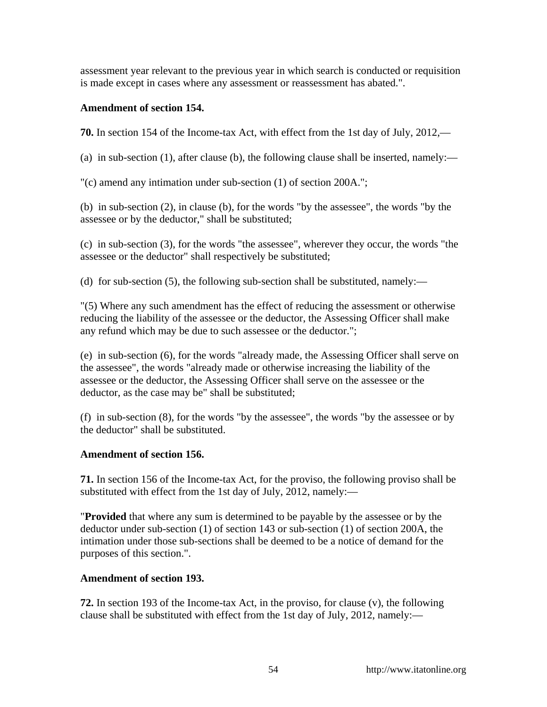assessment year relevant to the previous year in which search is conducted or requisition is made except in cases where any assessment or reassessment has abated.".

### **Amendment of section 154.**

**70.** In section 154 of the Income-tax Act, with effect from the 1st day of July, 2012,—

(a) in sub-section (1), after clause (b), the following clause shall be inserted, namely:—

"(c) amend any intimation under sub-section (1) of section 200A.";

(b) in sub-section (2), in clause (b), for the words "by the assessee", the words "by the assessee or by the deductor," shall be substituted;

(c) in sub-section (3), for the words "the assessee", wherever they occur, the words "the assessee or the deductor" shall respectively be substituted;

(d) for sub-section (5), the following sub-section shall be substituted, namely:—

"(5) Where any such amendment has the effect of reducing the assessment or otherwise reducing the liability of the assessee or the deductor, the Assessing Officer shall make any refund which may be due to such assessee or the deductor.";

(e) in sub-section (6), for the words "already made, the Assessing Officer shall serve on the assessee", the words "already made or otherwise increasing the liability of the assessee or the deductor, the Assessing Officer shall serve on the assessee or the deductor, as the case may be" shall be substituted;

(f) in sub-section (8), for the words "by the assessee", the words "by the assessee or by the deductor" shall be substituted.

# **Amendment of section 156.**

**71.** In section 156 of the Income-tax Act, for the proviso, the following proviso shall be substituted with effect from the 1st day of July, 2012, namely:—

"**Provided** that where any sum is determined to be payable by the assessee or by the deductor under sub-section (1) of section 143 or sub-section (1) of section 200A, the intimation under those sub-sections shall be deemed to be a notice of demand for the purposes of this section.".

# **Amendment of section 193.**

**72.** In section 193 of the Income-tax Act, in the proviso, for clause (v), the following clause shall be substituted with effect from the 1st day of July, 2012, namely:—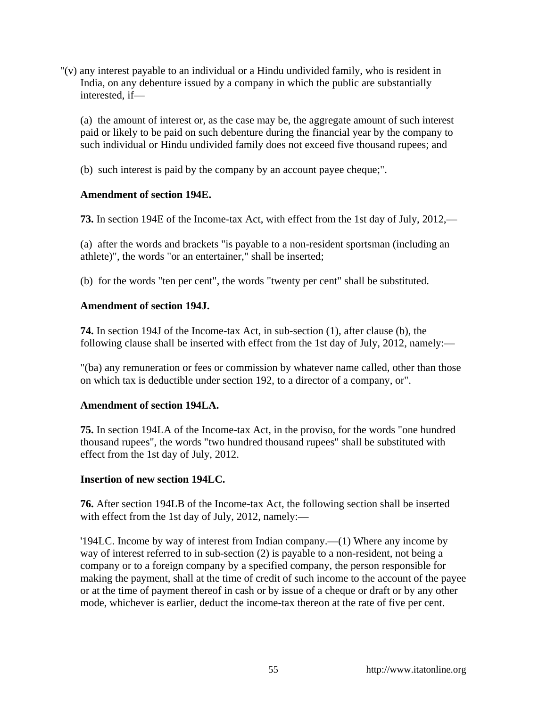"(v) any interest payable to an individual or a Hindu undivided family, who is resident in India, on any debenture issued by a company in which the public are substantially interested, if—

(a) the amount of interest or, as the case may be, the aggregate amount of such interest paid or likely to be paid on such debenture during the financial year by the company to such individual or Hindu undivided family does not exceed five thousand rupees; and

(b) such interest is paid by the company by an account payee cheque;".

### **Amendment of section 194E.**

**73.** In section 194E of the Income-tax Act, with effect from the 1st day of July, 2012,—

(a) after the words and brackets "is payable to a non-resident sportsman (including an athlete)", the words "or an entertainer," shall be inserted;

(b) for the words "ten per cent", the words "twenty per cent" shall be substituted.

### **Amendment of section 194J.**

**74.** In section 194J of the Income-tax Act, in sub-section (1), after clause (b), the following clause shall be inserted with effect from the 1st day of July, 2012, namely:—

"(ba) any remuneration or fees or commission by whatever name called, other than those on which tax is deductible under section 192, to a director of a company, or".

# **Amendment of section 194LA.**

**75.** In section 194LA of the Income-tax Act, in the proviso, for the words "one hundred thousand rupees", the words "two hundred thousand rupees" shall be substituted with effect from the 1st day of July, 2012.

# **Insertion of new section 194LC.**

**76.** After section 194LB of the Income-tax Act, the following section shall be inserted with effect from the 1st day of July, 2012, namely:—

'194LC. Income by way of interest from Indian company.—(1) Where any income by way of interest referred to in sub-section (2) is payable to a non-resident, not being a company or to a foreign company by a specified company, the person responsible for making the payment, shall at the time of credit of such income to the account of the payee or at the time of payment thereof in cash or by issue of a cheque or draft or by any other mode, whichever is earlier, deduct the income-tax thereon at the rate of five per cent.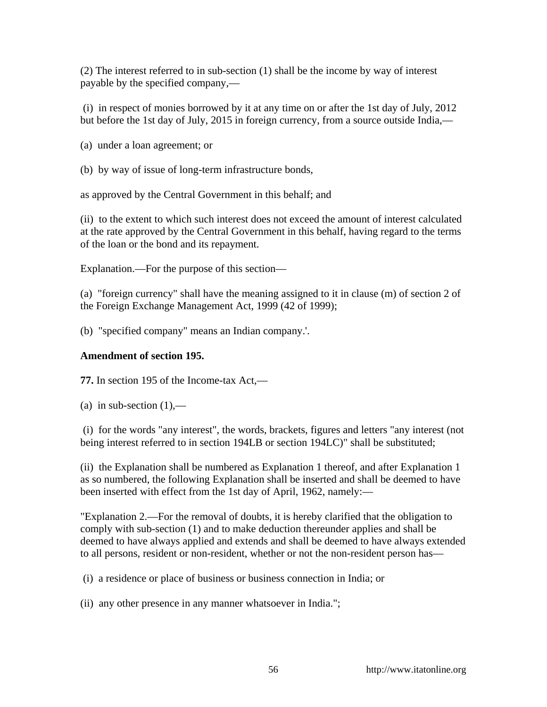(2) The interest referred to in sub-section (1) shall be the income by way of interest payable by the specified company,—

 (i) in respect of monies borrowed by it at any time on or after the 1st day of July, 2012 but before the 1st day of July, 2015 in foreign currency, from a source outside India,—

(a) under a loan agreement; or

(b) by way of issue of long-term infrastructure bonds,

as approved by the Central Government in this behalf; and

(ii) to the extent to which such interest does not exceed the amount of interest calculated at the rate approved by the Central Government in this behalf, having regard to the terms of the loan or the bond and its repayment.

Explanation.—For the purpose of this section—

(a) "foreign currency" shall have the meaning assigned to it in clause (m) of section 2 of the Foreign Exchange Management Act, 1999 (42 of 1999);

(b) "specified company" means an Indian company.'.

### **Amendment of section 195.**

**77.** In section 195 of the Income-tax Act,—

(a) in sub-section  $(1)$ ,—

 (i) for the words "any interest", the words, brackets, figures and letters "any interest (not being interest referred to in section 194LB or section 194LC)" shall be substituted;

(ii) the Explanation shall be numbered as Explanation 1 thereof, and after Explanation 1 as so numbered, the following Explanation shall be inserted and shall be deemed to have been inserted with effect from the 1st day of April, 1962, namely:—

"Explanation 2.—For the removal of doubts, it is hereby clarified that the obligation to comply with sub-section (1) and to make deduction thereunder applies and shall be deemed to have always applied and extends and shall be deemed to have always extended to all persons, resident or non-resident, whether or not the non-resident person has—

(i) a residence or place of business or business connection in India; or

(ii) any other presence in any manner whatsoever in India.";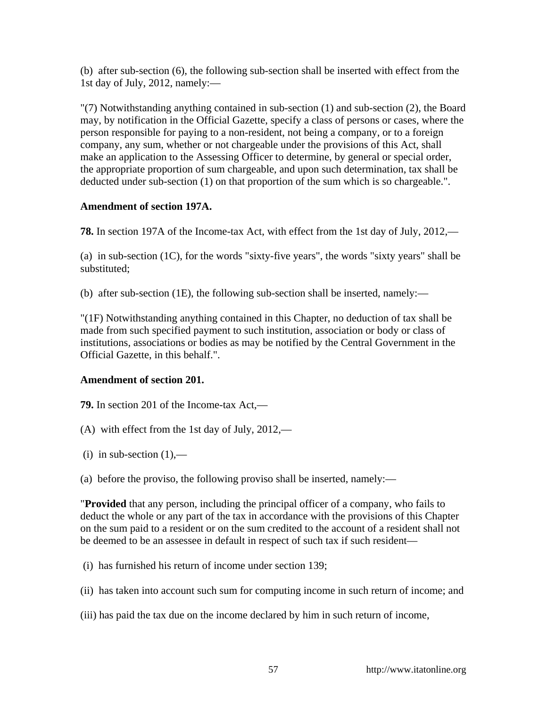(b) after sub-section (6), the following sub-section shall be inserted with effect from the 1st day of July, 2012, namely:—

"(7) Notwithstanding anything contained in sub-section (1) and sub-section (2), the Board may, by notification in the Official Gazette, specify a class of persons or cases, where the person responsible for paying to a non-resident, not being a company, or to a foreign company, any sum, whether or not chargeable under the provisions of this Act, shall make an application to the Assessing Officer to determine, by general or special order, the appropriate proportion of sum chargeable, and upon such determination, tax shall be deducted under sub-section (1) on that proportion of the sum which is so chargeable.".

### **Amendment of section 197A.**

**78.** In section 197A of the Income-tax Act, with effect from the 1st day of July, 2012,—

(a) in sub-section (1C), for the words "sixty-five years", the words "sixty years" shall be substituted;

(b) after sub-section (1E), the following sub-section shall be inserted, namely:—

"(1F) Notwithstanding anything contained in this Chapter, no deduction of tax shall be made from such specified payment to such institution, association or body or class of institutions, associations or bodies as may be notified by the Central Government in the Official Gazette, in this behalf.".

# **Amendment of section 201.**

**79.** In section 201 of the Income-tax Act,—

- (A) with effect from the 1st day of July, 2012,—
- (i) in sub-section  $(1)$ ,—
- (a) before the proviso, the following proviso shall be inserted, namely:—

"**Provided** that any person, including the principal officer of a company, who fails to deduct the whole or any part of the tax in accordance with the provisions of this Chapter on the sum paid to a resident or on the sum credited to the account of a resident shall not be deemed to be an assessee in default in respect of such tax if such resident—

(i) has furnished his return of income under section 139;

(ii) has taken into account such sum for computing income in such return of income; and

(iii) has paid the tax due on the income declared by him in such return of income,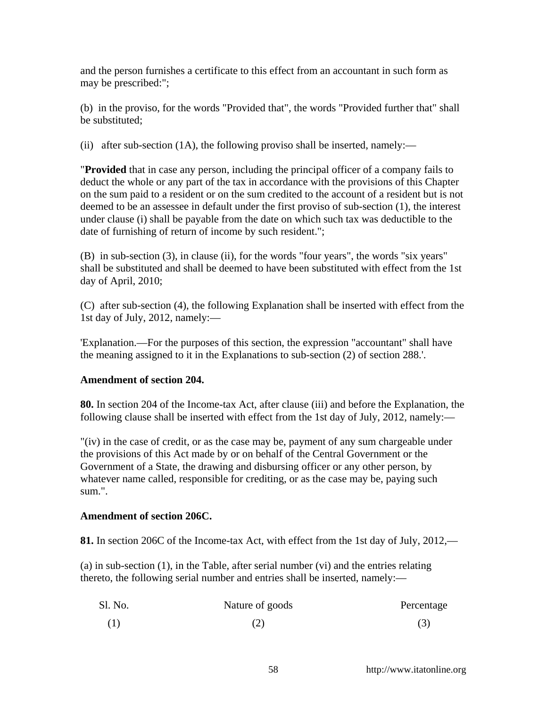and the person furnishes a certificate to this effect from an accountant in such form as may be prescribed:";

(b) in the proviso, for the words "Provided that", the words "Provided further that" shall be substituted;

(ii) after sub-section (1A), the following proviso shall be inserted, namely:—

"**Provided** that in case any person, including the principal officer of a company fails to deduct the whole or any part of the tax in accordance with the provisions of this Chapter on the sum paid to a resident or on the sum credited to the account of a resident but is not deemed to be an assessee in default under the first proviso of sub-section (1), the interest under clause (i) shall be payable from the date on which such tax was deductible to the date of furnishing of return of income by such resident.";

(B) in sub-section (3), in clause (ii), for the words "four years", the words "six years" shall be substituted and shall be deemed to have been substituted with effect from the 1st day of April, 2010;

(C) after sub-section (4), the following Explanation shall be inserted with effect from the 1st day of July, 2012, namely:—

'Explanation.—For the purposes of this section, the expression "accountant" shall have the meaning assigned to it in the Explanations to sub-section (2) of section 288.'.

# **Amendment of section 204.**

**80.** In section 204 of the Income-tax Act, after clause (iii) and before the Explanation, the following clause shall be inserted with effect from the 1st day of July, 2012, namely:—

"(iv) in the case of credit, or as the case may be, payment of any sum chargeable under the provisions of this Act made by or on behalf of the Central Government or the Government of a State, the drawing and disbursing officer or any other person, by whatever name called, responsible for crediting, or as the case may be, paying such sum.".

### **Amendment of section 206C.**

**81.** In section 206C of the Income-tax Act, with effect from the 1st day of July, 2012,—

(a) in sub-section (1), in the Table, after serial number (vi) and the entries relating thereto, the following serial number and entries shall be inserted, namely:—

| Sl. No. | Nature of goods | Percentage |
|---------|-----------------|------------|
|         | (2)             | (3)        |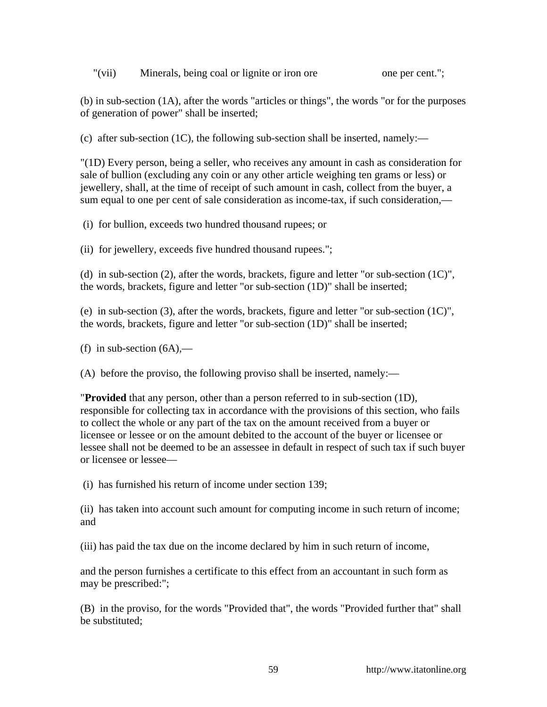"(vii) Minerals, being coal or lignite or iron ore one per cent.";

(b) in sub-section (1A), after the words "articles or things", the words "or for the purposes of generation of power" shall be inserted;

(c) after sub-section (1C), the following sub-section shall be inserted, namely:—

"(1D) Every person, being a seller, who receives any amount in cash as consideration for sale of bullion (excluding any coin or any other article weighing ten grams or less) or jewellery, shall, at the time of receipt of such amount in cash, collect from the buyer, a sum equal to one per cent of sale consideration as income-tax, if such consideration,—

(i) for bullion, exceeds two hundred thousand rupees; or

(ii) for jewellery, exceeds five hundred thousand rupees.";

(d) in sub-section (2), after the words, brackets, figure and letter "or sub-section (1C)", the words, brackets, figure and letter "or sub-section (1D)" shall be inserted;

(e) in sub-section (3), after the words, brackets, figure and letter "or sub-section (1C)", the words, brackets, figure and letter "or sub-section (1D)" shall be inserted;

(f) in sub-section  $(6A)$ ,—

(A) before the proviso, the following proviso shall be inserted, namely:—

"**Provided** that any person, other than a person referred to in sub-section (1D), responsible for collecting tax in accordance with the provisions of this section, who fails to collect the whole or any part of the tax on the amount received from a buyer or licensee or lessee or on the amount debited to the account of the buyer or licensee or lessee shall not be deemed to be an assessee in default in respect of such tax if such buyer or licensee or lessee—

(i) has furnished his return of income under section 139;

(ii) has taken into account such amount for computing income in such return of income; and

(iii) has paid the tax due on the income declared by him in such return of income,

and the person furnishes a certificate to this effect from an accountant in such form as may be prescribed:";

(B) in the proviso, for the words "Provided that", the words "Provided further that" shall be substituted;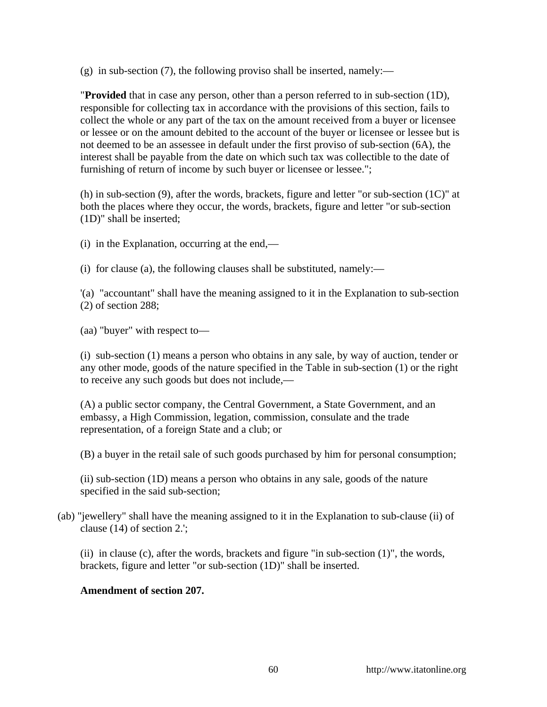$(g)$  in sub-section (7), the following proviso shall be inserted, namely:—

"**Provided** that in case any person, other than a person referred to in sub-section (1D), responsible for collecting tax in accordance with the provisions of this section, fails to collect the whole or any part of the tax on the amount received from a buyer or licensee or lessee or on the amount debited to the account of the buyer or licensee or lessee but is not deemed to be an assessee in default under the first proviso of sub-section (6A), the interest shall be payable from the date on which such tax was collectible to the date of furnishing of return of income by such buyer or licensee or lessee.";

(h) in sub-section (9), after the words, brackets, figure and letter "or sub-section (1C)" at both the places where they occur, the words, brackets, figure and letter "or sub-section (1D)" shall be inserted;

(i) in the Explanation, occurring at the end,—

(i) for clause (a), the following clauses shall be substituted, namely:—

'(a) "accountant" shall have the meaning assigned to it in the Explanation to sub-section (2) of section 288;

(aa) "buyer" with respect to—

(i) sub-section (1) means a person who obtains in any sale, by way of auction, tender or any other mode, goods of the nature specified in the Table in sub-section (1) or the right to receive any such goods but does not include,—

(A) a public sector company, the Central Government, a State Government, and an embassy, a High Commission, legation, commission, consulate and the trade representation, of a foreign State and a club; or

(B) a buyer in the retail sale of such goods purchased by him for personal consumption;

(ii) sub-section (1D) means a person who obtains in any sale, goods of the nature specified in the said sub-section;

(ab) "jewellery" shall have the meaning assigned to it in the Explanation to sub-clause (ii) of clause (14) of section 2.';

(ii) in clause (c), after the words, brackets and figure "in sub-section  $(1)$ ", the words, brackets, figure and letter "or sub-section (1D)" shall be inserted.

# **Amendment of section 207.**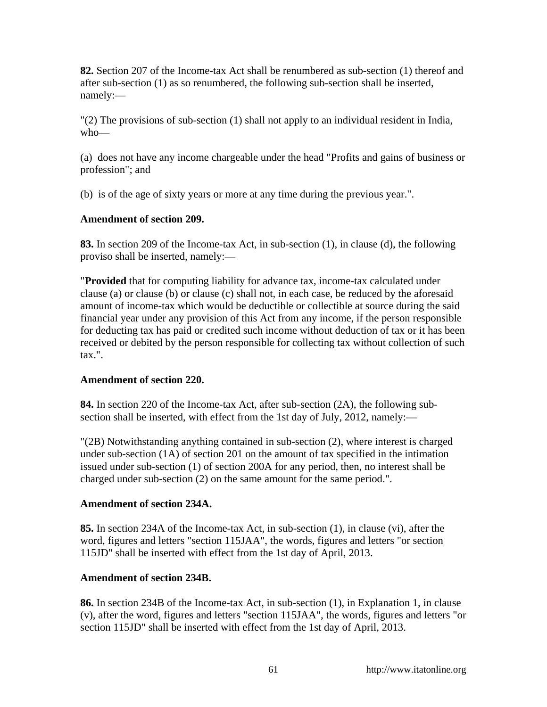**82.** Section 207 of the Income-tax Act shall be renumbered as sub-section (1) thereof and after sub-section (1) as so renumbered, the following sub-section shall be inserted, namely:—

"(2) The provisions of sub-section (1) shall not apply to an individual resident in India, who—

(a) does not have any income chargeable under the head "Profits and gains of business or profession"; and

(b) is of the age of sixty years or more at any time during the previous year.".

# **Amendment of section 209.**

**83.** In section 209 of the Income-tax Act, in sub-section (1), in clause (d), the following proviso shall be inserted, namely:—

"**Provided** that for computing liability for advance tax, income-tax calculated under clause (a) or clause (b) or clause (c) shall not, in each case, be reduced by the aforesaid amount of income-tax which would be deductible or collectible at source during the said financial year under any provision of this Act from any income, if the person responsible for deducting tax has paid or credited such income without deduction of tax or it has been received or debited by the person responsible for collecting tax without collection of such tax.".

# **Amendment of section 220.**

**84.** In section 220 of the Income-tax Act, after sub-section (2A), the following subsection shall be inserted, with effect from the 1st day of July, 2012, namely:—

"(2B) Notwithstanding anything contained in sub-section (2), where interest is charged under sub-section (1A) of section 201 on the amount of tax specified in the intimation issued under sub-section (1) of section 200A for any period, then, no interest shall be charged under sub-section (2) on the same amount for the same period.".

### **Amendment of section 234A.**

**85.** In section 234A of the Income-tax Act, in sub-section (1), in clause (vi), after the word, figures and letters "section 115JAA", the words, figures and letters "or section 115JD" shall be inserted with effect from the 1st day of April, 2013.

# **Amendment of section 234B.**

**86.** In section 234B of the Income-tax Act, in sub-section (1), in Explanation 1, in clause (v), after the word, figures and letters "section 115JAA", the words, figures and letters "or section 115JD" shall be inserted with effect from the 1st day of April, 2013.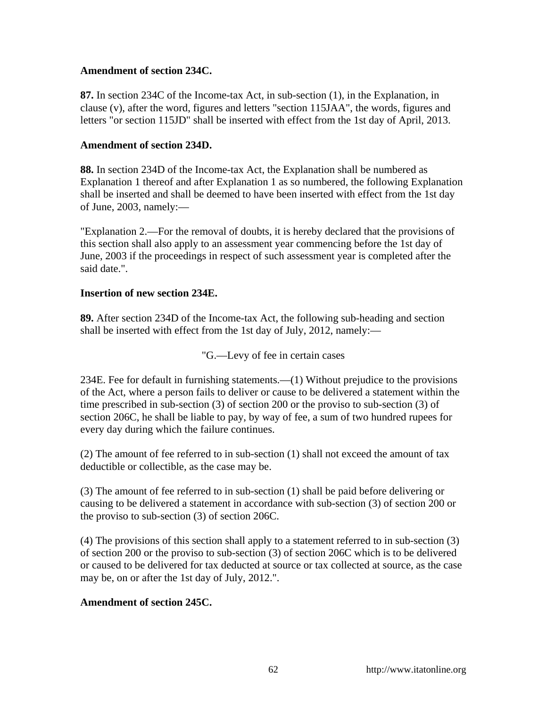### **Amendment of section 234C.**

**87.** In section 234C of the Income-tax Act, in sub-section (1), in the Explanation, in clause (v), after the word, figures and letters "section 115JAA", the words, figures and letters "or section 115JD" shall be inserted with effect from the 1st day of April, 2013.

### **Amendment of section 234D.**

**88.** In section 234D of the Income-tax Act, the Explanation shall be numbered as Explanation 1 thereof and after Explanation 1 as so numbered, the following Explanation shall be inserted and shall be deemed to have been inserted with effect from the 1st day of June, 2003, namely:—

"Explanation 2.—For the removal of doubts, it is hereby declared that the provisions of this section shall also apply to an assessment year commencing before the 1st day of June, 2003 if the proceedings in respect of such assessment year is completed after the said date.".

### **Insertion of new section 234E.**

**89.** After section 234D of the Income-tax Act, the following sub-heading and section shall be inserted with effect from the 1st day of July, 2012, namely:—

"G.—Levy of fee in certain cases

234E. Fee for default in furnishing statements.—(1) Without prejudice to the provisions of the Act, where a person fails to deliver or cause to be delivered a statement within the time prescribed in sub-section (3) of section 200 or the proviso to sub-section (3) of section 206C, he shall be liable to pay, by way of fee, a sum of two hundred rupees for every day during which the failure continues.

(2) The amount of fee referred to in sub-section (1) shall not exceed the amount of tax deductible or collectible, as the case may be.

(3) The amount of fee referred to in sub-section (1) shall be paid before delivering or causing to be delivered a statement in accordance with sub-section (3) of section 200 or the proviso to sub-section (3) of section 206C.

(4) The provisions of this section shall apply to a statement referred to in sub-section (3) of section 200 or the proviso to sub-section (3) of section 206C which is to be delivered or caused to be delivered for tax deducted at source or tax collected at source, as the case may be, on or after the 1st day of July, 2012.".

# **Amendment of section 245C.**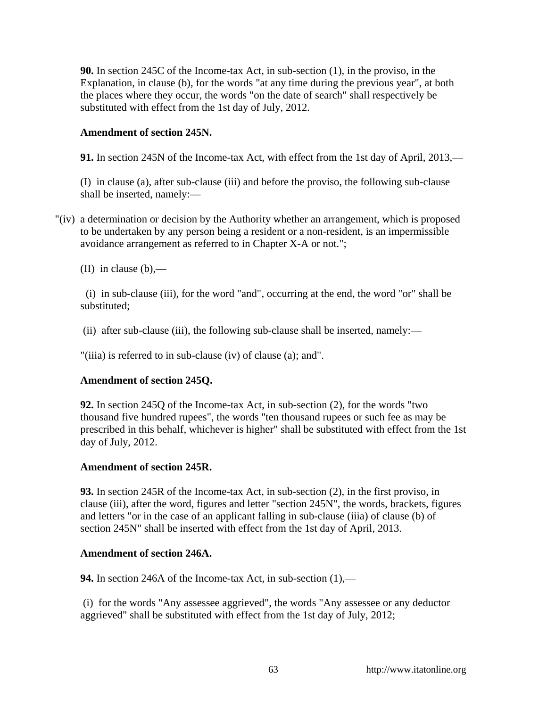**90.** In section 245C of the Income-tax Act, in sub-section (1), in the proviso, in the Explanation, in clause (b), for the words "at any time during the previous year", at both the places where they occur, the words "on the date of search" shall respectively be substituted with effect from the 1st day of July, 2012.

### **Amendment of section 245N.**

**91.** In section 245N of the Income-tax Act, with effect from the 1st day of April, 2013,—

(I) in clause (a), after sub-clause (iii) and before the proviso, the following sub-clause shall be inserted, namely:—

"(iv) a determination or decision by the Authority whether an arrangement, which is proposed to be undertaken by any person being a resident or a non-resident, is an impermissible avoidance arrangement as referred to in Chapter X-A or not.";

(II) in clause  $(b)$ ,—

 (i) in sub-clause (iii), for the word "and", occurring at the end, the word "or" shall be substituted;

(ii) after sub-clause (iii), the following sub-clause shall be inserted, namely:—

"(iiia) is referred to in sub-clause (iv) of clause (a); and".

### **Amendment of section 245Q.**

**92.** In section 245Q of the Income-tax Act, in sub-section (2), for the words "two thousand five hundred rupees", the words "ten thousand rupees or such fee as may be prescribed in this behalf, whichever is higher" shall be substituted with effect from the 1st day of July, 2012.

### **Amendment of section 245R.**

**93.** In section 245R of the Income-tax Act, in sub-section (2), in the first proviso, in clause (iii), after the word, figures and letter "section 245N", the words, brackets, figures and letters "or in the case of an applicant falling in sub-clause (iiia) of clause (b) of section 245N" shall be inserted with effect from the 1st day of April, 2013.

### **Amendment of section 246A.**

**94.** In section 246A of the Income-tax Act, in sub-section (1),—

 (i) for the words "Any assessee aggrieved", the words "Any assessee or any deductor aggrieved" shall be substituted with effect from the 1st day of July, 2012;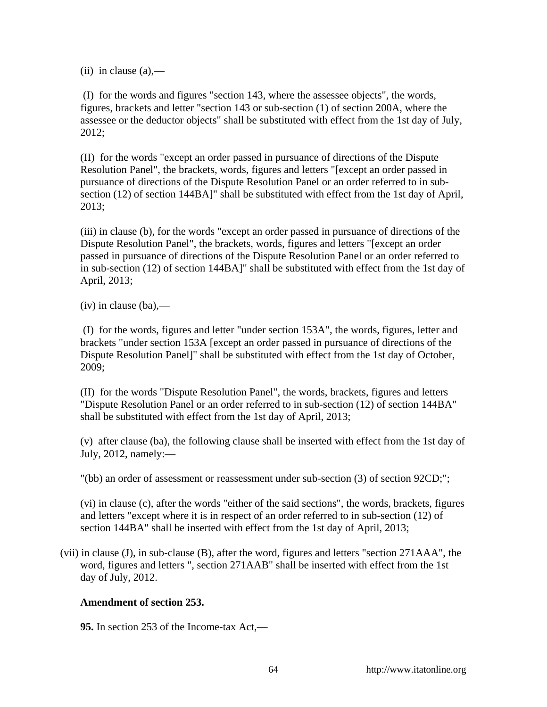$(ii)$  in clause  $(a)$ ,—

 (I) for the words and figures "section 143, where the assessee objects", the words, figures, brackets and letter "section 143 or sub-section (1) of section 200A, where the assessee or the deductor objects" shall be substituted with effect from the 1st day of July, 2012;

(II) for the words "except an order passed in pursuance of directions of the Dispute Resolution Panel", the brackets, words, figures and letters "[except an order passed in pursuance of directions of the Dispute Resolution Panel or an order referred to in subsection (12) of section 144BA]" shall be substituted with effect from the 1st day of April, 2013;

(iii) in clause (b), for the words "except an order passed in pursuance of directions of the Dispute Resolution Panel", the brackets, words, figures and letters "[except an order passed in pursuance of directions of the Dispute Resolution Panel or an order referred to in sub-section (12) of section 144BA]" shall be substituted with effect from the 1st day of April, 2013;

 $(iv)$  in clause  $(ba)$ ,—

 (I) for the words, figures and letter "under section 153A", the words, figures, letter and brackets "under section 153A [except an order passed in pursuance of directions of the Dispute Resolution Panel]" shall be substituted with effect from the 1st day of October, 2009;

(II) for the words "Dispute Resolution Panel", the words, brackets, figures and letters "Dispute Resolution Panel or an order referred to in sub-section (12) of section 144BA" shall be substituted with effect from the 1st day of April, 2013;

(v) after clause (ba), the following clause shall be inserted with effect from the 1st day of July, 2012, namely:—

"(bb) an order of assessment or reassessment under sub-section (3) of section 92CD;";

(vi) in clause (c), after the words "either of the said sections", the words, brackets, figures and letters "except where it is in respect of an order referred to in sub-section (12) of section 144BA" shall be inserted with effect from the 1st day of April, 2013;

(vii) in clause (J), in sub-clause (B), after the word, figures and letters "section 271AAA", the word, figures and letters ", section 271AAB" shall be inserted with effect from the 1st day of July, 2012.

### **Amendment of section 253.**

**95.** In section 253 of the Income-tax Act,—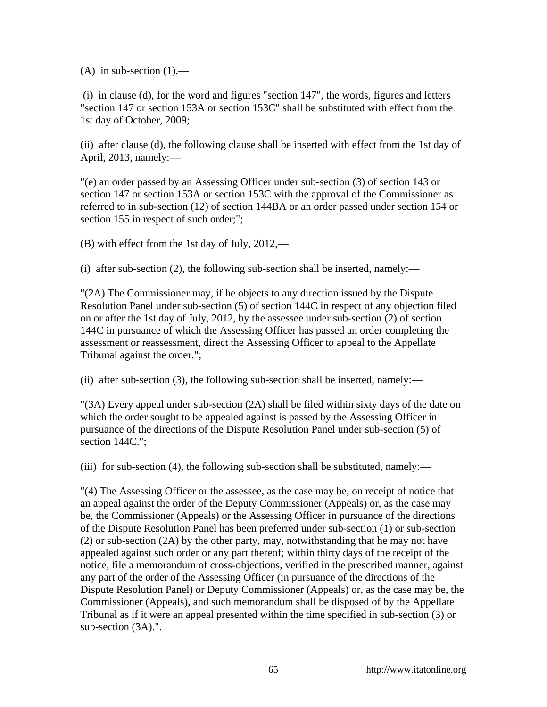(A) in sub-section  $(1)$ ,—

 (i) in clause (d), for the word and figures "section 147", the words, figures and letters "section 147 or section 153A or section 153C" shall be substituted with effect from the 1st day of October, 2009;

(ii) after clause (d), the following clause shall be inserted with effect from the 1st day of April, 2013, namely:—

"(e) an order passed by an Assessing Officer under sub-section (3) of section 143 or section 147 or section 153A or section 153C with the approval of the Commissioner as referred to in sub-section (12) of section 144BA or an order passed under section 154 or section 155 in respect of such order;";

(B) with effect from the 1st day of July, 2012,—

(i) after sub-section (2), the following sub-section shall be inserted, namely:—

"(2A) The Commissioner may, if he objects to any direction issued by the Dispute Resolution Panel under sub-section (5) of section 144C in respect of any objection filed on or after the 1st day of July, 2012, by the assessee under sub-section (2) of section 144C in pursuance of which the Assessing Officer has passed an order completing the assessment or reassessment, direct the Assessing Officer to appeal to the Appellate Tribunal against the order.";

(ii) after sub-section (3), the following sub-section shall be inserted, namely:—

"(3A) Every appeal under sub-section (2A) shall be filed within sixty days of the date on which the order sought to be appealed against is passed by the Assessing Officer in pursuance of the directions of the Dispute Resolution Panel under sub-section (5) of section 144C.";

(iii) for sub-section (4), the following sub-section shall be substituted, namely:—

"(4) The Assessing Officer or the assessee, as the case may be, on receipt of notice that an appeal against the order of the Deputy Commissioner (Appeals) or, as the case may be, the Commissioner (Appeals) or the Assessing Officer in pursuance of the directions of the Dispute Resolution Panel has been preferred under sub-section (1) or sub-section (2) or sub-section (2A) by the other party, may, notwithstanding that he may not have appealed against such order or any part thereof; within thirty days of the receipt of the notice, file a memorandum of cross-objections, verified in the prescribed manner, against any part of the order of the Assessing Officer (in pursuance of the directions of the Dispute Resolution Panel) or Deputy Commissioner (Appeals) or, as the case may be, the Commissioner (Appeals), and such memorandum shall be disposed of by the Appellate Tribunal as if it were an appeal presented within the time specified in sub-section (3) or sub-section (3A).".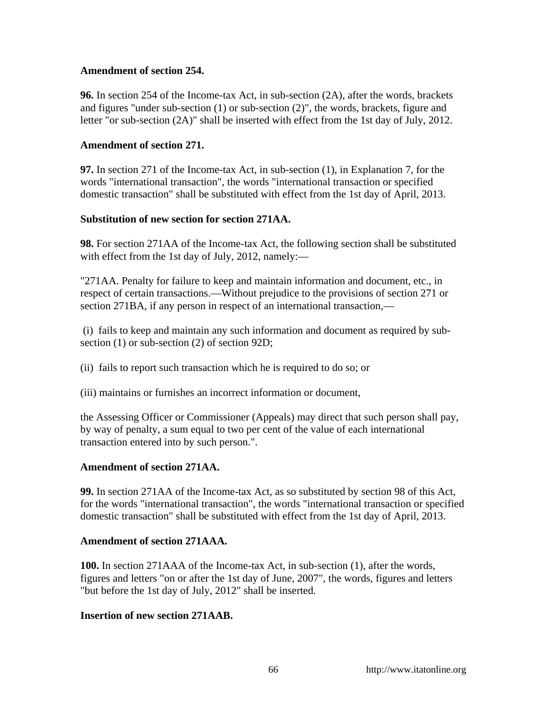### **Amendment of section 254.**

**96.** In section 254 of the Income-tax Act, in sub-section (2A), after the words, brackets and figures "under sub-section (1) or sub-section (2)", the words, brackets, figure and letter "or sub-section (2A)" shall be inserted with effect from the 1st day of July, 2012.

### **Amendment of section 271.**

**97.** In section 271 of the Income-tax Act, in sub-section (1), in Explanation 7, for the words "international transaction", the words "international transaction or specified domestic transaction" shall be substituted with effect from the 1st day of April, 2013.

### **Substitution of new section for section 271AA.**

**98.** For section 271AA of the Income-tax Act, the following section shall be substituted with effect from the 1st day of July, 2012, namely:—

"271AA. Penalty for failure to keep and maintain information and document, etc., in respect of certain transactions.—Without prejudice to the provisions of section 271 or section 271BA, if any person in respect of an international transaction,—

 (i) fails to keep and maintain any such information and document as required by subsection (1) or sub-section (2) of section 92D;

(ii) fails to report such transaction which he is required to do so; or

(iii) maintains or furnishes an incorrect information or document,

the Assessing Officer or Commissioner (Appeals) may direct that such person shall pay, by way of penalty, a sum equal to two per cent of the value of each international transaction entered into by such person.".

# **Amendment of section 271AA.**

**99.** In section 271AA of the Income-tax Act, as so substituted by section 98 of this Act, for the words "international transaction", the words "international transaction or specified domestic transaction" shall be substituted with effect from the 1st day of April, 2013.

### **Amendment of section 271AAA.**

**100.** In section 271AAA of the Income-tax Act, in sub-section (1), after the words, figures and letters "on or after the 1st day of June, 2007", the words, figures and letters "but before the 1st day of July, 2012" shall be inserted.

### **Insertion of new section 271AAB.**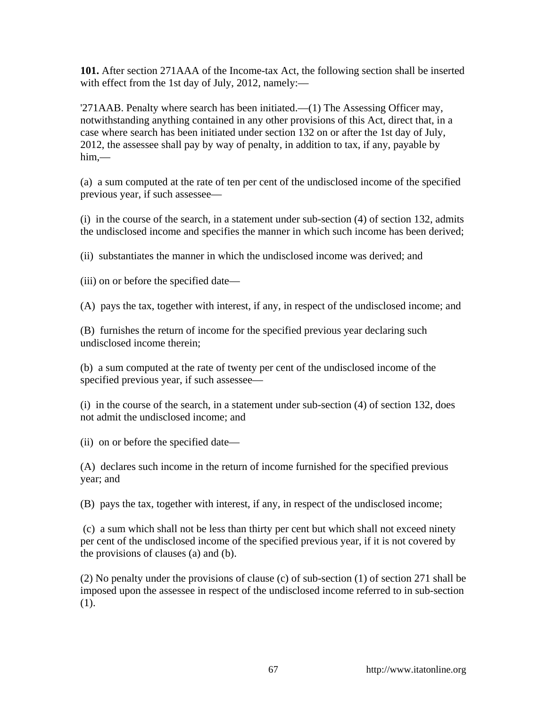**101.** After section 271AAA of the Income-tax Act, the following section shall be inserted with effect from the 1st day of July, 2012, namely:—

'271AAB. Penalty where search has been initiated.—(1) The Assessing Officer may, notwithstanding anything contained in any other provisions of this Act, direct that, in a case where search has been initiated under section 132 on or after the 1st day of July, 2012, the assessee shall pay by way of penalty, in addition to tax, if any, payable by him,—

(a) a sum computed at the rate of ten per cent of the undisclosed income of the specified previous year, if such assessee—

(i) in the course of the search, in a statement under sub-section (4) of section 132, admits the undisclosed income and specifies the manner in which such income has been derived;

(ii) substantiates the manner in which the undisclosed income was derived; and

(iii) on or before the specified date—

(A) pays the tax, together with interest, if any, in respect of the undisclosed income; and

(B) furnishes the return of income for the specified previous year declaring such undisclosed income therein;

(b) a sum computed at the rate of twenty per cent of the undisclosed income of the specified previous year, if such assessee—

(i) in the course of the search, in a statement under sub-section (4) of section 132, does not admit the undisclosed income; and

(ii) on or before the specified date—

(A) declares such income in the return of income furnished for the specified previous year; and

(B) pays the tax, together with interest, if any, in respect of the undisclosed income;

 (c) a sum which shall not be less than thirty per cent but which shall not exceed ninety per cent of the undisclosed income of the specified previous year, if it is not covered by the provisions of clauses (a) and (b).

(2) No penalty under the provisions of clause (c) of sub-section (1) of section 271 shall be imposed upon the assessee in respect of the undisclosed income referred to in sub-section (1).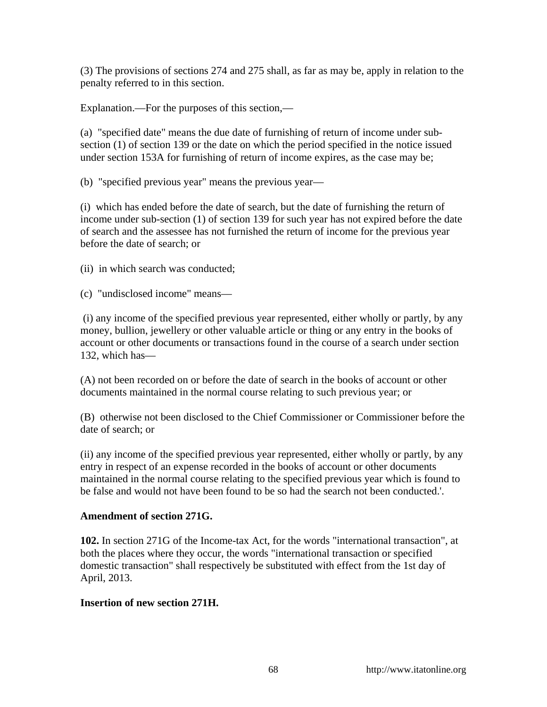(3) The provisions of sections 274 and 275 shall, as far as may be, apply in relation to the penalty referred to in this section.

Explanation.—For the purposes of this section,—

(a) "specified date" means the due date of furnishing of return of income under subsection (1) of section 139 or the date on which the period specified in the notice issued under section 153A for furnishing of return of income expires, as the case may be;

(b) "specified previous year" means the previous year—

(i) which has ended before the date of search, but the date of furnishing the return of income under sub-section (1) of section 139 for such year has not expired before the date of search and the assessee has not furnished the return of income for the previous year before the date of search; or

(ii) in which search was conducted;

(c) "undisclosed income" means—

 (i) any income of the specified previous year represented, either wholly or partly, by any money, bullion, jewellery or other valuable article or thing or any entry in the books of account or other documents or transactions found in the course of a search under section 132, which has—

(A) not been recorded on or before the date of search in the books of account or other documents maintained in the normal course relating to such previous year; or

(B) otherwise not been disclosed to the Chief Commissioner or Commissioner before the date of search; or

(ii) any income of the specified previous year represented, either wholly or partly, by any entry in respect of an expense recorded in the books of account or other documents maintained in the normal course relating to the specified previous year which is found to be false and would not have been found to be so had the search not been conducted.'.

### **Amendment of section 271G.**

**102.** In section 271G of the Income-tax Act, for the words "international transaction", at both the places where they occur, the words "international transaction or specified domestic transaction" shall respectively be substituted with effect from the 1st day of April, 2013.

### **Insertion of new section 271H.**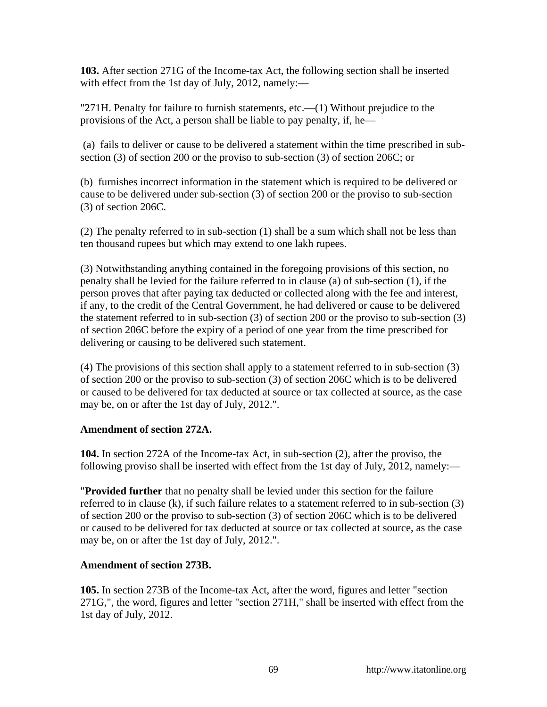**103.** After section 271G of the Income-tax Act, the following section shall be inserted with effect from the 1st day of July, 2012, namely:—

"271H. Penalty for failure to furnish statements, etc.—(1) Without prejudice to the provisions of the Act, a person shall be liable to pay penalty, if, he—

 (a) fails to deliver or cause to be delivered a statement within the time prescribed in subsection (3) of section 200 or the proviso to sub-section (3) of section 206C; or

(b) furnishes incorrect information in the statement which is required to be delivered or cause to be delivered under sub-section (3) of section 200 or the proviso to sub-section (3) of section 206C.

(2) The penalty referred to in sub-section (1) shall be a sum which shall not be less than ten thousand rupees but which may extend to one lakh rupees.

(3) Notwithstanding anything contained in the foregoing provisions of this section, no penalty shall be levied for the failure referred to in clause (a) of sub-section (1), if the person proves that after paying tax deducted or collected along with the fee and interest, if any, to the credit of the Central Government, he had delivered or cause to be delivered the statement referred to in sub-section (3) of section 200 or the proviso to sub-section (3) of section 206C before the expiry of a period of one year from the time prescribed for delivering or causing to be delivered such statement.

(4) The provisions of this section shall apply to a statement referred to in sub-section (3) of section 200 or the proviso to sub-section (3) of section 206C which is to be delivered or caused to be delivered for tax deducted at source or tax collected at source, as the case may be, on or after the 1st day of July, 2012.".

# **Amendment of section 272A.**

**104.** In section 272A of the Income-tax Act, in sub-section (2), after the proviso, the following proviso shall be inserted with effect from the 1st day of July, 2012, namely:—

"**Provided further** that no penalty shall be levied under this section for the failure referred to in clause (k), if such failure relates to a statement referred to in sub-section (3) of section 200 or the proviso to sub-section (3) of section 206C which is to be delivered or caused to be delivered for tax deducted at source or tax collected at source, as the case may be, on or after the 1st day of July, 2012.".

# **Amendment of section 273B.**

**105.** In section 273B of the Income-tax Act, after the word, figures and letter "section 271G,", the word, figures and letter "section 271H," shall be inserted with effect from the 1st day of July, 2012.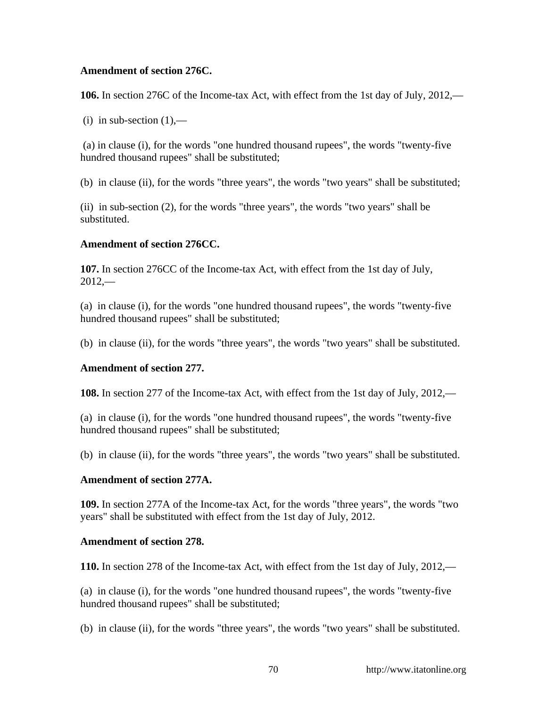### **Amendment of section 276C.**

**106.** In section 276C of the Income-tax Act, with effect from the 1st day of July, 2012,—

(i) in sub-section  $(1)$ ,—

 (a) in clause (i), for the words "one hundred thousand rupees", the words "twenty-five hundred thousand rupees" shall be substituted;

(b) in clause (ii), for the words "three years", the words "two years" shall be substituted;

(ii) in sub-section (2), for the words "three years", the words "two years" shall be substituted.

# **Amendment of section 276CC.**

**107.** In section 276CC of the Income-tax Act, with effect from the 1st day of July,  $2012$ <sub>—</sub>

(a) in clause (i), for the words "one hundred thousand rupees", the words "twenty-five hundred thousand rupees" shall be substituted;

(b) in clause (ii), for the words "three years", the words "two years" shall be substituted.

# **Amendment of section 277.**

**108.** In section 277 of the Income-tax Act, with effect from the 1st day of July, 2012,—

(a) in clause (i), for the words "one hundred thousand rupees", the words "twenty-five hundred thousand rupees" shall be substituted;

(b) in clause (ii), for the words "three years", the words "two years" shall be substituted.

### **Amendment of section 277A.**

**109.** In section 277A of the Income-tax Act, for the words "three years", the words "two years" shall be substituted with effect from the 1st day of July, 2012.

### **Amendment of section 278.**

**110.** In section 278 of the Income-tax Act, with effect from the 1st day of July, 2012,—

(a) in clause (i), for the words "one hundred thousand rupees", the words "twenty-five hundred thousand rupees" shall be substituted;

(b) in clause (ii), for the words "three years", the words "two years" shall be substituted.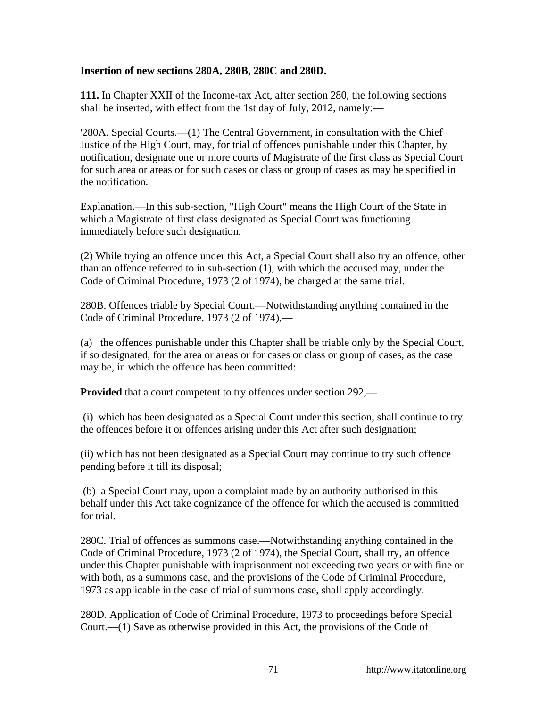### **Insertion of new sections 280A, 280B, 280C and 280D.**

**111.** In Chapter XXII of the Income-tax Act, after section 280, the following sections shall be inserted, with effect from the 1st day of July, 2012, namely:—

'280A. Special Courts.—(1) The Central Government, in consultation with the Chief Justice of the High Court, may, for trial of offences punishable under this Chapter, by notification, designate one or more courts of Magistrate of the first class as Special Court for such area or areas or for such cases or class or group of cases as may be specified in the notification.

Explanation.—In this sub-section, "High Court" means the High Court of the State in which a Magistrate of first class designated as Special Court was functioning immediately before such designation.

(2) While trying an offence under this Act, a Special Court shall also try an offence, other than an offence referred to in sub-section (1), with which the accused may, under the Code of Criminal Procedure, 1973 (2 of 1974), be charged at the same trial.

280B. Offences triable by Special Court.—Notwithstanding anything contained in the Code of Criminal Procedure, 1973 (2 of 1974),—

(a) the offences punishable under this Chapter shall be triable only by the Special Court, if so designated, for the area or areas or for cases or class or group of cases, as the case may be, in which the offence has been committed:

**Provided** that a court competent to try offences under section 292,—

 (i) which has been designated as a Special Court under this section, shall continue to try the offences before it or offences arising under this Act after such designation;

(ii) which has not been designated as a Special Court may continue to try such offence pending before it till its disposal;

 (b) a Special Court may, upon a complaint made by an authority authorised in this behalf under this Act take cognizance of the offence for which the accused is committed for trial.

280C. Trial of offences as summons case.—Notwithstanding anything contained in the Code of Criminal Procedure, 1973 (2 of 1974), the Special Court, shall try, an offence under this Chapter punishable with imprisonment not exceeding two years or with fine or with both, as a summons case, and the provisions of the Code of Criminal Procedure, 1973 as applicable in the case of trial of summons case, shall apply accordingly.

280D. Application of Code of Criminal Procedure, 1973 to proceedings before Special Court.— $(1)$  Save as otherwise provided in this Act, the provisions of the Code of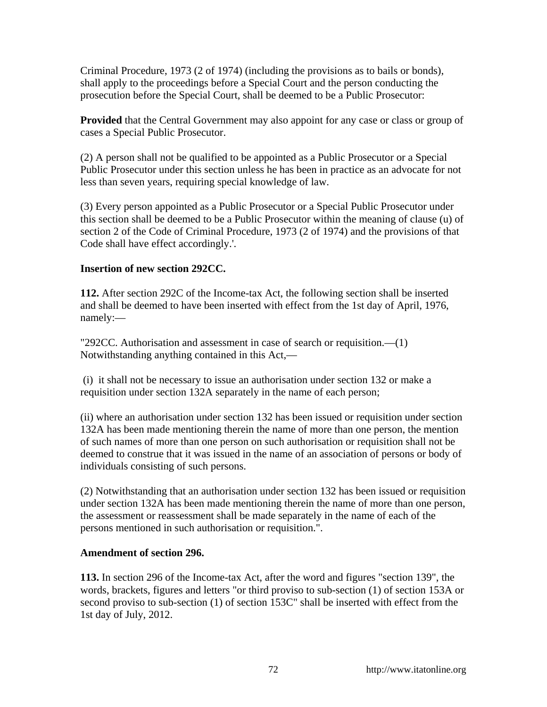Criminal Procedure, 1973 (2 of 1974) (including the provisions as to bails or bonds), shall apply to the proceedings before a Special Court and the person conducting the prosecution before the Special Court, shall be deemed to be a Public Prosecutor:

**Provided** that the Central Government may also appoint for any case or class or group of cases a Special Public Prosecutor.

(2) A person shall not be qualified to be appointed as a Public Prosecutor or a Special Public Prosecutor under this section unless he has been in practice as an advocate for not less than seven years, requiring special knowledge of law.

(3) Every person appointed as a Public Prosecutor or a Special Public Prosecutor under this section shall be deemed to be a Public Prosecutor within the meaning of clause (u) of section 2 of the Code of Criminal Procedure, 1973 (2 of 1974) and the provisions of that Code shall have effect accordingly.'.

### **Insertion of new section 292CC.**

**112.** After section 292C of the Income-tax Act, the following section shall be inserted and shall be deemed to have been inserted with effect from the 1st day of April, 1976, namely:—

"292CC. Authorisation and assessment in case of search or requisition.—(1) Notwithstanding anything contained in this Act,—

 (i) it shall not be necessary to issue an authorisation under section 132 or make a requisition under section 132A separately in the name of each person;

(ii) where an authorisation under section 132 has been issued or requisition under section 132A has been made mentioning therein the name of more than one person, the mention of such names of more than one person on such authorisation or requisition shall not be deemed to construe that it was issued in the name of an association of persons or body of individuals consisting of such persons.

(2) Notwithstanding that an authorisation under section 132 has been issued or requisition under section 132A has been made mentioning therein the name of more than one person, the assessment or reassessment shall be made separately in the name of each of the persons mentioned in such authorisation or requisition.".

### **Amendment of section 296.**

**113.** In section 296 of the Income-tax Act, after the word and figures "section 139", the words, brackets, figures and letters "or third proviso to sub-section (1) of section 153A or second proviso to sub-section (1) of section 153C" shall be inserted with effect from the 1st day of July, 2012.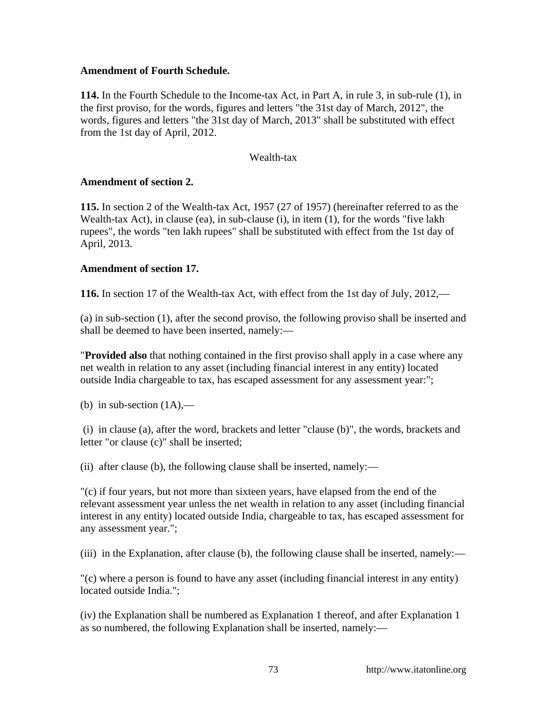### **Amendment of Fourth Schedule.**

**114.** In the Fourth Schedule to the Income-tax Act, in Part A, in rule 3, in sub-rule (1), in the first proviso, for the words, figures and letters "the 31st day of March, 2012", the words, figures and letters "the 31st day of March, 2013" shall be substituted with effect from the 1st day of April, 2012.

### Wealth-tax

### **Amendment of section 2.**

**115.** In section 2 of the Wealth-tax Act, 1957 (27 of 1957) (hereinafter referred to as the Wealth-tax Act), in clause (ea), in sub-clause (i), in item (1), for the words "five lakh rupees", the words "ten lakh rupees" shall be substituted with effect from the 1st day of April, 2013.

### **Amendment of section 17.**

**116.** In section 17 of the Wealth-tax Act, with effect from the 1st day of July, 2012,—

(a) in sub-section (1), after the second proviso, the following proviso shall be inserted and shall be deemed to have been inserted, namely:—

"**Provided also** that nothing contained in the first proviso shall apply in a case where any net wealth in relation to any asset (including financial interest in any entity) located outside India chargeable to tax, has escaped assessment for any assessment year:";

(b) in sub-section  $(1A)$ ,—

 (i) in clause (a), after the word, brackets and letter "clause (b)", the words, brackets and letter "or clause (c)" shall be inserted;

(ii) after clause (b), the following clause shall be inserted, namely:—

"(c) if four years, but not more than sixteen years, have elapsed from the end of the relevant assessment year unless the net wealth in relation to any asset (including financial interest in any entity) located outside India, chargeable to tax, has escaped assessment for any assessment year.";

(iii) in the Explanation, after clause (b), the following clause shall be inserted, namely:—

"(c) where a person is found to have any asset (including financial interest in any entity) located outside India.";

(iv) the Explanation shall be numbered as Explanation 1 thereof, and after Explanation 1 as so numbered, the following Explanation shall be inserted, namely:—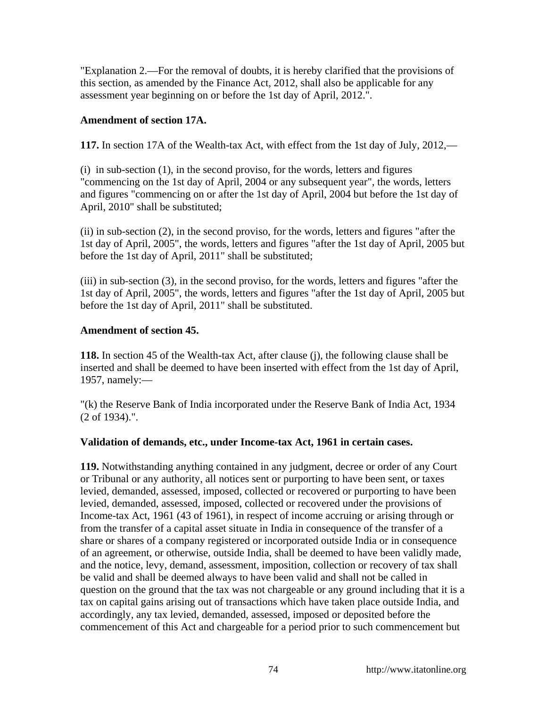"Explanation 2.—For the removal of doubts, it is hereby clarified that the provisions of this section, as amended by the Finance Act, 2012, shall also be applicable for any assessment year beginning on or before the 1st day of April, 2012.".

# **Amendment of section 17A.**

**117.** In section 17A of the Wealth-tax Act, with effect from the 1st day of July, 2012,—

(i) in sub-section (1), in the second proviso, for the words, letters and figures "commencing on the 1st day of April, 2004 or any subsequent year", the words, letters and figures "commencing on or after the 1st day of April, 2004 but before the 1st day of April, 2010" shall be substituted;

(ii) in sub-section (2), in the second proviso, for the words, letters and figures "after the 1st day of April, 2005", the words, letters and figures "after the 1st day of April, 2005 but before the 1st day of April, 2011" shall be substituted;

(iii) in sub-section (3), in the second proviso, for the words, letters and figures "after the 1st day of April, 2005", the words, letters and figures "after the 1st day of April, 2005 but before the 1st day of April, 2011" shall be substituted.

# **Amendment of section 45.**

**118.** In section 45 of the Wealth-tax Act, after clause (j), the following clause shall be inserted and shall be deemed to have been inserted with effect from the 1st day of April, 1957, namely:—

"(k) the Reserve Bank of India incorporated under the Reserve Bank of India Act, 1934 (2 of 1934).".

# **Validation of demands, etc., under Income-tax Act, 1961 in certain cases.**

**119.** Notwithstanding anything contained in any judgment, decree or order of any Court or Tribunal or any authority, all notices sent or purporting to have been sent, or taxes levied, demanded, assessed, imposed, collected or recovered or purporting to have been levied, demanded, assessed, imposed, collected or recovered under the provisions of Income-tax Act, 1961 (43 of 1961), in respect of income accruing or arising through or from the transfer of a capital asset situate in India in consequence of the transfer of a share or shares of a company registered or incorporated outside India or in consequence of an agreement, or otherwise, outside India, shall be deemed to have been validly made, and the notice, levy, demand, assessment, imposition, collection or recovery of tax shall be valid and shall be deemed always to have been valid and shall not be called in question on the ground that the tax was not chargeable or any ground including that it is a tax on capital gains arising out of transactions which have taken place outside India, and accordingly, any tax levied, demanded, assessed, imposed or deposited before the commencement of this Act and chargeable for a period prior to such commencement but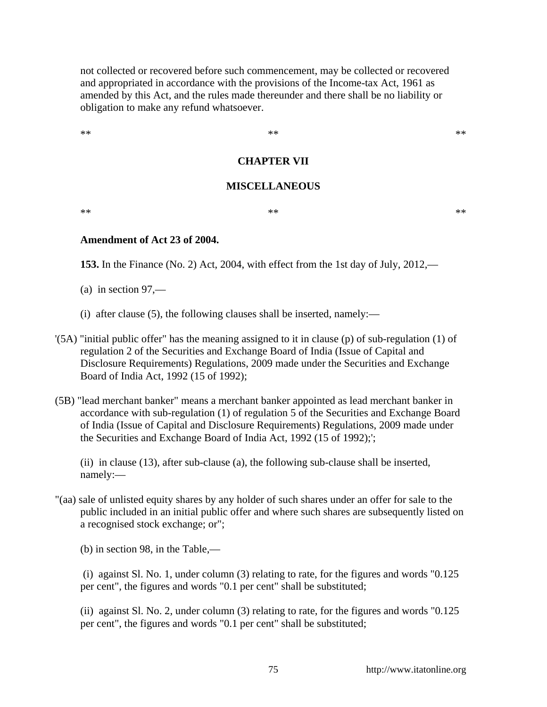not collected or recovered before such commencement, may be collected or recovered and appropriated in accordance with the provisions of the Income-tax Act, 1961 as amended by this Act, and the rules made thereunder and there shall be no liability or obligation to make any refund whatsoever.

 $**$  \*\*  $**$  \*\*

## **CHAPTER VII**

#### **MISCELLANEOUS**

 $**$  \*\*  $**$  \*\*

**Amendment of Act 23 of 2004.**

**153.** In the Finance (No. 2) Act, 2004, with effect from the 1st day of July, 2012,—

 $(a)$  in section 97,—

- (i) after clause (5), the following clauses shall be inserted, namely:—
- '(5A) "initial public offer" has the meaning assigned to it in clause (p) of sub-regulation (1) of regulation 2 of the Securities and Exchange Board of India (Issue of Capital and Disclosure Requirements) Regulations, 2009 made under the Securities and Exchange Board of India Act, 1992 (15 of 1992);
- (5B) "lead merchant banker" means a merchant banker appointed as lead merchant banker in accordance with sub-regulation (1) of regulation 5 of the Securities and Exchange Board of India (Issue of Capital and Disclosure Requirements) Regulations, 2009 made under the Securities and Exchange Board of India Act, 1992 (15 of 1992);';

(ii) in clause (13), after sub-clause (a), the following sub-clause shall be inserted, namely:—

"(aa) sale of unlisted equity shares by any holder of such shares under an offer for sale to the public included in an initial public offer and where such shares are subsequently listed on a recognised stock exchange; or";

(b) in section 98, in the Table,—

 (i) against Sl. No. 1, under column (3) relating to rate, for the figures and words "0.125 per cent", the figures and words "0.1 per cent" shall be substituted;

(ii) against Sl. No. 2, under column (3) relating to rate, for the figures and words "0.125 per cent", the figures and words "0.1 per cent" shall be substituted;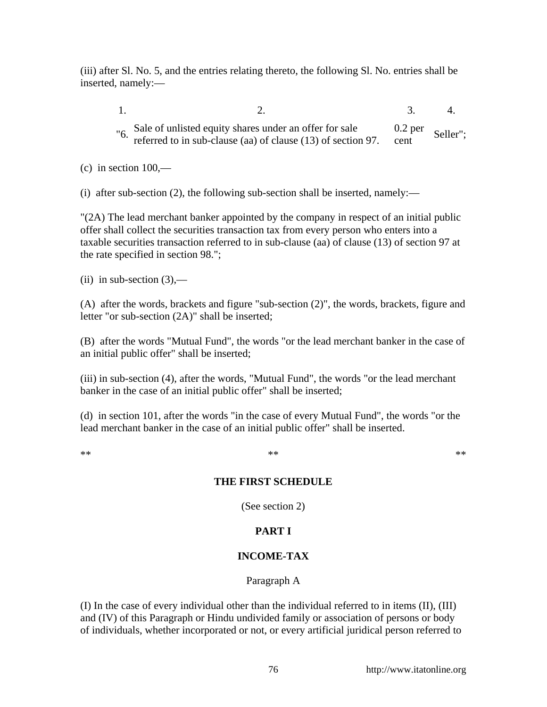(iii) after Sl. No. 5, and the entries relating thereto, the following Sl. No. entries shall be inserted, namely:—

- 1. 2. 3. 4. "6. Sale of unlisted equity shares under an offer for sale referred to in sub-clause (aa) of clause (13) of section 97. 0.2 per  $\frac{0.2 \text{ pc}}{\text{cent}}$  Seller";
- $(c)$  in section  $100,$ —

(i) after sub-section (2), the following sub-section shall be inserted, namely:—

"(2A) The lead merchant banker appointed by the company in respect of an initial public offer shall collect the securities transaction tax from every person who enters into a taxable securities transaction referred to in sub-clause (aa) of clause (13) of section 97 at the rate specified in section 98.";

(ii) in sub-section  $(3)$ ,—

(A) after the words, brackets and figure "sub-section (2)", the words, brackets, figure and letter "or sub-section (2A)" shall be inserted;

(B) after the words "Mutual Fund", the words "or the lead merchant banker in the case of an initial public offer" shall be inserted;

(iii) in sub-section (4), after the words, "Mutual Fund", the words "or the lead merchant banker in the case of an initial public offer" shall be inserted;

(d) in section 101, after the words "in the case of every Mutual Fund", the words "or the lead merchant banker in the case of an initial public offer" shall be inserted.

### $**$  \*\*  $**$  \*\*

# **THE FIRST SCHEDULE**

(See section 2)

# **PART I**

# **INCOME-TAX**

# Paragraph A

(I) In the case of every individual other than the individual referred to in items (II), (III) and (IV) of this Paragraph or Hindu undivided family or association of persons or body of individuals, whether incorporated or not, or every artificial juridical person referred to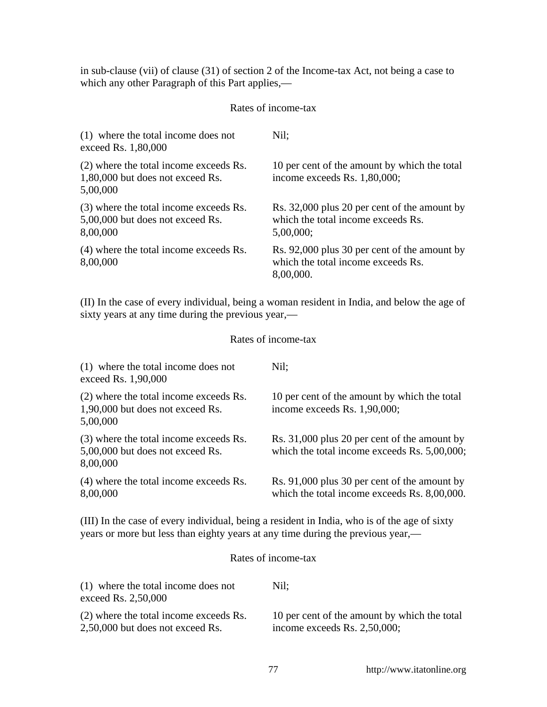in sub-clause (vii) of clause (31) of section 2 of the Income-tax Act, not being a case to which any other Paragraph of this Part applies,—

### Rates of income-tax

| (1) where the total income does not<br>exceed Rs. 1,80,000                             | Nil:                                                                                               |
|----------------------------------------------------------------------------------------|----------------------------------------------------------------------------------------------------|
| (2) where the total income exceeds Rs.<br>1,80,000 but does not exceed Rs.<br>5,00,000 | 10 per cent of the amount by which the total<br>income exceeds Rs. 1,80,000;                       |
| (3) where the total income exceeds Rs.<br>5,00,000 but does not exceed Rs.<br>8,00,000 | Rs. 32,000 plus 20 per cent of the amount by<br>which the total income exceeds Rs.<br>$5,00,000$ ; |
| (4) where the total income exceeds Rs.<br>8,00,000                                     | Rs. 92,000 plus 30 per cent of the amount by<br>which the total income exceeds Rs.<br>8,00,000.    |

(II) In the case of every individual, being a woman resident in India, and below the age of sixty years at any time during the previous year,—

## Rates of income-tax

| (1) where the total income does not<br>exceed Rs. 1,90,000                             | Nil:                                                                                         |
|----------------------------------------------------------------------------------------|----------------------------------------------------------------------------------------------|
| (2) where the total income exceeds Rs.<br>1,90,000 but does not exceed Rs.<br>5,00,000 | 10 per cent of the amount by which the total<br>income exceeds Rs. 1,90,000;                 |
| (3) where the total income exceeds Rs.<br>5,00,000 but does not exceed Rs.<br>8,00,000 | Rs. 31,000 plus 20 per cent of the amount by<br>which the total income exceeds Rs. 5,00,000; |
| (4) where the total income exceeds Rs.<br>8,00,000                                     | Rs. 91,000 plus 30 per cent of the amount by<br>which the total income exceeds Rs. 8,00,000. |

(III) In the case of every individual, being a resident in India, who is of the age of sixty years or more but less than eighty years at any time during the previous year,—

### Rates of income-tax

| (1) where the total income does not<br>exceed Rs. 2,50,000 | Nil:                                         |
|------------------------------------------------------------|----------------------------------------------|
| (2) where the total income exceeds Rs.                     | 10 per cent of the amount by which the total |
| 2,50,000 but does not exceed Rs.                           | income exceeds Rs. $2,50,000$ ;              |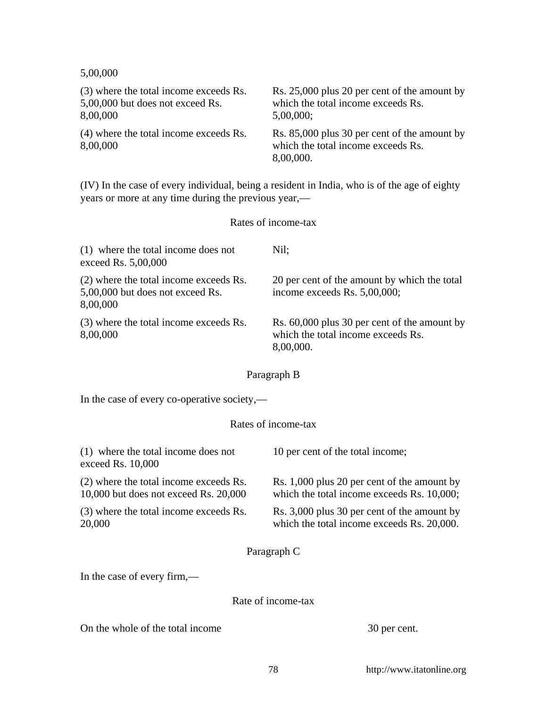5,00,000

| (3) where the total income exceeds Rs.             | Rs. 25,000 plus 20 per cent of the amount by                                                    |
|----------------------------------------------------|-------------------------------------------------------------------------------------------------|
| 5,00,000 but does not exceed Rs.                   | which the total income exceeds Rs.                                                              |
| 8,00,000                                           | 5,00,000;                                                                                       |
| (4) where the total income exceeds Rs.<br>8,00,000 | Rs. 85,000 plus 30 per cent of the amount by<br>which the total income exceeds Rs.<br>8,00,000. |

(IV) In the case of every individual, being a resident in India, who is of the age of eighty years or more at any time during the previous year,—

# Rates of income-tax

| (1) where the total income does not<br>exceed Rs. 5,00,000                             | Nil:                                                                                            |
|----------------------------------------------------------------------------------------|-------------------------------------------------------------------------------------------------|
| (2) where the total income exceeds Rs.<br>5,00,000 but does not exceed Rs.<br>8,00,000 | 20 per cent of the amount by which the total<br>income exceeds Rs. 5,00,000;                    |
| (3) where the total income exceeds Rs.<br>8,00,000                                     | Rs. 60,000 plus 30 per cent of the amount by<br>which the total income exceeds Rs.<br>8,00,000. |

# Paragraph B

In the case of every co-operative society,—

## Rates of income-tax

| (1) where the total income does not<br>exceed Rs. $10,000$                          | 10 per cent of the total income;                                                          |  |
|-------------------------------------------------------------------------------------|-------------------------------------------------------------------------------------------|--|
| (2) where the total income exceeds Rs.<br>$10,000$ but does not exceed Rs. $20,000$ | Rs. 1,000 plus 20 per cent of the amount by<br>which the total income exceeds Rs. 10,000; |  |
| (3) where the total income exceeds Rs.<br>20,000                                    | Rs. 3,000 plus 30 per cent of the amount by<br>which the total income exceeds Rs. 20,000. |  |
| Paragraph C                                                                         |                                                                                           |  |
| In the case of every firm,—                                                         |                                                                                           |  |
|                                                                                     | Rate of income-tax                                                                        |  |

On the whole of the total income 30 per cent.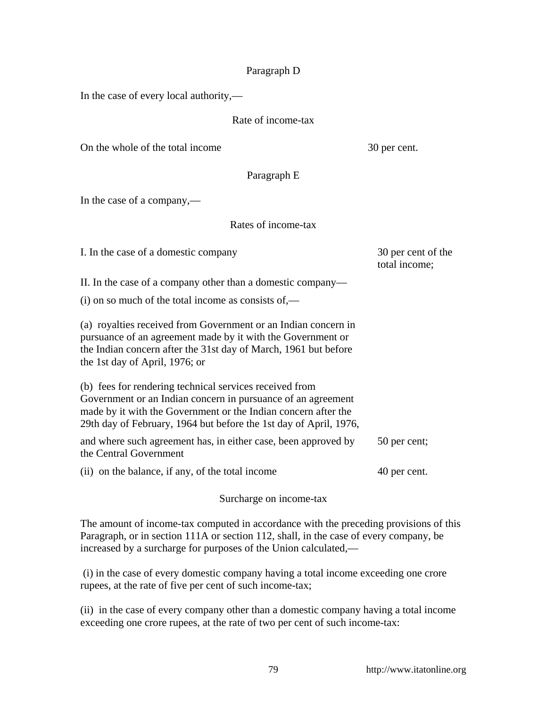### Paragraph D

In the case of every local authority,—

### Rate of income-tax

On the whole of the total income 30 per cent.

Paragraph E

In the case of a company,—

# Rates of income-tax

I. In the case of a domestic company 30 per cent of the

total income;

II. In the case of a company other than a domestic company—

 $(i)$  on so much of the total income as consists of,—

(a) royalties received from Government or an Indian concern in pursuance of an agreement made by it with the Government or the Indian concern after the 31st day of March, 1961 but before the 1st day of April, 1976; or

(b) fees for rendering technical services received from Government or an Indian concern in pursuance of an agreement made by it with the Government or the Indian concern after the 29th day of February, 1964 but before the 1st day of April, 1976,

and where such agreement has, in either case, been approved by the Central Government 50 per cent;

(ii) on the balance, if any, of the total income 40 per cent.

Surcharge on income-tax

The amount of income-tax computed in accordance with the preceding provisions of this Paragraph, or in section 111A or section 112, shall, in the case of every company, be increased by a surcharge for purposes of the Union calculated,—

 (i) in the case of every domestic company having a total income exceeding one crore rupees, at the rate of five per cent of such income-tax;

(ii) in the case of every company other than a domestic company having a total income exceeding one crore rupees, at the rate of two per cent of such income-tax: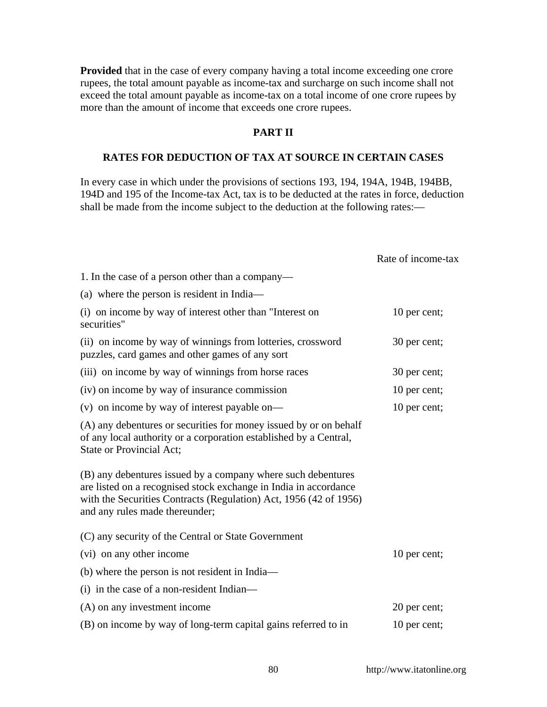**Provided** that in the case of every company having a total income exceeding one crore rupees, the total amount payable as income-tax and surcharge on such income shall not exceed the total amount payable as income-tax on a total income of one crore rupees by more than the amount of income that exceeds one crore rupees.

## **PART II**

#### **RATES FOR DEDUCTION OF TAX AT SOURCE IN CERTAIN CASES**

In every case in which under the provisions of sections 193, 194, 194A, 194B, 194BB, 194D and 195 of the Income-tax Act, tax is to be deducted at the rates in force, deduction shall be made from the income subject to the deduction at the following rates:—

|                                                                                                                                                                                                                                         | Rate of income-tax |
|-----------------------------------------------------------------------------------------------------------------------------------------------------------------------------------------------------------------------------------------|--------------------|
| 1. In the case of a person other than a company—                                                                                                                                                                                        |                    |
| (a) where the person is resident in India—                                                                                                                                                                                              |                    |
| (i) on income by way of interest other than "Interest on<br>securities"                                                                                                                                                                 | 10 per cent;       |
| (ii) on income by way of winnings from lotteries, crossword<br>puzzles, card games and other games of any sort                                                                                                                          | 30 per cent;       |
| (iii) on income by way of winnings from horse races                                                                                                                                                                                     | 30 per cent;       |
| (iv) on income by way of insurance commission                                                                                                                                                                                           | 10 per cent;       |
| (v) on income by way of interest payable on—                                                                                                                                                                                            | 10 per cent;       |
| (A) any debentures or securities for money issued by or on behalf<br>of any local authority or a corporation established by a Central,<br>State or Provincial Act;                                                                      |                    |
| (B) any debentures issued by a company where such debentures<br>are listed on a recognised stock exchange in India in accordance<br>with the Securities Contracts (Regulation) Act, 1956 (42 of 1956)<br>and any rules made thereunder; |                    |
| (C) any security of the Central or State Government                                                                                                                                                                                     |                    |
| (vi) on any other income                                                                                                                                                                                                                | 10 per cent;       |
| (b) where the person is not resident in India—                                                                                                                                                                                          |                    |
| (i) in the case of a non-resident Indian—                                                                                                                                                                                               |                    |
| (A) on any investment income                                                                                                                                                                                                            | 20 per cent;       |
| (B) on income by way of long-term capital gains referred to in                                                                                                                                                                          | 10 per cent;       |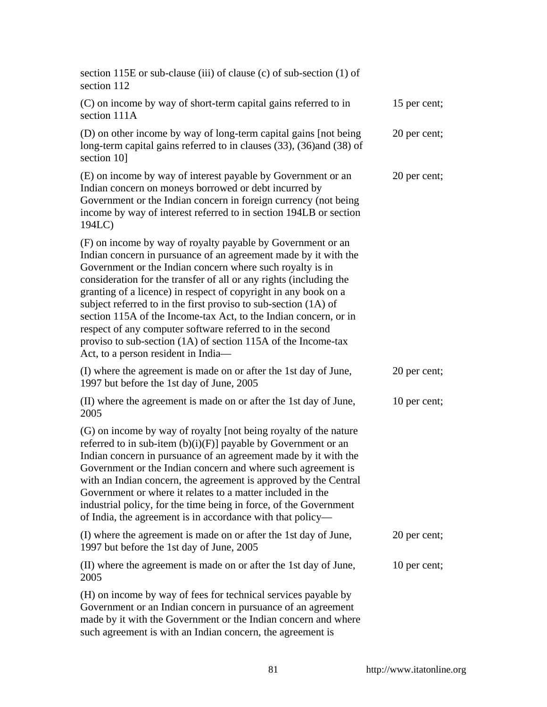| section 115E or sub-clause (iii) of clause (c) of sub-section (1) of<br>section 112                                                                                                                                                                                                                                                                                                                                                                                                                                                                                                                                                               |              |
|---------------------------------------------------------------------------------------------------------------------------------------------------------------------------------------------------------------------------------------------------------------------------------------------------------------------------------------------------------------------------------------------------------------------------------------------------------------------------------------------------------------------------------------------------------------------------------------------------------------------------------------------------|--------------|
| (C) on income by way of short-term capital gains referred to in<br>section 111A                                                                                                                                                                                                                                                                                                                                                                                                                                                                                                                                                                   | 15 per cent; |
| (D) on other income by way of long-term capital gains [not being]<br>long-term capital gains referred to in clauses (33), (36) and (38) of<br>section 10]                                                                                                                                                                                                                                                                                                                                                                                                                                                                                         | 20 per cent; |
| (E) on income by way of interest payable by Government or an<br>Indian concern on moneys borrowed or debt incurred by<br>Government or the Indian concern in foreign currency (not being<br>income by way of interest referred to in section 194LB or section<br>194LC)                                                                                                                                                                                                                                                                                                                                                                           | 20 per cent; |
| (F) on income by way of royalty payable by Government or an<br>Indian concern in pursuance of an agreement made by it with the<br>Government or the Indian concern where such royalty is in<br>consideration for the transfer of all or any rights (including the<br>granting of a licence) in respect of copyright in any book on a<br>subject referred to in the first proviso to sub-section (1A) of<br>section 115A of the Income-tax Act, to the Indian concern, or in<br>respect of any computer software referred to in the second<br>proviso to sub-section (1A) of section 115A of the Income-tax<br>Act, to a person resident in India— |              |
| (I) where the agreement is made on or after the 1st day of June,<br>1997 but before the 1st day of June, 2005                                                                                                                                                                                                                                                                                                                                                                                                                                                                                                                                     | 20 per cent; |
| (II) where the agreement is made on or after the 1st day of June,<br>2005                                                                                                                                                                                                                                                                                                                                                                                                                                                                                                                                                                         | 10 per cent; |
| (G) on income by way of royalty [not being royalty of the nature<br>referred to in sub-item $(b)(i)(F)$ ] payable by Government or an<br>Indian concern in pursuance of an agreement made by it with the<br>Government or the Indian concern and where such agreement is<br>with an Indian concern, the agreement is approved by the Central<br>Government or where it relates to a matter included in the<br>industrial policy, for the time being in force, of the Government<br>of India, the agreement is in accordance with that policy—                                                                                                     |              |
| (I) where the agreement is made on or after the 1st day of June,<br>1997 but before the 1st day of June, 2005                                                                                                                                                                                                                                                                                                                                                                                                                                                                                                                                     | 20 per cent; |
| (II) where the agreement is made on or after the 1st day of June,<br>2005                                                                                                                                                                                                                                                                                                                                                                                                                                                                                                                                                                         | 10 per cent; |
| (H) on income by way of fees for technical services payable by<br>Government or an Indian concern in pursuance of an agreement<br>made by it with the Government or the Indian concern and where<br>such agreement is with an Indian concern, the agreement is                                                                                                                                                                                                                                                                                                                                                                                    |              |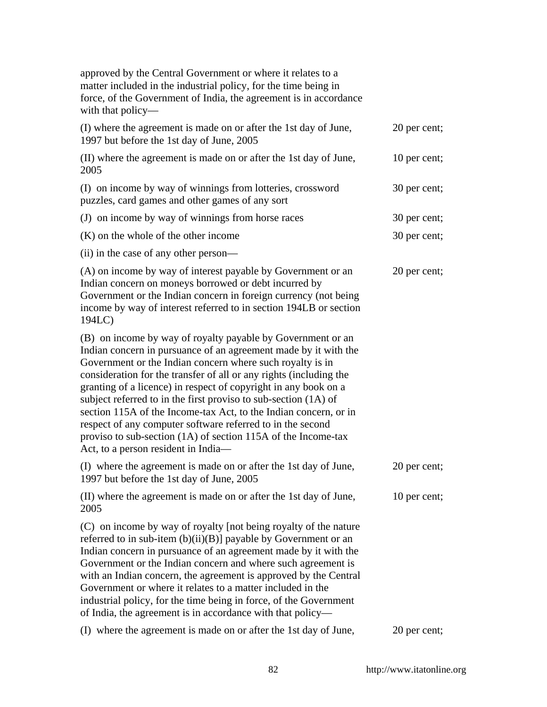| approved by the Central Government or where it relates to a<br>matter included in the industrial policy, for the time being in<br>force, of the Government of India, the agreement is in accordance<br>with that policy—                                                                                                                                                                                                                                                                                                                                                                                                                          |              |
|---------------------------------------------------------------------------------------------------------------------------------------------------------------------------------------------------------------------------------------------------------------------------------------------------------------------------------------------------------------------------------------------------------------------------------------------------------------------------------------------------------------------------------------------------------------------------------------------------------------------------------------------------|--------------|
| (I) where the agreement is made on or after the 1st day of June,<br>1997 but before the 1st day of June, 2005                                                                                                                                                                                                                                                                                                                                                                                                                                                                                                                                     | 20 per cent; |
| (II) where the agreement is made on or after the 1st day of June,<br>2005                                                                                                                                                                                                                                                                                                                                                                                                                                                                                                                                                                         | 10 per cent; |
| (I) on income by way of winnings from lotteries, crossword<br>puzzles, card games and other games of any sort                                                                                                                                                                                                                                                                                                                                                                                                                                                                                                                                     | 30 per cent; |
| (J) on income by way of winnings from horse races                                                                                                                                                                                                                                                                                                                                                                                                                                                                                                                                                                                                 | 30 per cent; |
| $(K)$ on the whole of the other income                                                                                                                                                                                                                                                                                                                                                                                                                                                                                                                                                                                                            | 30 per cent; |
| (ii) in the case of any other person—                                                                                                                                                                                                                                                                                                                                                                                                                                                                                                                                                                                                             |              |
| (A) on income by way of interest payable by Government or an<br>Indian concern on moneys borrowed or debt incurred by<br>Government or the Indian concern in foreign currency (not being<br>income by way of interest referred to in section 194LB or section<br>194LC)                                                                                                                                                                                                                                                                                                                                                                           | 20 per cent; |
| (B) on income by way of royalty payable by Government or an<br>Indian concern in pursuance of an agreement made by it with the<br>Government or the Indian concern where such royalty is in<br>consideration for the transfer of all or any rights (including the<br>granting of a licence) in respect of copyright in any book on a<br>subject referred to in the first proviso to sub-section (1A) of<br>section 115A of the Income-tax Act, to the Indian concern, or in<br>respect of any computer software referred to in the second<br>proviso to sub-section (1A) of section 115A of the Income-tax<br>Act, to a person resident in India- |              |
| (I) where the agreement is made on or after the 1st day of June,<br>1997 but before the 1st day of June, 2005                                                                                                                                                                                                                                                                                                                                                                                                                                                                                                                                     | 20 per cent; |
| (II) where the agreement is made on or after the 1st day of June,<br>2005                                                                                                                                                                                                                                                                                                                                                                                                                                                                                                                                                                         | 10 per cent; |
| (C) on income by way of royalty [not being royalty of the nature<br>referred to in sub-item (b)(ii)(B)] payable by Government or an<br>Indian concern in pursuance of an agreement made by it with the<br>Government or the Indian concern and where such agreement is<br>with an Indian concern, the agreement is approved by the Central<br>Government or where it relates to a matter included in the<br>industrial policy, for the time being in force, of the Government<br>of India, the agreement is in accordance with that policy—                                                                                                       |              |
| (I) where the agreement is made on or after the 1st day of June,                                                                                                                                                                                                                                                                                                                                                                                                                                                                                                                                                                                  | 20 per cent; |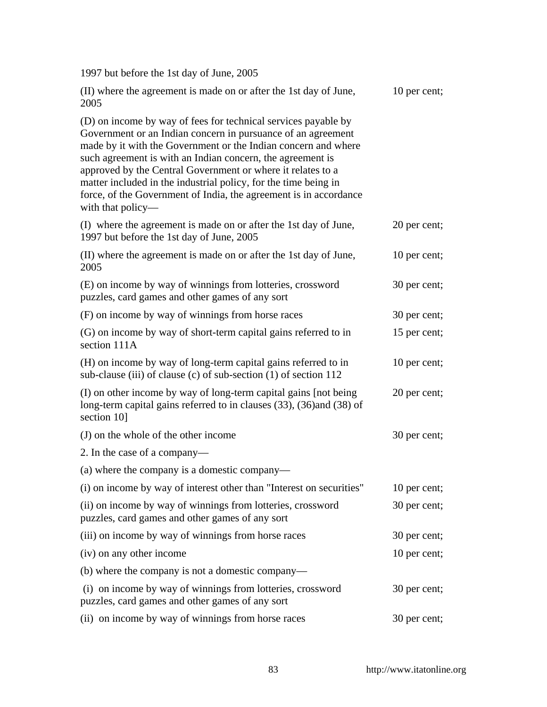1997 but before the 1st day of June, 2005

| (II) where the agreement is made on or after the 1st day of June,<br>2005                                                                                                                                                                                                                                                                                                                                                                                                                  | 10 per cent; |
|--------------------------------------------------------------------------------------------------------------------------------------------------------------------------------------------------------------------------------------------------------------------------------------------------------------------------------------------------------------------------------------------------------------------------------------------------------------------------------------------|--------------|
| (D) on income by way of fees for technical services payable by<br>Government or an Indian concern in pursuance of an agreement<br>made by it with the Government or the Indian concern and where<br>such agreement is with an Indian concern, the agreement is<br>approved by the Central Government or where it relates to a<br>matter included in the industrial policy, for the time being in<br>force, of the Government of India, the agreement is in accordance<br>with that policy— |              |
| (I) where the agreement is made on or after the 1st day of June,<br>1997 but before the 1st day of June, 2005                                                                                                                                                                                                                                                                                                                                                                              | 20 per cent; |
| (II) where the agreement is made on or after the 1st day of June,<br>2005                                                                                                                                                                                                                                                                                                                                                                                                                  | 10 per cent; |
| (E) on income by way of winnings from lotteries, crossword<br>puzzles, card games and other games of any sort                                                                                                                                                                                                                                                                                                                                                                              | 30 per cent; |
| (F) on income by way of winnings from horse races                                                                                                                                                                                                                                                                                                                                                                                                                                          | 30 per cent; |
| (G) on income by way of short-term capital gains referred to in<br>section 111A                                                                                                                                                                                                                                                                                                                                                                                                            | 15 per cent; |
| (H) on income by way of long-term capital gains referred to in<br>sub-clause (iii) of clause (c) of sub-section (1) of section 112                                                                                                                                                                                                                                                                                                                                                         | 10 per cent; |
| (I) on other income by way of long-term capital gains [not being]<br>long-term capital gains referred to in clauses (33), (36) and (38) of<br>section 10]                                                                                                                                                                                                                                                                                                                                  | 20 per cent; |
| (J) on the whole of the other income                                                                                                                                                                                                                                                                                                                                                                                                                                                       | 30 per cent; |
| 2. In the case of a company—                                                                                                                                                                                                                                                                                                                                                                                                                                                               |              |
| (a) where the company is a domestic company—                                                                                                                                                                                                                                                                                                                                                                                                                                               |              |
| (i) on income by way of interest other than "Interest on securities"                                                                                                                                                                                                                                                                                                                                                                                                                       | 10 per cent; |
| (ii) on income by way of winnings from lotteries, crossword<br>puzzles, card games and other games of any sort                                                                                                                                                                                                                                                                                                                                                                             | 30 per cent; |
| (iii) on income by way of winnings from horse races                                                                                                                                                                                                                                                                                                                                                                                                                                        | 30 per cent; |
| (iv) on any other income                                                                                                                                                                                                                                                                                                                                                                                                                                                                   | 10 per cent; |
| (b) where the company is not a domestic company—                                                                                                                                                                                                                                                                                                                                                                                                                                           |              |
| (i) on income by way of winnings from lotteries, crossword<br>puzzles, card games and other games of any sort                                                                                                                                                                                                                                                                                                                                                                              | 30 per cent; |
| (ii) on income by way of winnings from horse races                                                                                                                                                                                                                                                                                                                                                                                                                                         | 30 per cent; |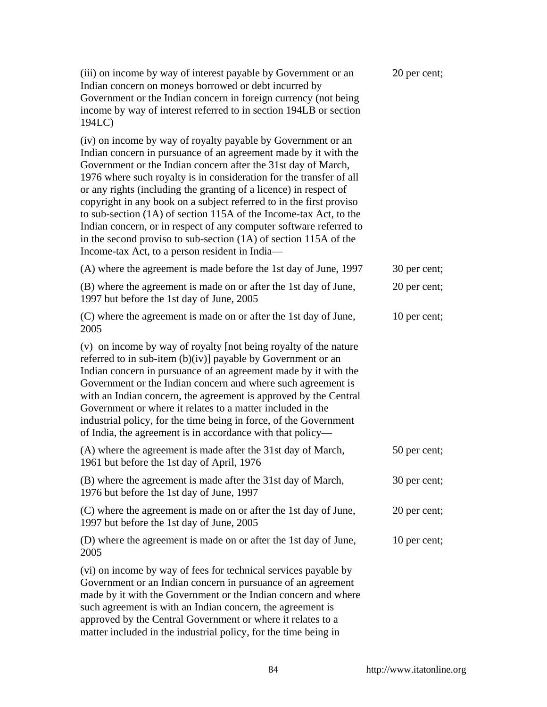| (iii) on income by way of interest payable by Government or an<br>Indian concern on moneys borrowed or debt incurred by<br>Government or the Indian concern in foreign currency (not being<br>income by way of interest referred to in section 194LB or section<br>194LC)                                                                                                                                                                                                                                                                                                                                                                                                            | 20 per cent; |
|--------------------------------------------------------------------------------------------------------------------------------------------------------------------------------------------------------------------------------------------------------------------------------------------------------------------------------------------------------------------------------------------------------------------------------------------------------------------------------------------------------------------------------------------------------------------------------------------------------------------------------------------------------------------------------------|--------------|
| (iv) on income by way of royalty payable by Government or an<br>Indian concern in pursuance of an agreement made by it with the<br>Government or the Indian concern after the 31st day of March,<br>1976 where such royalty is in consideration for the transfer of all<br>or any rights (including the granting of a licence) in respect of<br>copyright in any book on a subject referred to in the first proviso<br>to sub-section (1A) of section 115A of the Income-tax Act, to the<br>Indian concern, or in respect of any computer software referred to<br>in the second proviso to sub-section (1A) of section 115A of the<br>Income-tax Act, to a person resident in India- |              |
| (A) where the agreement is made before the 1st day of June, 1997                                                                                                                                                                                                                                                                                                                                                                                                                                                                                                                                                                                                                     | 30 per cent; |
| (B) where the agreement is made on or after the 1st day of June,<br>1997 but before the 1st day of June, 2005                                                                                                                                                                                                                                                                                                                                                                                                                                                                                                                                                                        | 20 per cent; |
| (C) where the agreement is made on or after the 1st day of June,<br>2005                                                                                                                                                                                                                                                                                                                                                                                                                                                                                                                                                                                                             | 10 per cent; |
| (v) on income by way of royalty [not being royalty of the nature<br>referred to in sub-item (b)(iv)] payable by Government or an<br>Indian concern in pursuance of an agreement made by it with the<br>Government or the Indian concern and where such agreement is<br>with an Indian concern, the agreement is approved by the Central<br>Government or where it relates to a matter included in the<br>industrial policy, for the time being in force, of the Government<br>of India, the agreement is in accordance with that policy—                                                                                                                                             |              |
| (A) where the agreement is made after the 31st day of March,<br>1961 but before the 1st day of April, 1976                                                                                                                                                                                                                                                                                                                                                                                                                                                                                                                                                                           | 50 per cent; |
| (B) where the agreement is made after the 31st day of March,<br>1976 but before the 1st day of June, 1997                                                                                                                                                                                                                                                                                                                                                                                                                                                                                                                                                                            | 30 per cent; |
| (C) where the agreement is made on or after the 1st day of June,<br>1997 but before the 1st day of June, 2005                                                                                                                                                                                                                                                                                                                                                                                                                                                                                                                                                                        | 20 per cent; |
| (D) where the agreement is made on or after the 1st day of June,<br>2005                                                                                                                                                                                                                                                                                                                                                                                                                                                                                                                                                                                                             | 10 per cent; |
| (vi) on income by way of fees for technical services payable by<br>Government or an Indian concern in pursuance of an agreement<br>made by it with the Government or the Indian concern and where<br>such agreement is with an Indian concern, the agreement is<br>approved by the Central Government or where it relates to a<br>matter included in the industrial policy, for the time being in                                                                                                                                                                                                                                                                                    |              |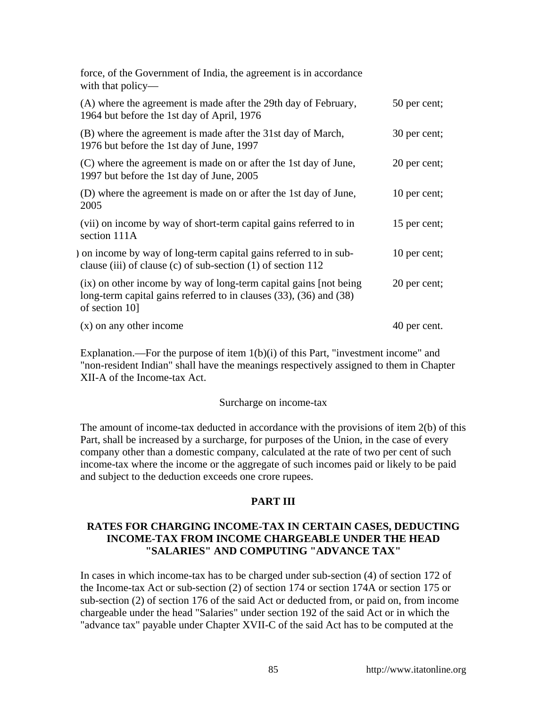| force, of the Government of India, the agreement is in accordance<br>with that policy—                                                                     |              |
|------------------------------------------------------------------------------------------------------------------------------------------------------------|--------------|
| (A) where the agreement is made after the 29th day of February,<br>1964 but before the 1st day of April, 1976                                              | 50 per cent; |
| (B) where the agreement is made after the 31st day of March,<br>1976 but before the 1st day of June, 1997                                                  | 30 per cent; |
| (C) where the agreement is made on or after the 1st day of June,<br>1997 but before the 1st day of June, 2005                                              | 20 per cent; |
| (D) where the agreement is made on or after the 1st day of June,<br>2005                                                                                   | 10 per cent; |
| (vii) on income by way of short-term capital gains referred to in<br>section 111A                                                                          | 15 per cent; |
| ) on income by way of long-term capital gains referred to in sub-<br>clause (iii) of clause (c) of sub-section $(1)$ of section 112                        | 10 per cent; |
| (ix) on other income by way of long-term capital gains [not being]<br>long-term capital gains referred to in clauses (33), (36) and (38)<br>of section 10] | 20 per cent; |
| $(x)$ on any other income                                                                                                                                  | 40 per cent. |

Explanation.—For the purpose of item  $1(b)(i)$  of this Part, "investment income" and "non-resident Indian" shall have the meanings respectively assigned to them in Chapter XII-A of the Income-tax Act.

#### Surcharge on income-tax

The amount of income-tax deducted in accordance with the provisions of item 2(b) of this Part, shall be increased by a surcharge, for purposes of the Union, in the case of every company other than a domestic company, calculated at the rate of two per cent of such income-tax where the income or the aggregate of such incomes paid or likely to be paid and subject to the deduction exceeds one crore rupees.

### **PART III**

## **RATES FOR CHARGING INCOME-TAX IN CERTAIN CASES, DEDUCTING INCOME-TAX FROM INCOME CHARGEABLE UNDER THE HEAD "SALARIES" AND COMPUTING "ADVANCE TAX"**

In cases in which income-tax has to be charged under sub-section (4) of section 172 of the Income-tax Act or sub-section (2) of section 174 or section 174A or section 175 or sub-section (2) of section 176 of the said Act or deducted from, or paid on, from income chargeable under the head "Salaries" under section 192 of the said Act or in which the "advance tax" payable under Chapter XVII-C of the said Act has to be computed at the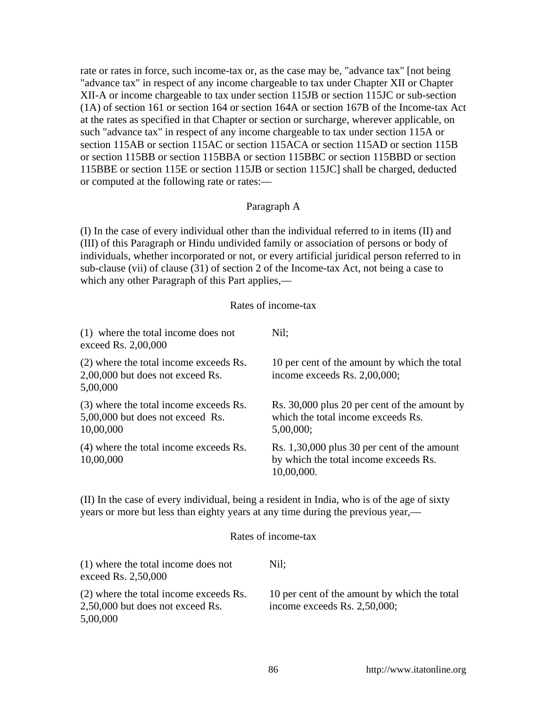rate or rates in force, such income-tax or, as the case may be, "advance tax" [not being "advance tax" in respect of any income chargeable to tax under Chapter XII or Chapter XII-A or income chargeable to tax under section 115JB or section 115JC or sub-section (1A) of section 161 or section 164 or section 164A or section 167B of the Income-tax Act at the rates as specified in that Chapter or section or surcharge, wherever applicable, on such "advance tax" in respect of any income chargeable to tax under section 115A or section 115AB or section 115AC or section 115ACA or section 115AD or section 115B or section 115BB or section 115BBA or section 115BBC or section 115BBD or section 115BBE or section 115E or section 115JB or section 115JC] shall be charged, deducted or computed at the following rate or rates:—

## Paragraph A

(I) In the case of every individual other than the individual referred to in items (II) and (III) of this Paragraph or Hindu undivided family or association of persons or body of individuals, whether incorporated or not, or every artificial juridical person referred to in sub-clause (vii) of clause (31) of section 2 of the Income-tax Act, not being a case to which any other Paragraph of this Part applies,—

#### Rates of income-tax

| (1) where the total income does not<br>exceed Rs. 2,00,000                              | Nil:                                                                                               |
|-----------------------------------------------------------------------------------------|----------------------------------------------------------------------------------------------------|
| (2) where the total income exceeds Rs.<br>2,00,000 but does not exceed Rs.<br>5,00,000  | 10 per cent of the amount by which the total<br>income exceeds Rs. 2,00,000;                       |
| (3) where the total income exceeds Rs.<br>5,00,000 but does not exceed Rs.<br>10,00,000 | Rs. 30,000 plus 20 per cent of the amount by<br>which the total income exceeds Rs.<br>5,00,000;    |
| (4) where the total income exceeds Rs.<br>10,00,000                                     | Rs. 1,30,000 plus 30 per cent of the amount<br>by which the total income exceeds Rs.<br>10,00,000. |

(II) In the case of every individual, being a resident in India, who is of the age of sixty years or more but less than eighty years at any time during the previous year,—

#### Rates of income-tax

| (1) where the total income does not<br>exceed Rs. 2,50,000                             | Nil:                                                                            |
|----------------------------------------------------------------------------------------|---------------------------------------------------------------------------------|
| (2) where the total income exceeds Rs.<br>2,50,000 but does not exceed Rs.<br>5,00,000 | 10 per cent of the amount by which the total<br>income exceeds Rs. $2,50,000$ ; |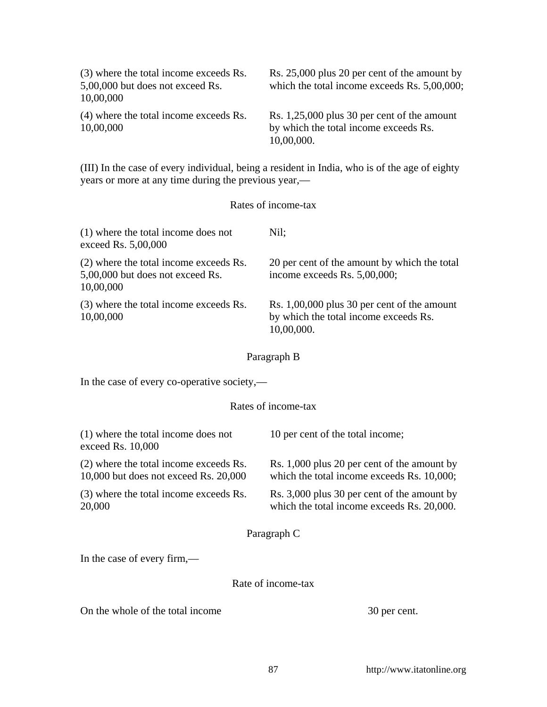| (3) where the total income exceeds Rs.<br>5,00,000 but does not exceed Rs.<br>10,00,000 | Rs. 25,000 plus 20 per cent of the amount by<br>which the total income exceeds Rs. 5,00,000;       |
|-----------------------------------------------------------------------------------------|----------------------------------------------------------------------------------------------------|
| (4) where the total income exceeds Rs.<br>10,00,000                                     | Rs. 1,25,000 plus 30 per cent of the amount<br>by which the total income exceeds Rs.<br>10,00,000. |
| years or more at any time during the previous year,—                                    | (III) In the case of every individual, being a resident in India, who is of the age of eighty      |
|                                                                                         | Rates of income-tax                                                                                |
| (1) where the total income does not<br>exceed Rs. 5,00,000                              | Nil;                                                                                               |
| (2) where the total income exceeds Rs.<br>5,00,000 but does not exceed Rs.<br>10,00,000 | 20 per cent of the amount by which the total<br>income exceeds Rs. 5,00,000;                       |
| (3) where the total income exceeds Rs.<br>10,00,000                                     | Rs. 1,00,000 plus 30 per cent of the amount<br>by which the total income exceeds Rs.<br>10,00,000. |
|                                                                                         | Paragraph B                                                                                        |
| In the case of every co-operative society,—                                             |                                                                                                    |
|                                                                                         | Rates of income-tax                                                                                |
| $(1)$ where the total income does not<br>exceed Rs. 10,000                              | 10 per cent of the total income;                                                                   |
| (2) where the total income exceeds Rs.<br>10,000 but does not exceed Rs. 20,000         | Rs. 1,000 plus 20 per cent of the amount by<br>which the total income exceeds Rs. 10,000;          |
| (3) where the total income exceeds Rs.<br>20,000                                        | Rs. 3,000 plus 30 per cent of the amount by<br>which the total income exceeds Rs. 20,000.          |
|                                                                                         | Paragraph C                                                                                        |
| In the case of every firm,—                                                             |                                                                                                    |
|                                                                                         | Rate of income-tax                                                                                 |
| On the whole of the total income                                                        | 30 per cent.                                                                                       |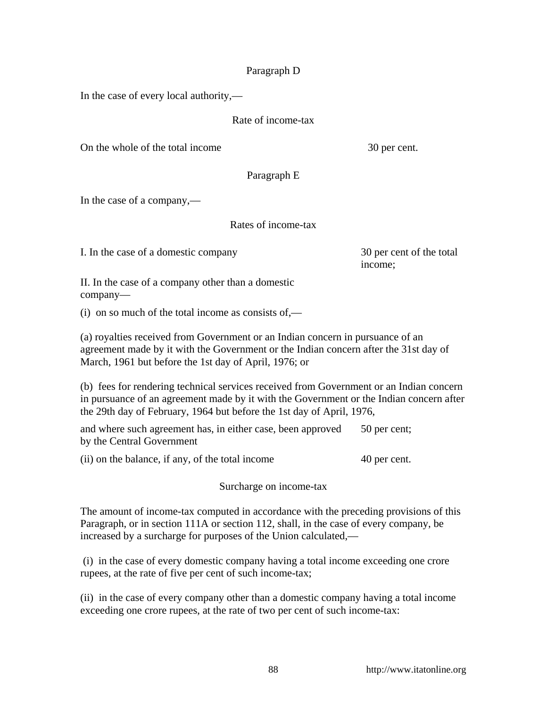## Paragraph D

In the case of every local authority,—

Rate of income-tax

On the whole of the total income 30 per cent.

Paragraph E

In the case of a company,—

Rates of income-tax

I. In the case of a domestic company 30 per cent of the total

income;

II. In the case of a company other than a domestic company—

 $(i)$  on so much of the total income as consists of,—

(a) royalties received from Government or an Indian concern in pursuance of an agreement made by it with the Government or the Indian concern after the 31st day of March, 1961 but before the 1st day of April, 1976; or

(b) fees for rendering technical services received from Government or an Indian concern in pursuance of an agreement made by it with the Government or the Indian concern after the 29th day of February, 1964 but before the 1st day of April, 1976,

and where such agreement has, in either case, been approved by the Central Government 50 per cent;

(ii) on the balance, if any, of the total income 40 per cent.

Surcharge on income-tax

The amount of income-tax computed in accordance with the preceding provisions of this Paragraph, or in section 111A or section 112, shall, in the case of every company, be increased by a surcharge for purposes of the Union calculated,—

 (i) in the case of every domestic company having a total income exceeding one crore rupees, at the rate of five per cent of such income-tax;

(ii) in the case of every company other than a domestic company having a total income exceeding one crore rupees, at the rate of two per cent of such income-tax: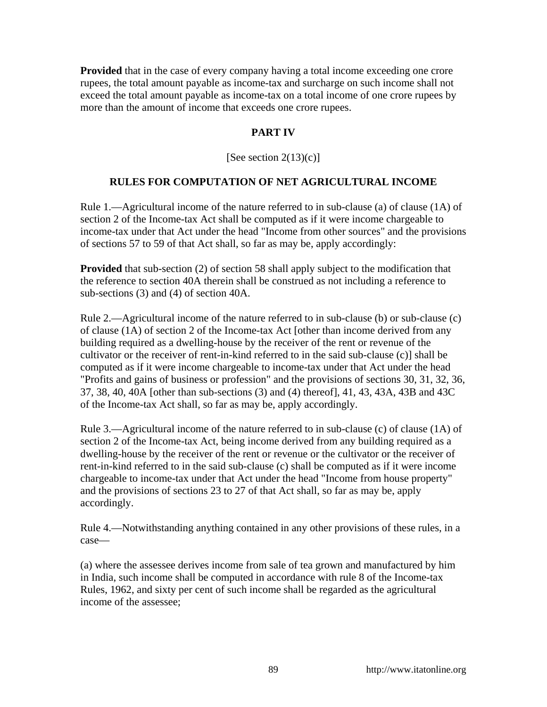**Provided** that in the case of every company having a total income exceeding one crore rupees, the total amount payable as income-tax and surcharge on such income shall not exceed the total amount payable as income-tax on a total income of one crore rupees by more than the amount of income that exceeds one crore rupees.

# **PART IV**

[See section  $2(13)(c)$ ]

# **RULES FOR COMPUTATION OF NET AGRICULTURAL INCOME**

Rule 1.—Agricultural income of the nature referred to in sub-clause (a) of clause (1A) of section 2 of the Income-tax Act shall be computed as if it were income chargeable to income-tax under that Act under the head "Income from other sources" and the provisions of sections 57 to 59 of that Act shall, so far as may be, apply accordingly:

**Provided** that sub-section (2) of section 58 shall apply subject to the modification that the reference to section 40A therein shall be construed as not including a reference to sub-sections (3) and (4) of section 40A.

Rule 2.—Agricultural income of the nature referred to in sub-clause (b) or sub-clause (c) of clause (1A) of section 2 of the Income-tax Act [other than income derived from any building required as a dwelling-house by the receiver of the rent or revenue of the cultivator or the receiver of rent-in-kind referred to in the said sub-clause (c)] shall be computed as if it were income chargeable to income-tax under that Act under the head "Profits and gains of business or profession" and the provisions of sections 30, 31, 32, 36, 37, 38, 40, 40A [other than sub-sections (3) and (4) thereof], 41, 43, 43A, 43B and 43C of the Income-tax Act shall, so far as may be, apply accordingly.

Rule 3.—Agricultural income of the nature referred to in sub-clause (c) of clause (1A) of section 2 of the Income-tax Act, being income derived from any building required as a dwelling-house by the receiver of the rent or revenue or the cultivator or the receiver of rent-in-kind referred to in the said sub-clause (c) shall be computed as if it were income chargeable to income-tax under that Act under the head "Income from house property" and the provisions of sections 23 to 27 of that Act shall, so far as may be, apply accordingly.

Rule 4.—Notwithstanding anything contained in any other provisions of these rules, in a case—

(a) where the assessee derives income from sale of tea grown and manufactured by him in India, such income shall be computed in accordance with rule 8 of the Income-tax Rules, 1962, and sixty per cent of such income shall be regarded as the agricultural income of the assessee;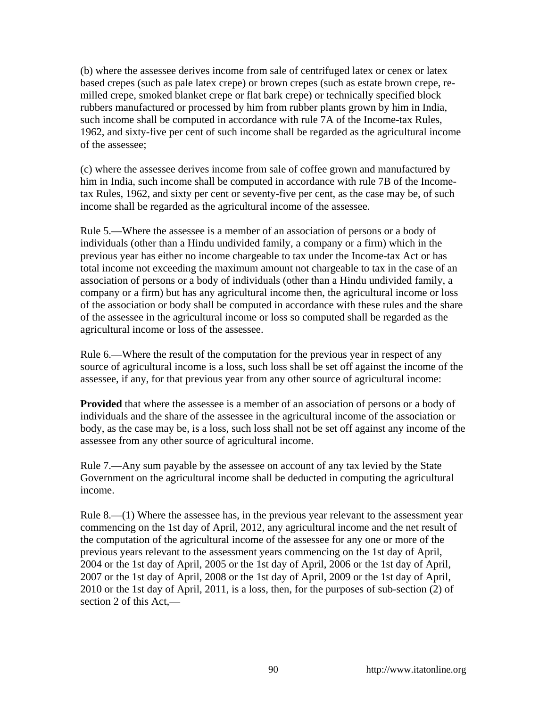(b) where the assessee derives income from sale of centrifuged latex or cenex or latex based crepes (such as pale latex crepe) or brown crepes (such as estate brown crepe, remilled crepe, smoked blanket crepe or flat bark crepe) or technically specified block rubbers manufactured or processed by him from rubber plants grown by him in India, such income shall be computed in accordance with rule 7A of the Income-tax Rules, 1962, and sixty-five per cent of such income shall be regarded as the agricultural income of the assessee;

(c) where the assessee derives income from sale of coffee grown and manufactured by him in India, such income shall be computed in accordance with rule 7B of the Incometax Rules, 1962, and sixty per cent or seventy-five per cent, as the case may be, of such income shall be regarded as the agricultural income of the assessee.

Rule 5.—Where the assessee is a member of an association of persons or a body of individuals (other than a Hindu undivided family, a company or a firm) which in the previous year has either no income chargeable to tax under the Income-tax Act or has total income not exceeding the maximum amount not chargeable to tax in the case of an association of persons or a body of individuals (other than a Hindu undivided family, a company or a firm) but has any agricultural income then, the agricultural income or loss of the association or body shall be computed in accordance with these rules and the share of the assessee in the agricultural income or loss so computed shall be regarded as the agricultural income or loss of the assessee.

Rule 6.—Where the result of the computation for the previous year in respect of any source of agricultural income is a loss, such loss shall be set off against the income of the assessee, if any, for that previous year from any other source of agricultural income:

**Provided** that where the assessee is a member of an association of persons or a body of individuals and the share of the assessee in the agricultural income of the association or body, as the case may be, is a loss, such loss shall not be set off against any income of the assessee from any other source of agricultural income.

Rule 7.—Any sum payable by the assessee on account of any tax levied by the State Government on the agricultural income shall be deducted in computing the agricultural income.

Rule 8.—(1) Where the assessee has, in the previous year relevant to the assessment year commencing on the 1st day of April, 2012, any agricultural income and the net result of the computation of the agricultural income of the assessee for any one or more of the previous years relevant to the assessment years commencing on the 1st day of April, 2004 or the 1st day of April, 2005 or the 1st day of April, 2006 or the 1st day of April, 2007 or the 1st day of April, 2008 or the 1st day of April, 2009 or the 1st day of April, 2010 or the 1st day of April, 2011, is a loss, then, for the purposes of sub-section (2) of section 2 of this Act,—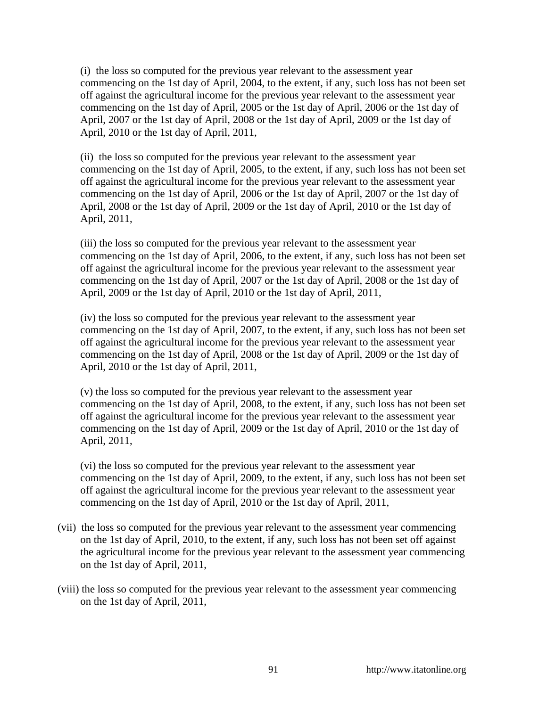(i) the loss so computed for the previous year relevant to the assessment year commencing on the 1st day of April, 2004, to the extent, if any, such loss has not been set off against the agricultural income for the previous year relevant to the assessment year commencing on the 1st day of April, 2005 or the 1st day of April, 2006 or the 1st day of April, 2007 or the 1st day of April, 2008 or the 1st day of April, 2009 or the 1st day of April, 2010 or the 1st day of April, 2011,

(ii) the loss so computed for the previous year relevant to the assessment year commencing on the 1st day of April, 2005, to the extent, if any, such loss has not been set off against the agricultural income for the previous year relevant to the assessment year commencing on the 1st day of April, 2006 or the 1st day of April, 2007 or the 1st day of April, 2008 or the 1st day of April, 2009 or the 1st day of April, 2010 or the 1st day of April, 2011,

(iii) the loss so computed for the previous year relevant to the assessment year commencing on the 1st day of April, 2006, to the extent, if any, such loss has not been set off against the agricultural income for the previous year relevant to the assessment year commencing on the 1st day of April, 2007 or the 1st day of April, 2008 or the 1st day of April, 2009 or the 1st day of April, 2010 or the 1st day of April, 2011,

(iv) the loss so computed for the previous year relevant to the assessment year commencing on the 1st day of April, 2007, to the extent, if any, such loss has not been set off against the agricultural income for the previous year relevant to the assessment year commencing on the 1st day of April, 2008 or the 1st day of April, 2009 or the 1st day of April, 2010 or the 1st day of April, 2011,

(v) the loss so computed for the previous year relevant to the assessment year commencing on the 1st day of April, 2008, to the extent, if any, such loss has not been set off against the agricultural income for the previous year relevant to the assessment year commencing on the 1st day of April, 2009 or the 1st day of April, 2010 or the 1st day of April, 2011,

(vi) the loss so computed for the previous year relevant to the assessment year commencing on the 1st day of April, 2009, to the extent, if any, such loss has not been set off against the agricultural income for the previous year relevant to the assessment year commencing on the 1st day of April, 2010 or the 1st day of April, 2011,

- (vii) the loss so computed for the previous year relevant to the assessment year commencing on the 1st day of April, 2010, to the extent, if any, such loss has not been set off against the agricultural income for the previous year relevant to the assessment year commencing on the 1st day of April, 2011,
- (viii) the loss so computed for the previous year relevant to the assessment year commencing on the 1st day of April, 2011,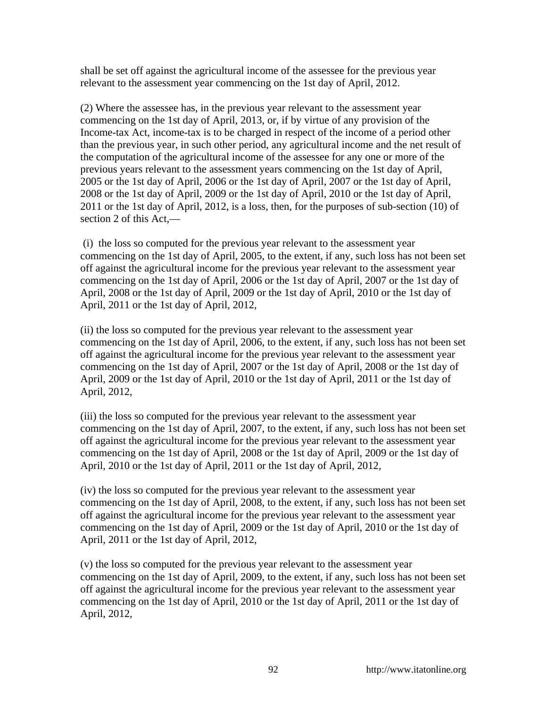shall be set off against the agricultural income of the assessee for the previous year relevant to the assessment year commencing on the 1st day of April, 2012.

(2) Where the assessee has, in the previous year relevant to the assessment year commencing on the 1st day of April, 2013, or, if by virtue of any provision of the Income-tax Act, income-tax is to be charged in respect of the income of a period other than the previous year, in such other period, any agricultural income and the net result of the computation of the agricultural income of the assessee for any one or more of the previous years relevant to the assessment years commencing on the 1st day of April, 2005 or the 1st day of April, 2006 or the 1st day of April, 2007 or the 1st day of April, 2008 or the 1st day of April, 2009 or the 1st day of April, 2010 or the 1st day of April, 2011 or the 1st day of April, 2012, is a loss, then, for the purposes of sub-section (10) of section 2 of this Act,—

 (i) the loss so computed for the previous year relevant to the assessment year commencing on the 1st day of April, 2005, to the extent, if any, such loss has not been set off against the agricultural income for the previous year relevant to the assessment year commencing on the 1st day of April, 2006 or the 1st day of April, 2007 or the 1st day of April, 2008 or the 1st day of April, 2009 or the 1st day of April, 2010 or the 1st day of April, 2011 or the 1st day of April, 2012,

(ii) the loss so computed for the previous year relevant to the assessment year commencing on the 1st day of April, 2006, to the extent, if any, such loss has not been set off against the agricultural income for the previous year relevant to the assessment year commencing on the 1st day of April, 2007 or the 1st day of April, 2008 or the 1st day of April, 2009 or the 1st day of April, 2010 or the 1st day of April, 2011 or the 1st day of April, 2012,

(iii) the loss so computed for the previous year relevant to the assessment year commencing on the 1st day of April, 2007, to the extent, if any, such loss has not been set off against the agricultural income for the previous year relevant to the assessment year commencing on the 1st day of April, 2008 or the 1st day of April, 2009 or the 1st day of April, 2010 or the 1st day of April, 2011 or the 1st day of April, 2012,

(iv) the loss so computed for the previous year relevant to the assessment year commencing on the 1st day of April, 2008, to the extent, if any, such loss has not been set off against the agricultural income for the previous year relevant to the assessment year commencing on the 1st day of April, 2009 or the 1st day of April, 2010 or the 1st day of April, 2011 or the 1st day of April, 2012,

(v) the loss so computed for the previous year relevant to the assessment year commencing on the 1st day of April, 2009, to the extent, if any, such loss has not been set off against the agricultural income for the previous year relevant to the assessment year commencing on the 1st day of April, 2010 or the 1st day of April, 2011 or the 1st day of April, 2012,